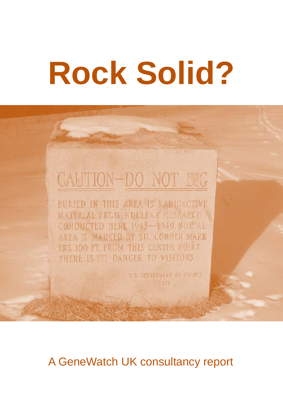# **Rock Solid?**

# CAUTION-DO NOT DIG

**BULIED IN THIS AREA IS RADIOACTIVE MATERIAL FROM NUCLEAR RESPARCH** CONDUCTED HERE 1943-1949 BURIAL AREA IN MARKED BY SIN CORNER MARK ERS 100 FT. FROM THIS CENTER POINT. THERE IS SAN DANGER TO VISITORS

> U.S. DEPARTMENT OF ENERGY 1978

A GeneWatch UK consultancy report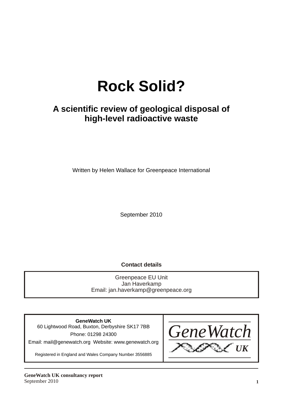# **Rock Solid?**

## **A scientific review of geological disposal of high-level radioactive waste**

Written by Helen Wallace for Greenpeace International

September 2010

**Contact details**

Greenpeace EU Unit Jan Haverkamp Email: jan.haverkamp@greenpeace.org

**GeneWatch UK** 60 Lightwood Road, Buxton, Derbyshire SK17 7BB Phone: 01298 24300 Email: mail@genewatch.org Website: www.genewatch.org

Registered in England and Wales Company Number 3556885

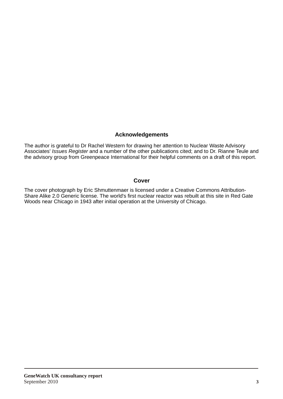#### **Acknowledgements**

The author is grateful to Dr Rachel Western for drawing her attention to Nuclear Waste Advisory Associates' *Issues Register* and a number of the other publications cited; and to Dr. Rianne Teule and the advisory group from Greenpeace International for their helpful comments on a draft of this report.

#### **Cover**

The cover photograph by Eric Shmuttenmaer is licensed under a Creative Commons Attribution-Share Alike 2.0 Generic license. The world's first nuclear reactor was rebuilt at this site in Red Gate Woods near Chicago in 1943 after initial operation at the University of Chicago.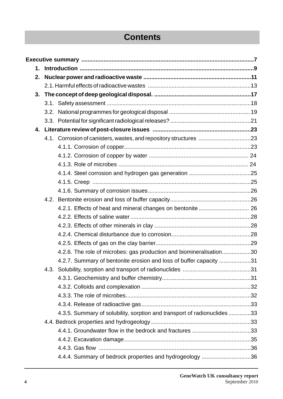# **Contents**

| $\mathbf 1$ . |  |                                                                          |  |  |  |
|---------------|--|--------------------------------------------------------------------------|--|--|--|
| 2.            |  |                                                                          |  |  |  |
|               |  |                                                                          |  |  |  |
| 3.            |  |                                                                          |  |  |  |
|               |  |                                                                          |  |  |  |
|               |  |                                                                          |  |  |  |
|               |  |                                                                          |  |  |  |
|               |  |                                                                          |  |  |  |
|               |  | 4.1. Corrosion of canisters, wastes, and repository structures 23        |  |  |  |
|               |  |                                                                          |  |  |  |
|               |  |                                                                          |  |  |  |
|               |  |                                                                          |  |  |  |
|               |  |                                                                          |  |  |  |
|               |  |                                                                          |  |  |  |
|               |  |                                                                          |  |  |  |
|               |  |                                                                          |  |  |  |
|               |  |                                                                          |  |  |  |
|               |  |                                                                          |  |  |  |
|               |  |                                                                          |  |  |  |
|               |  |                                                                          |  |  |  |
|               |  |                                                                          |  |  |  |
|               |  | 4.2.6. The role of microbes: gas production and biomineralisation30      |  |  |  |
|               |  | 4.2.7. Summary of bentonite erosion and loss of buffer capacity 31       |  |  |  |
|               |  |                                                                          |  |  |  |
|               |  |                                                                          |  |  |  |
|               |  |                                                                          |  |  |  |
|               |  |                                                                          |  |  |  |
|               |  |                                                                          |  |  |  |
|               |  | 4.3.5. Summary of solubility, sorption and transport of radionuclides 33 |  |  |  |
|               |  |                                                                          |  |  |  |
|               |  |                                                                          |  |  |  |
|               |  |                                                                          |  |  |  |
|               |  |                                                                          |  |  |  |
|               |  | 4.4.4. Summary of bedrock properties and hydrogeology 36                 |  |  |  |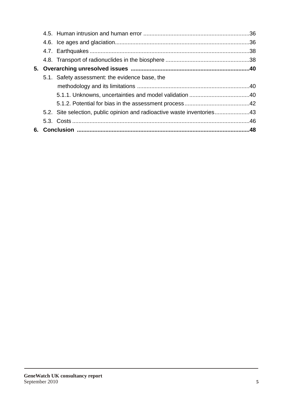|  | 5.1. Safety assessment: the evidence base, the                          |  |
|--|-------------------------------------------------------------------------|--|
|  |                                                                         |  |
|  |                                                                         |  |
|  |                                                                         |  |
|  | 5.2. Site selection, public opinion and radioactive waste inventories43 |  |
|  |                                                                         |  |
|  |                                                                         |  |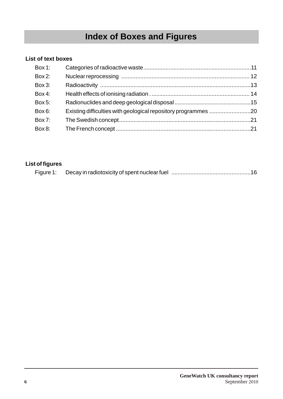# **Index of Boxes and Figures**

#### **List of text boxes**

| Box 1:    |  |
|-----------|--|
| $Box 2$ : |  |
| $Box 3$ : |  |
| Box 4:    |  |
| Box 5:    |  |
| Box 6:    |  |
| Box 7:    |  |
| Box 8:    |  |

#### **List of figures**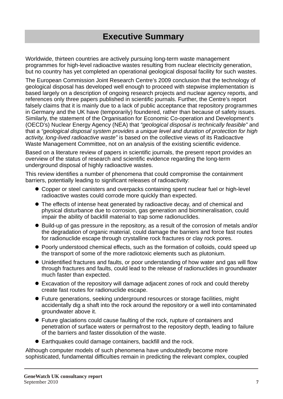# **Executive Summary**

Worldwide, thirteen countries are actively pursuing long-term waste management programmes for high-level radioactive wastes resulting from nuclear electricity generation, but no country has yet completed an operational geological disposal facility for such wastes.

The European Commission Joint Research Centre's 2009 conclusion that the technology of geological disposal has developed well enough to proceed with stepwise implementation is based largely on a description of ongoing research projects and nuclear agency reports, and references only three papers published in scientific journals. Further, the Centre's report falsely claims that it is mainly due to a lack of public acceptance that repository programmes in Germany and the UK have (temporarily) foundered, rather than because of safety issues. Similarly, the statement of the Organisation for Economic Co-operation and Development's (OECD's) Nuclear Energy Agency (NEA) that *"geological disposal is technically feasible"* and that a *"geological disposal system provides a unique level and duration of protection for high activity, long-lived radioactive waste"* is based on the collective views of its Radioactive Waste Management Committee, not on an analysis of the existing scientific evidence.

Based on a literature review of papers in scientific journals, the present report provides an overview of the status of research and scientific evidence regarding the long-term underground disposal of highly radioactive wastes.

This review identifies a number of phenomena that could compromise the containment barriers, potentially leading to significant releases of radioactivity:

- Copper or steel canisters and overpacks containing spent nuclear fuel or high-level radioactive wastes could corrode more quickly than expected.
- The effects of intense heat generated by radioactive decay, and of chemical and physical disturbance due to corrosion, gas generation and biomineralisation, could impair the ability of backfill material to trap some radionuclides.
- Build-up of gas pressure in the repository, as a result of the corrosion of metals and/or the degradation of organic material, could damage the barriers and force fast routes for radionuclide escape through crystalline rock fractures or clay rock pores.
- Poorly understood chemical effects, such as the formation of colloids, could speed up the transport of some of the more radiotoxic elements such as plutonium.
- Unidentified fractures and faults, or poor understanding of how water and gas will flow through fractures and faults, could lead to the release of radionuclides in groundwater much faster than expected.
- Excavation of the repository will damage adjacent zones of rock and could thereby create fast routes for radionuclide escape.
- Future generations, seeking underground resources or storage facilities, might accidentally dig a shaft into the rock around the repository or a well into contaminated groundwater above it.
- Future glaciations could cause faulting of the rock, rupture of containers and penetration of surface waters or permafrost to the repository depth, leading to failure of the barriers and faster dissolution of the waste.
- Earthquakes could damage containers, backfill and the rock.

Although computer models of such phenomena have undoubtedly become more sophisticated, fundamental difficulties remain in predicting the relevant complex, coupled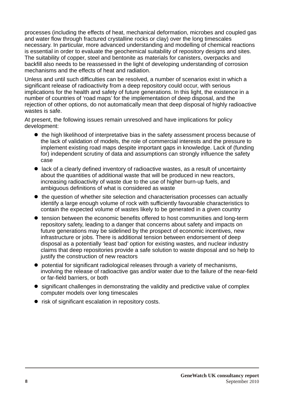processes (including the effects of heat, mechanical deformation, microbes and coupled gas and water flow through fractured crystalline rocks or clay) over the long timescales necessary. In particular, more advanced understanding and modelling of chemical reactions is essential in order to evaluate the geochemical suitability of repository designs and sites. The suitability of copper, steel and bentonite as materials for canisters, overpacks and backfill also needs to be reassessed in the light of developing understanding of corrosion mechanisms and the effects of heat and radiation.

Unless and until such difficulties can be resolved, a number of scenarios exist in which a significant release of radioactivity from a deep repository could occur, with serious implications for the health and safety of future generations. In this light, the existence in a number of countries of 'road maps' for the implementation of deep disposal, and the rejection of other options, do not automatically mean that deep disposal of highly radioactive wastes is safe.

At present, the following issues remain unresolved and have implications for policy development:

- $\bullet$  the high likelihood of interpretative bias in the safety assessment process because of the lack of validation of models, the role of commercial interests and the pressure to implement existing road maps despite important gaps in knowledge. Lack of (funding for) independent scrutiny of data and assumptions can strongly influence the safety case
- $\bullet$  lack of a clearly defined inventory of radioactive wastes, as a result of uncertainty about the quantities of additional waste that will be produced in new reactors, increasing radioactivity of waste due to the use of higher burn-up fuels, and ambiguous definitions of what is considered as waste
- $\bullet$  the question of whether site selection and characterisation processes can actually identify a large enough volume of rock with sufficiently favourable characteristics to contain the expected volume of wastes likely to be generated in a given country
- $\bullet$  tension between the economic benefits offered to host communities and long-term repository safety, leading to a danger that concerns about safety and impacts on future generations may be sidelined by the prospect of economic incentives, new infrastructure or jobs. There is additional tension between endorsement of deep disposal as a potentially 'least bad' option for existing wastes, and nuclear industry claims that deep repositories provide a safe solution to waste disposal and so help to justify the construction of new reactors
- l potential for significant radiological releases through a variety of mechanisms, involving the release of radioactive gas and/or water due to the failure of the near-field or far-field barriers, or both
- significant challenges in demonstrating the validity and predictive value of complex computer models over long timescales
- risk of significant escalation in repository costs.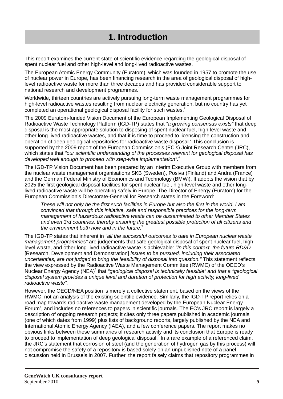# **1. Introduction**

This report examines the current state of scientific evidence regarding the geological disposal of spent nuclear fuel and other high-level and long-lived radioactive wastes.

The European Atomic Energy Community (Euratom), which was founded in 1957 to promote the use of nuclear power in Europe, has been financing research in the area of geological disposal of highlevel radioactive waste for more than three decades and has provided considerable support to national research and development programmes. $^{\textrm{\text{!`}}}$ 

Worldwide, thirteen countries are actively pursuing long-term waste management programmes for high-level radioactive wastes resulting from nuclear electricity generation, but no country has yet completed an operational geological disposal facility for such wastes. $^{2}$ 

The 2009 Euratom-funded Vision Document of the European Implementing Geological Disposal of Radioactive Waste Technology Platform (IGD-TP) states that *"a growing consensus exists"* that deep disposal is the most appropriate solution to disposing of spent nuclear fuel, high-level waste and other long-lived radioactive wastes, and that it is time to proceed to licensing the construction and operation of deep geological repositories for radioactive waste disposal.<sup>3</sup> This conclusion is supported by the 2009 report of the European Commission's (EC's) Joint Research Centre (JRC), which states that *"our scientific understanding of the processes relevant for geological disposal has*  4 *developed well enough to proceed with step-wise implementation".*

The IGD-TP Vision Document has been prepared by an Interim Executive Group with members from the nuclear waste management organisations SKB (Sweden), Posiva (Finland) and Andra (France) and the German Federal Ministry of Economics and Technology (BMWi). It adopts the vision that by 2025 the first geological disposal facilities for spent nuclear fuel, high-level waste and other longlived radioactive waste will be operating safely in Europe. The Director of Energy (Euratom) for the European Commission's Directorate-General for Research states in the Foreword:

*These will not only be the first such facilities in Europe but also the first in the world. I am convinced that through this initiative, safe and responsible practices for the long-term management of hazardous radioactive waste can be disseminated to other Member States and even 3rd countries, thereby ensuring the greatest possible protection of all citizens and*  5 *the environment both now and in the future.*

The IGD-TP states that inherent in *"all the successful outcomes to date in European nuclear waste management programmes"* are judgements that safe geological disposal of spent nuclear fuel, highlevel waste, and other long-lived radioactive waste is achievable: *"In this context, the future RD&D* [Research, Development and Demonstration] *issues to be pursued, including their associated uncertainties, are not judged to bring the feasibility of disposal into question."* This statement reflects the view expressed by the Radioactive Waste Management Committee (RWMC) of the OECD's Nuclear Energy Agency (NEA)<sup>6</sup> that *"geological disposal is technically feasible" and that a "geological bluest disposal system provides a unique level and duration of protection for high activity, long-lived radioactive waste".* 

However, the OECD/NEA position is merely a collective statement, based on the views of the RWMC, not an analysis of the existing scientific evidence. Similarly, the IGD-TP report relies on a road map towards radioactive waste management developed by the European Nuclear Energy Forum<sup>7</sup>, and includes no references to papers in scientific journals. The EC's JRC report is largely a description of ongoing research projects; it cites only three papers published in academic journals (one of which dates from 1999) plus lists of background reports, largely published by the NEA and International Atomic Energy Agency (IAEA), and a few conference papers. The report makes no obvious links between these summaries of research activity and its conclusion that Europe is ready to proceed to implementation of deep geological disposal.<sup>8</sup> In a rare example of a referenced claim, the JRC's statement that corrosion of steel (and the generation of hydrogen gas by this process) will not compromise the safety of a repository is based solely on an unpublished note of a panel discussion held in Brussels in 2007. Further, the report falsely claims that repository programmes in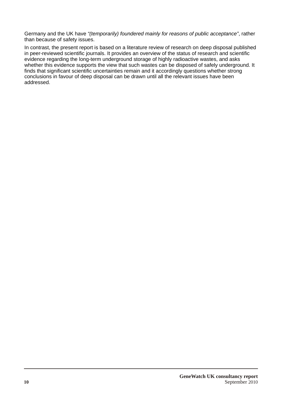Germany and the UK have *"(temporarily) foundered mainly for reasons of public acceptance"*, rather than because of safety issues.

In contrast, the present report is based on a literature review of research on deep disposal published in peer-reviewed scientific journals. It provides an overview of the status of research and scientific evidence regarding the long-term underground storage of highly radioactive wastes, and asks whether this evidence supports the view that such wastes can be disposed of safely underground. It finds that significant scientific uncertainties remain and it accordingly questions whether strong conclusions in favour of deep disposal can be drawn until all the relevant issues have been addressed.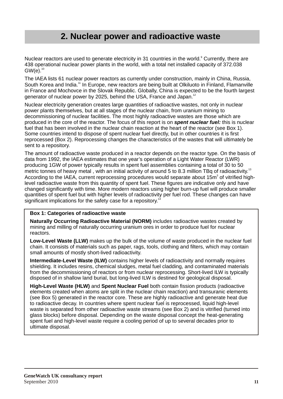### **2. Nuclear power and radioactive waste**

Nuclear reactors are used to generate electricity in 31 countries in the world.<sup>9</sup> Currently, there are 438 operational nuclear power plants in the world, with a total net installed capacity of 372.038  $GW(e).$ <sup>10</sup>

The IAEA lists 61 nuclear power reactors as currently under construction, mainly in China, Russia, South Korea and India.<sup>11</sup> In Europe, new reactors are being built at Olkiluoto in Finland, Flamanville in France and Mochovce in the Slovak Republic. Globally, China is expected to be the fourth largest generator of nuclear power by 2025, behind the USA, France and Japan.<sup>12</sup>

Nuclear electricity generation creates large quantities of radioactive wastes, not only in nuclear power plants themselves, but at all stages of the nuclear chain, from uranium mining to decommissioning of nuclear facilities. The most highly radioactive wastes are those which are produced in the core of the reactor. The focus of this report is on *spent nuclear fuel:* this is nuclear fuel that has been involved in the nuclear chain reaction at the heart of the reactor (see Box 1). Some countries intend to dispose of spent nuclear fuel directly, but in other countries it is first reprocessed (Box 2). Reprocessing changes the characteristics of the wastes that will ultimately be sent to a repository.

The amount of radioactive waste produced in a reactor depends on the reactor type. On the basis of data from 1992, the IAEA estimates that one year's operation of a Light Water Reactor (LWR) producing 1GW of power typically results in spent fuel assemblies containing a total of 30 to 50 metric tonnes of heavy metal, with an initial activity of around 5 to 8.3 million TBq of radioactivity.<sup>13</sup> According to the IAEA, current reprocessing procedures would separate about 15 $m<sup>3</sup>$  of vitrified highlevel radioactive waste from this quantity of spent fuel. These figures are indicative only and have changed significantly with time. More modern reactors using higher burn-up fuel will produce smaller quantities of spent fuel but with higher levels of radioactivity per fuel rod. These changes can have significant implications for the safety case for a repository.<sup>14</sup>

#### **Box 1: Categories of radioactive waste**

**Naturally Occurring Radioactive Material (NORM)** includes radioactive wastes created by mining and milling of naturally occurring uranium ores in order to produce fuel for nuclear reactors.

**Low-Level Waste (LLW)** makes up the bulk of the volume of waste produced in the nuclear fuel chain. It consists of materials such as paper, rags, tools, clothing and filters, which may contain small amounts of mostly short-lived radioactivity.

**Intermediate-Level Waste (ILW)** contains higher levels of radioactivity and normally requires shielding. It includes resins, chemical sludges, metal fuel cladding, and contaminated materials from the decommissioning of reactors or from nuclear reprocessing. Short-lived ILW is typically disposed of in shallow land burial, but long-lived ILW is destined for geological disposal.

**High-Level Waste (HLW)** and **Spent Nuclear Fuel** both contain fission products (radioactive elements created when atoms are split in the nuclear chain reaction) and transuranic elements (see Box 5) generated in the reactor core. These are highly radioactive and generate heat due to radioactive decay. In countries where spent nuclear fuel is reprocessed, liquid high-level waste is separated from other radioactive waste streams (see Box 2) and is vitrified (turned into glass blocks) before disposal. Depending on the waste disposal concept the heat-generating spent fuel and high-level waste require a cooling period of up to several decades prior to ultimate disposal.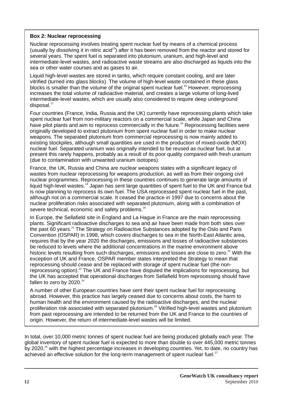#### **Box 2: Nuclear reprocessing**

Nuclear reprocessing involves treating spent nuclear fuel by means of a chemical process (usually by dissolving it in nitric acid<sup>15</sup>) after it has been removed from the reactor and stored for several years. The spent fuel is separated into plutonium, uranium, and high-level and intermediate-level wastes, and radioactive waste streams are also discharged as liquids into the sea or other water courses and as gases to air.

Liquid high-level wastes are stored in tanks, which require constant cooling, and are later vitrified (turned into glass blocks). The volume of high-level waste contained in these glass blocks is smaller than the volume of the original spent nuclear fuel.<sup>16</sup> However, reprocessing increases the total volume of radioactive material, and creates a large volume of long-lived intermediate-level wastes, which are usually also considered to require deep underground  $disposal.<sup>17</sup>$ 

Four countries (France, India, Russia and the UK) currently have reprocessing plants which take spent nuclear fuel from non-military reactors on a commercial scale, while Japan and China have pilot plants and aim to reprocess commercially in the future.<sup>18</sup> Reprocessing facilities were originally developed to extract plutonium from spent nuclear fuel in order to make nuclear weapons. The separated plutonium from commercial reprocessing is now mainly added to existing stockpiles, although small quantities are used in the production of mixed-oxide (MOX) nuclear fuel. Separated uranium was originally intended to be reused as nuclear fuel, but at present this rarely happens, probably as a result of its poor quality compared with fresh uranium (due to contamination with unwanted uranium isotopes).

France, the UK, Russia and China are nuclear weapons states with a significant legacy of wastes from nuclear reprocessing for weapons production, as well as from their ongoing civil nuclear programmes. Reprocessing in these countries continues to generate large amounts of liquid high-level wastes.<sup>19</sup> Japan has sent large quantities of spent fuel to the UK and France but is now planning to reprocess its own fuel. The USA reprocessed spent nuclear fuel in the past, although not on a commercial scale. It ceased the practice in 1997 due to concerns about the nuclear proliferation risks associated with separated plutonium, along with a combination of severe technical, economic and safety problems.<sup>20</sup>

In Europe, the Sellafield site in England and La Hague in France are the main reprocessing plants. Significant radioactive discharges to sea and air have been made from both sites over the past  $60$  years.<sup>21</sup> The Strategy on Radioactive Substances adopted by the Oslo and Paris Convention (OSPAR) in 1998, which covers discharges to sea in the North-East Atlantic area, requires that by the year 2020 the discharges, emissions and losses of radioactive substances be reduced to levels where the additional concentrations in the marine environment above historic levels resulting from such discharges, emissions and losses are close to zero. $22$  With the exception of UK and France, OSPAR member states interpreted the Strategy to mean that reprocessing should cease and be replaced with storage of spent nuclear fuel (the nonreprocessing option).<sup>23</sup> The UK and France have disputed the implications for reprocessing, but the UK has accepted that operational discharges from Sellafield from reprocessing should have fallen to zero by  $2020.^{24}$ 

A number of other European countries have sent their spent nuclear fuel for reprocessing abroad. However, this practice has largely ceased due to concerns about costs, the harm to human health and the environment caused by the radioactive discharges, and the nuclear proliferation risk associated with separated plutonium.<sup>25</sup> Vitrified high-level wastes and plutonium from past reprocessing are intended to be returned from the UK and France to the countries of origin. However, the return of intermediate-level wastes will be limited.

In total, over 10,000 metric tonnes of spent nuclear fuel are being produced globally each year. The global inventory of spent nuclear fuel is expected to more than double to over 445,000 metric tonnes by 2020, $^{26}$  with the highest percentage increases in developing countries. Yet, to date, no country has achieved an effective solution for the long-term management of spent nuclear fuel. $^{27}$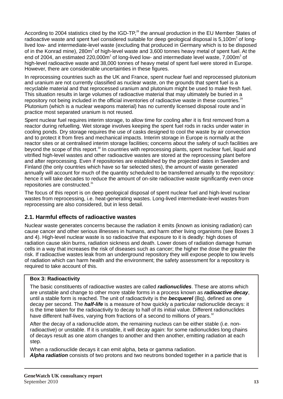According to 2004 statistics cited by the IGD-TP,<sup>28</sup> the annual production in the EU Member States of radioactive waste and spent fuel considered suitable for deep geological disposal is 5,100m<sup>3</sup> of longlived low- and intermediate-level waste (excluding that produced in Germany which is to be disposed of in the Konrad mine), 280m<sup>3</sup> of high-level waste and 3,600 tonnes heavy metal of spent fuel. At the end of 2004, an estimated 220,000m<sup>3</sup> of long-lived low- and intermediate level waste, 7,000m<sup>3</sup> of high-level radioactive waste and 38,000 tonnes of heavy metal of spent fuel were stored in Europe. However, there are considerable uncertainties in these figures.

In reprocessing countries such as the UK and France, spent nuclear fuel and reprocessed plutonium and uranium are not currently classified as nuclear waste, on the grounds that spent fuel is a recyclable material and that reprocessed uranium and plutonium might be used to make fresh fuel. This situation results in large volumes of radioactive material that may ultimately be buried in a repository not being included in the official inventories of radioactive waste in these countries.<sup>29</sup> Plutonium (which is a nuclear weapons material) has no currently licensed disposal route and in practice most separated uranium is not reused.

Spent nuclear fuel requires interim storage, to allow time for cooling after it is first removed from a reactor during refuelling. Wet storage involves keeping the spent fuel rods in racks under water in cooling ponds. Dry storage requires the use of casks designed to cool the waste by air convection and to protect it from fires and mechanical impacts. Interim storage in Europe is normally at the reactor sites or at centralised interim storage facilities; concerns about the safety of such facilities are beyond the scope of this report.<sup>30</sup> In countries with reprocessing plants, spent nuclear fuel, liquid and vitrified high-level wastes and other radioactive wastes are stored at the reprocessing plant before and after reprocessing. Even if repositories are established by the projected dates in Sweden and Finland (the only countries which have so far selected sites), the amount of waste generated annually will account for much of the quantity scheduled to be transferred annually to the repository: hence it will take decades to reduce the amount of on-site radioactive waste significantly even once repositories are constructed.<sup>31</sup>

The focus of this report is on deep geological disposal of spent nuclear fuel and high-level nuclear wastes from reprocessing, i.e. heat-generating wastes. Long-lived intermediate-level wastes from reprocessing are also considered, but in less detail.

#### **2.1. Harmful effects of radioactive wastes**

Nuclear waste generates concerns because the radiation it emits (known as ionising radiation) can cause cancer and other serious illnesses in humans, and harm other living organisms (see Boxes 3 and 4). High-level nuclear waste is so radioactive that exposure to it is deadly: high doses of radiation cause skin burns, radiation sickness and death. Lower doses of radiation damage human cells in a way that increases the risk of diseases such as cancer; the higher the dose the greater the risk. If radioactive wastes leak from an underground repository they will expose people to low levels of radiation which can harm health and the environment; the safety assessment for a repository is required to take account of this.

#### **Box 3: Radioactivity**

The basic constituents of radioactive wastes are called *radionuclides*. These are atoms which are unstable and change to other more stable forms in a process known as *radioactive decay*, until a stable form is reached. The unit of radioactivity is the *becquerel* (Bq), defined as one decay per second. The *half-life* is a measure of how quickly a particular radionuclide decays: it is the time taken for the radioactivity to decay to half of its initial value. Different radionuclides have different half-lives, varying from fractions of a second to millions of years.<sup>32</sup>

After the decay of a radionuclide atom, the remaining nucleus can be either stable (i.e. nonradioactive) or unstable. If it is unstable, it will decay again: for some radionuclides long chains of decays result as one atom changes to another and then another, emitting radiation at each step.

When a radionuclide decays it can emit alpha, beta or gamma radiation. *Alpha radiation* consists of two protons and two neutrons bonded together in a particle that is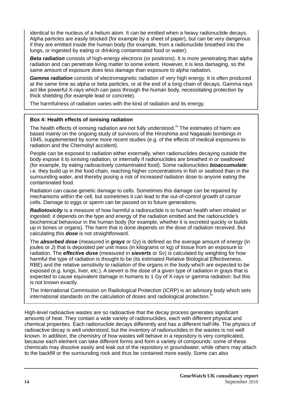identical to the nucleus of a helium atom. It can be emitted when a heavy radionuclide decays. Alpha particles are easily blocked (for example by a sheet of paper), but can be very dangerous if they are emitted inside the human body (for example, from a radionuclide breathed into the lungs, or ingested by eating or drinking contaminated food or water).

*Beta radiation* consists of high-energy electrons (or positrons). It is more penetrating than alpha radiation and can penetrate living matter to some extent. However, it is less damaging, so the same amount of exposure does less damage than exposure to alpha radiation.

*Gamma radiation* consists of electromagnetic radiation of very high energy. It is often produced at the same time as alpha or beta particles, or at the end of a long chain of decays. Gamma rays act like powerful X-rays which can pass through the human body, necessitating protection by thick shielding (for example lead or concrete).

The harmfulness of radiation varies with the kind of radiation and its energy.

#### **Box 4: Health effects of ionising radiation**

The health effects of ionising radiation are not fully understood.<sup>33</sup> The estimates of harm are based mainly on the ongoing study of survivors of the Hiroshima and Nagasaki bombings in 1945, supplemented by some more recent studies (e.g. of the effects of medical exposures to radiation and the Chernobyl accident).

People can be exposed to radiation either externally, when radionuclides decaying outside the body expose it to ionising radiation, or internally if radionuclides are breathed in or swallowed (for example, by eating radioactively contaminated food). Some radionuclides *bioaccumulate*: i.e. they build up in the food chain, reaching higher concentrations in fish or seafood than in the surrounding water, and thereby posing a risk of increased radiation dose to anyone eating the contaminated food.

Radiation can cause genetic damage to cells. Sometimes this damage can be repaired by mechanisms within the cell, but sometimes it can lead to the out-of-control growth of cancer cells. Damage to eggs or sperm can be passed on to future generations.

*Radiotoxicity* is a measure of how harmful a radionuclide is to human health when inhaled or ingested: it depends on the type and energy of the radiation emitted and the radionuclide's biochemical behaviour in the human body (for example, whether it is excreted quickly or builds up in bones or organs). The harm that is done depends on the dose of radiation received. But calculating this *dose* is not straightforward.

The *absorbed dose* (measured in *grays* or Gy) is defined as the average amount of energy (in joules or J) that is deposited per unit mass (in kilograms or kg) of tissue from an exposure to radiation. The *effective dose* (measured in *sieverts* or Sv) is calculated by weighting for how harmful the type of radiation is thought to be (its estimated Relative Biological Effectiveness, RBE) and the relative sensitivity to radiation of the organs in the body which are expected to be exposed (e.g. lungs, liver, etc.). A sievert is the dose of a given type of radiation in grays that is expected to cause equivalent damage in humans to 1 Gy of X-rays or gamma radiation: but this is not known exactly.

The International Commission on Radiological Protection (ICRP) is an advisory body which sets international standards on the calculation of doses and radiological protection.<sup>34</sup>

High-level radioactive wastes are so radioactive that the decay process generates significant amounts of heat. They contain a wide variety of radionuclides, each with different physical and chemical properties. Each radionuclide decays differently and has a different half-life. The physics of radioactive decay is well understood, but the inventory of radionuclides in the wastes is not well known. In addition, the chemistry of how wastes will behave in a repository is very complicated, because each element can take different forms and form a variety of compounds: some of these chemicals may dissolve easily and leak out of the repository in groundwater, while others may attach to the backfill or the surrounding rock and thus be contained more easily. Some can also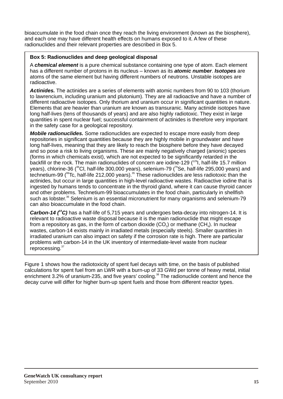bioaccumulate in the food chain once they reach the living environment (known as the biosphere), and each one may have different health effects on humans exposed to it. A few of these radionuclides and their relevant properties are described in Box 5.

#### **Box 5: Radionuclides and deep geological disposal**

A *chemical element* is a pure chemical substance containing one type of atom. Each element has a different number of protons in its nucleus – known as its *atomic number*. *Isotopes* are atoms of the same element but having different numbers of neutrons. Unstable isotopes are radioactive.

*Actinides.* The actinides are a series of elements with atomic numbers from 90 to 103 (thorium to lawrencium, including uranium and plutonium). They are all radioactive and have a number of different radioactive isotopes. Only thorium and uranium occur in significant quantities in nature. Elements that are heavier than uranium are known as transuranic. Many actinide isotopes have long half-lives (tens of thousands of years) and are also highly radiotoxic. They exist in large quantities in spent nuclear fuel; successful containment of actinides is therefore very important in the safety case for a geological repository.

*Mobile radionuclides.* Some radionuclides are expected to escape more easily from deep repositories in significant quantities because they are highly mobile in groundwater and have long half-lives, meaning that they are likely to reach the biosphere before they have decayed and so pose a risk to living organisms. These are mainly negatively charged (anionic) species (forms in which chemicals exist), which are not expected to be significantly retarded in the backfill or the rock. The main radionuclides of concern are iodine-129 ( $^{129}$ I, half-life 15.7 million years), chlorine-36 (<sup>36</sup>Cl, half-life 300,000 years), selenium-79 (<sup>79</sup>Se, half-life 295,000 vears) and technetium-99 ( $\rm{^{99}Tc}$ , half-life 212,000 years).  $\rm{^{35}}$  These radionuclides are less radiotoxic than the actinides, but occur in large quantities in high-level radioactive wastes. Radioactive iodine that is ingested by humans tends to concentrate in the thyroid gland, where it can cause thyroid cancer and other problems. Technetium-99 bioaccumulates in the food chain, particularly in shellfish such as lobster.<sup>36</sup> Selenium is an essential micronutrient for many organisms and selenium-79 can also bioaccumulate in the food chain.

**Carbon-14** (<sup>4</sup>C) has a half-life of 5,715 years and undergoes beta-decay into nitrogen-14. It is relevant to radioactive waste disposal because it is the main radionuclide that might escape from a repository as gas, in the form of carbon dioxide  $(CO<sub>2</sub>)$  or methane  $(CH<sub>a</sub>)$ . In nuclear wastes, carbon-14 exists mainly in irradiated metals (especially steels). Smaller quantities in irradiated uranium can also impact on safety if the corrosion rate is high. There are particular problems with carbon-14 in the UK inventory of intermediate-level waste from nuclear  $reprocessing<sup>37</sup>$ 

Figure 1 shows how the radiotoxicity of spent fuel decays with time, on the basis of published calculations for spent fuel from an LWR with a burn-up of 33 GWd per tonne of heavy metal, initial enrichment 3.2% of uranium-235, and five years' cooling.<sup>38</sup> The radionuclide content and hence the decay curve will differ for higher burn-up spent fuels and those from different reactor types.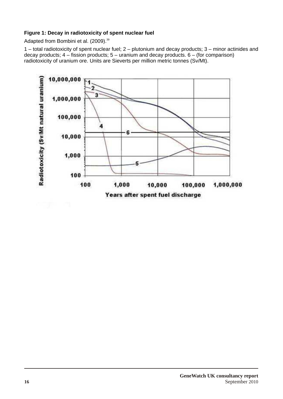#### **Figure 1: Decay in radiotoxicity of spent nuclear fuel**

Adapted from Bombini et al. (2009).<sup>39</sup>

1 – total radiotoxicity of spent nuclear fuel; 2 – plutonium and decay products; 3 – minor actinides and decay products;  $4 -$  fission products;  $5 -$  uranium and decay products.  $6 -$  (for comparison) radiotoxicity of uranium ore. Units are Sieverts per million metric tonnes (Sv/Mt).

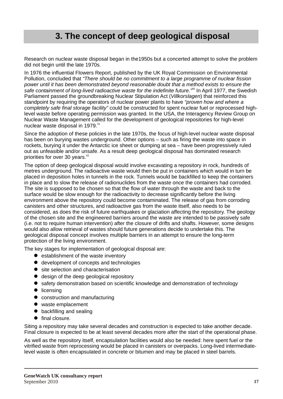# **3. The concept of deep geological disposal**

Research on nuclear waste disposal began in the1950s but a concerted attempt to solve the problem did not begin until the late 1970s.

In 1976 the influential Flowers Report, published by the UK Royal Commission on Environmental Pollution, concluded that *"There should be no commitment to a large programme of nuclear fission power until it has been demonstrated beyond reasonable doubt that a method exists to ensure the*  safe containment of long-lived radioactive waste for the indefinite future.<sup>"40</sup> In April 1977, the Swedish Parliament passed the groundbreaking Nuclear Stipulation Act (*Villkorslagen*) that reinforced this standpoint by requiring the operators of nuclear power plants to have *"proven how and where a completely safe final storage facility"* could be constructed for spent nuclear fuel or reprocessed highlevel waste before operating permission was granted. In the USA, the Interagency Review Group on Nuclear Waste Management called for the development of geological repositories for high-level nuclear waste disposal in 1979.<sup>41</sup>

Since the adoption of these policies in the late 1970s, the focus of high-level nuclear waste disposal has been on burving wastes underground. Other options – such as firing the waste into space in rockets, burying it under the Antarctic ice sheet or dumping at sea – have been progressively ruled out as unfeasible and/or unsafe. As a result deep geological disposal has dominated research priorities for over 30 years.<sup>42</sup>

The option of deep geological disposal would involve excavating a repository in rock, hundreds of metres underground. The radioactive waste would then be put in containers which would in turn be placed in deposition holes in tunnels in the rock. Tunnels would be backfilled to keep the containers in place and to slow the release of radionuclides from the waste once the containers had corroded. The site is supposed to be chosen so that the flow of water through the waste and back to the surface would be slow enough for the radioactivity to decrease significantly before the living environment above the repository could become contaminated. The release of gas from corroding canisters and other structures, and radioactive gas from the waste itself, also needs to be considered, as does the risk of future earthquakes or glaciation affecting the repository. The geology of the chosen site and the engineered barriers around the waste are intended to be passively safe (i.e. not to require human intervention) after the closure of drifts and shafts. However, some designs would also allow retrieval of wastes should future generations decide to undertake this. The geological disposal concept involves multiple barriers in an attempt to ensure the long-term protection of the living environment.

The key stages for implementation of geological disposal are:

- $\bullet$  establishment of the waste inventory
- $\bullet$  development of concepts and technologies
- site selection and characterisation
- $\bullet$  design of the deep geological repository
- safety demonstration based on scientific knowledge and demonstration of technology
- $\bullet$  licensing
- construction and manufacturing
- waste emplacement
- $\bullet$  backfilling and sealing
- $\bullet$  final closure.

Siting a repository may take several decades and construction is expected to take another decade. Final closure is expected to be at least several decades more after the start of the operational phase.

As well as the repository itself, encapsulation facilities would also be needed: here spent fuel or the vitrified waste from reprocessing would be placed in canisters or overpacks. Long-lived intermediatelevel waste is often encapsulated in concrete or bitumen and may be placed in steel barrels.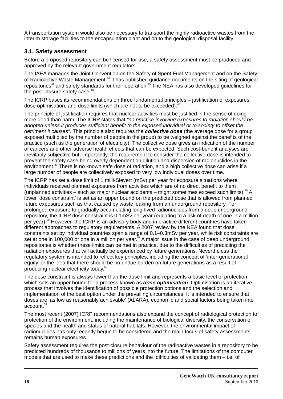A transportation system would also be necessary to transport the highly radioactive wastes from the interim storage facilities to the encapsulation plant and on to the geological disposal facility.

#### **3.1. Safety assessment**

Before a proposed repository can be licensed for use, a safety assessment must be produced and approved by the relevant government regulators.

The IAEA manages the Joint Convention on the Safety of Spent Fuel Management and on the Safety of Radioactive Waste Management.<sup>43</sup> It has published guidance documents on the siting of geological <sup>44</sup> <sup>45</sup> repositories and safety standards for their operation. The NEA has also developed guidelines for the post-closure safety case. $46$ 

The ICRP bases its recommendations on three fundamental principles – justification of exposures, dose optimisation, and dose limits (which are not to be exceeded).<sup>47</sup>

The principle of justification requires that nuclear activities must be justified in the sense of doing more good than harm. The ICRP states that *"no practice involving exposures to radiation should be adopted unless it produces sufficient benefit to the exposed individual or to society to offset the detriment it causes".* This principle also requires the *collective dose* (the average dose for a group exposed multiplied by the number of people in the group) to be weighed against the benefits of the practice (such as the generation of electricity). The collective dose gives an indication of the number of cancers and other adverse health effects that can be expected. Such cost-benefit analyses are inevitably subjective but, importantly, the requirement to consider the collective dose is intended to prevent the safety case being overly dependent on dilution and dispersion of radionuclides in the environment.<sup>48</sup> There is no known safe dose of radiation, and a high collective dose can arise if a large number of people are collectively exposed to very low individual doses over time.

The ICRP has set a dose limit of 1 milli-Sievert (mSv) per year for exposure situations where individuals received planned exposures from activities which are of no direct benefit to them (unplanned activities – such as major nuclear accidents – might sometimes exceed such limits).  $49$  A lower 'dose constraint' is set as an upper bound on the predicted dose that is allowed from planned future exposures such as that caused by waste leaking from an underground repository. For prolonged exposure to gradually accumulating long-lived radionuclides from a deep underground repository, the ICRP dose constraint is 0.1mSv per year (equating to a risk of death of one in a million per year).<sup>50</sup> However, the ICRP is an advisory body and in practice different countries have taken different approaches to regulatory requirements. A 2007 review by the NEA found that dose constraints set by individual countries span a range of 0.1–0.3mSv per year, while risk constraints are set at one in 100,000 or one in a million per year.<sup>51</sup> A major issue in the case of deep underground repositories is whether these limits can be met in practice, due to the difficulties of predicting the radiation exposures that will actually be experienced by future generations. Nevertheless the regulatory system is intended to reflect key principles, including the concept of 'inter-generational equity' or the idea that there should be no undue burden on future generations as a result of producing nuclear electricity today.<sup>52</sup>

The dose constraint is always lower than the dose limit and represents a basic level of protection which sets an upper bound for a process known as *dose optimisation*. Optimisation is an iterative process that involves the identification of possible protection options and the selection and implementation of the best option under the prevailing circumstances. It is intended to ensure that doses are 'as low as reasonably achievable' (ALARA), economic and social factors being taken into account.<sup>53</sup>

The most recent (2007) ICRP recommendations also expand the concept of radiological protection to protection of the environment, including the maintenance of biological diversity, the conservation of species and the health and status of natural habitats. However, the environmental impact of radionuclides has only recently begun to be considered and the main focus of safety assessments remains human exposures.

Safety assessment requires the post-closure behaviour of the radioactive wastes in a repository to be predicted hundreds of thousands to millions of years into the future. The limitations of the computer models that are used to make these predictions and the difficulties of validating them – i.e. of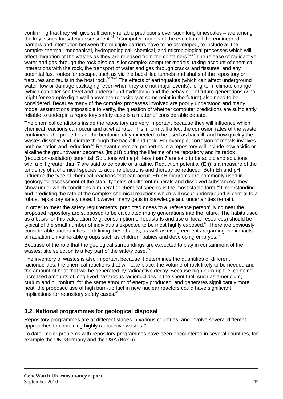confirming that they will give sufficiently reliable predictions over such long timescales – are among the key issues for safety assessment.<sup> $54,55$ </sup> Computer models of the evolution of the engineered barriers and interaction between the multiple barriers have to be developed, to include all the complex thermal, mechanical, hydrogeological, chemical, and microbiological processes which will 56,57 affect migration of the wastes as they are released from the containers. The release of radioactive water and gas through the rock also calls for complex computer models, taking account of chemical interactions with the rock, the transport of water and gas through cracks and fissures, and any potential fast routes for escape, such as via the backfilled tunnels and shafts of the repository or 58,59,60 fractures and faults in the host rock. The effects of earthquakes (which can affect underground water flow or damage packaging, even when they are not major events), long-term climate change (which can alter sea level and underground hydrology) and the behaviour of future generations (who might for example dig a well above the repository at some point in the future) also need to be considered. Because many of the complex processes involved are poorly understood and many model assumptions impossible to verify, the question of whether computer predictions are sufficiently reliable to underpin a repository safety case is a matter of considerable debate.

The chemical conditions inside the repository are very important because they will influence which chemical reactions can occur and at what rate. This in turn will affect the corrosion rates of the waste containers, the properties of the bentonite clay expected to be used as backfill, and how quickly the wastes dissolve and migrate through the backfill and rock. For example, corrosion of metals involves both oxidation and reduction.<sup>61</sup> Relevant chemical properties in a repository will include how acidic or alkaline the groundwater becomes (its pH) during the lifetime of the repository and its redox (reduction-oxidation) potential. Solutions with a pH less than 7 are said to be acidic and solutions with a pH greater than 7 are said to be basic or alkaline. Reduction potential (Eh) is a measure of the tendency of a chemical species to acquire electrons and thereby be reduced. Both Eh and pH influence the type of chemical reactions that can occur. Eh-pH diagrams are commonly used in geology for assessment of the stability fields of different minerals and dissolved substances: they show under which conditions a mineral or chemical species is the most stable form.<sup>62</sup> Understanding and predicting the rate of the complex chemical reactions which will occur underground is central to a robust repository safety case. However, many gaps in knowledge and uncertainties remain.

In order to meet the safety requirements, predicted doses to a 'reference person' living near the proposed repository are supposed to be calculated many generations into the future. The habits used as a basis for this calculation (e.g. consumption of foodstuffs and use of local resources) should be typical of the small number of individuals expected to be most highly exposed.<sup>63</sup> There are obviously considerable uncertainties in defining these habits, as well as disagreements regarding the impacts of radiation on vulnerable groups such as children, babies and developing embryos.<sup>64</sup>

Because of the role that the geological surroundings are expected to play in containment of the wastes, site selection is a key part of the safety case.<sup>65</sup>

The inventory of wastes is also important because it determines the quantities of different radionuclides, the chemical reactions that will take place, the volume of rock likely to be needed and the amount of heat that will be generated by radioactive decay. Because high burn-up fuel contains increased amounts of long-lived hazardous radionuclides in the spent fuel, such as americium, curium and plutonium, for the same amount of energy produced, and generates significantly more heat, the proposed use of high burn-up fuel in new nuclear reactors could have significant implications for repository safety cases.<sup>66</sup>

#### **3.2. National programmes for geological disposal**

Repository programmes are at different stages in various countries, and involve several different approaches to containing highly radioactive wastes.<sup>67</sup>

To date, major problems with repository programmes have been encountered in several countries, for example the UK, Germany and the USA (Box 6).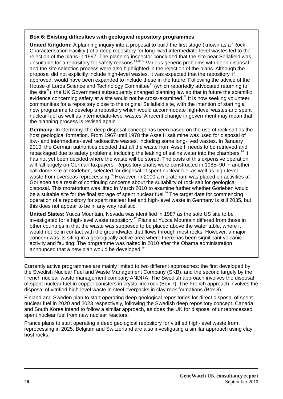#### **Box 6: Existing difficulties with geological repository programmes**

**United Kingdom:** A planning inquiry into a proposal to build the first stage (known as a 'Rock Characterisation Facility') of a deep repository for long-lived intermediate-level wastes led to the rejection of the plans in 1997. The planning inspector concluded that the site near Sellafield was unsuitable for a repository for safety reasons.<sup>68,69,70</sup> Various generic problems with deep disposal and the site selection process were also highlighted in the rejection of the plans. Although the proposal did not explicitly include high-level wastes, it was expected that the repository, if approved, would have been expanded to include these in the future. Following the advice of the House of Lords Science and Technology Committee<sup> $71$ </sup> (which reportedly advocated returning to the site<sup> $72$ </sup>), the UK Government subsequently changed planning law so that in future the scientific evidence concerning safety at a site would not be cross-examined.<sup>73</sup> It is now seeking volunteer communities for a repository close to the original Sellafield site, with the intention of starting a new programme to develop a repository which would accommodate high-level wastes and spent nuclear fuel as well as intermediate-level wastes. A recent change in government may mean that the planning process is revised again.

**Germany:** In Germany, the deep disposal concept has been based on the use of rock salt as the host geological formation. From 1967 until 1978 the Asse II salt mine was used for disposal of low- and intermediate-level radioactive wastes, including some long-lived wastes. In January 2010, the German authorities decided that all the waste from Asse II needs to be retrieved and repackaged due to safety problems, including the leaking of saline water into the chambers.<sup>74</sup> It has not yet been decided where the waste will be stored. The costs of this expensive operation will fall largely on German taxpayers. Repository shafts were constructed in 1985–90 in another salt dome site at Gorleben, selected for disposal of spent nuclear fuel as well as high-level waste from overseas reprocessing.<sup>75</sup> However, in 2000 a moratorium was placed on activities at Gorleben as a result of continuing concerns about the suitability of rock salt for geological disposal. This moratorium was lifted in March 2010 to examine further whether Gorleben would be a suitable site for the final storage of spent nuclear fuel.<sup>76</sup> The target date for commencing operation of a repository for spent nuclear fuel and high-level waste in Germany is still 2035, but this does not appear to be in any way realistic.

**United States:** Yucca Mountain, Nevada was identified in 1987 as the sole US site to be investigated for a high-level waste repository.<sup>77</sup> Plans at Yucca Mountain differed from those in other countries in that the waste was supposed to be placed above the water table, where it would not be in contact with the groundwater that flows through most rocks. However, a major concern was its siting in a geologically active area where there has been significant volcanic activity and faulting. The programme was halted in 2010 after the Obama administration announced that a new plan would be developed. $78$ 

Currently active programmes are mainly limited to two different approaches: the first developed by the Swedish Nuclear Fuel and Waste Management Company (SKB), and the second largely by the French nuclear waste management company ANDRA. The Swedish approach involves the disposal of spent nuclear fuel in copper canisters in crystalline rock (Box 7). The French approach involves the disposal of vitrified high-level waste in steel overpacks in clay rock formations (Box 8).

Finland and Sweden plan to start operating deep geological repositories for direct disposal of spent nuclear fuel in 2020 and 2023 respectively, following the Swedish deep repository concept. Canada and South Korea intend to follow a similar approach, as does the UK for disposal of unreprocessed spent nuclear fuel from new nuclear reactors.

France plans to start operating a deep geological repository for vitrified high-level waste from reprocessing in 2025. Belgium and Switzerland are also investigating a similar approach using clay host rocks.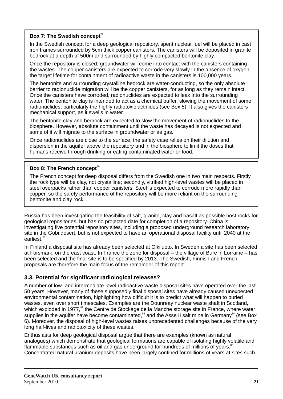#### Box 7: The Swedish concept<sup>79</sup>

In the Swedish concept for a deep geological repository, spent nuclear fuel will be placed in cast iron frames surrounded by 5cm thick copper canisters. The canisters will be deposited in granite bedrock at a depth of 500m and surrounded by highly compacted bentonite clay.

Once the repository is closed, groundwater will come into contact with the canisters containing the wastes. The copper canisters are expected to corrode very slowly in the absence of oxygen: the target lifetime for containment of radioactive waste in the canisters is 100,000 years.

The bentonite and surrounding crystalline bedrock are water-conducting, so the only absolute barrier to radionuclide migration will be the copper canisters, for as long as they remain intact. Once the canisters have corroded, radionuclides are expected to leak into the surrounding water. The bentonite clay is intended to act as a chemical buffer, slowing the movement of some radionuclides, particularly the highly radiotoxic actinides (see Box 5). It also gives the canisters mechanical support, as it swells in water.

The bentonite clay and bedrock are expected to slow the movement of radionuclides to the biosphere. However, absolute containment until the waste has decayed is not expected and some of it will migrate to the surface in groundwater or as gas.

Once radionuclides are close to the surface, the safety case relies on their dilution and dispersion in the aquifer above the repository and in the biosphere to limit the doses that humans receive through drinking or eating contaminated water or food.

#### Box 8: The French concept<sup>80</sup>

The French concept for deep disposal differs from the Swedish one in two main respects. Firstly, the rock type will be clay, not crystalline; secondly, vitrified high-level wastes will be placed in steel overpacks rather than copper canisters. Steel is expected to corrode more rapidly than copper, so the safety performance of the repository will be more reliant on the surrounding bentonite and clay rock.

Russia has been investigating the feasibility of salt, granite, clay and basalt as possible host rocks for geological repositories, but has no projected date for completion of a repository. China is investigating five potential repository sites, including a proposed underground research laboratory site in the Gobi desert, but is not expected to have an operational disposal facility until 2040 at the earliest.<sup>81</sup>

In Finland a disposal site has already been selected at Olkiluoto. In Sweden a site has been selected at Forsmark, on the east coast. In France the zone for disposal – the village of Bure in Lorraine – has been selected and the final site is to be specified by 2013. The Swedish, Finnish and French proposals are therefore the main focus of the remainder of this report.

#### **3.3. Potential for significant radiological releases?**

A number of low- and intermediate-level radioactive waste disposal sites have operated over the last 50 years. However, many of these supposedly final disposal sites have already caused unexpected environmental contamination, highlighting how difficult it is to predict what will happen to buried wastes, even over short timescales. Examples are the Dounreay nuclear waste shaft in Scotland, which exploded in 1977,<sup>82</sup> the Centre de Stockage de la Manche storage site in France, where water supplies in the aquifer have become contaminated,<sup>83</sup> and the Asse II salt mine in Germany<sup>84</sup> (see Box 6). Moreover, the disposal of high-level wastes raises unprecedented challenges because of the very long half-lives and radiotoxicity of these wastes.

Enthusiasts for deep geological disposal argue that there are examples (known as natural analogues) which demonstrate that geological formations are capable of isolating highly volatile and flammable substances such as oil and gas underground for hundreds of millions of years.<sup>85</sup> Concentrated natural uranium deposits have been largely confined for millions of years at sites such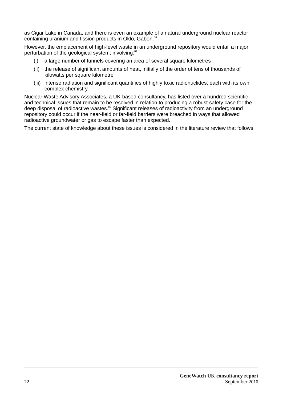as Cigar Lake in Canada, and there is even an example of a natural underground nuclear reactor containing uranium and fission products in Oklo, Gabon.<sup>86</sup>

However, the emplacement of high-level waste in an underground repository would entail a major perturbation of the geological system, involving:<sup>87</sup>

- (i) a large number of tunnels covering an area of several square kilometres
- (ii) the release of significant amounts of heat, initially of the order of tens of thousands of kilowatts per square kilometre
- (iii) intense radiation and significant quantifies of highly toxic radionuclides, each with its own complex chemistry.

Nuclear Waste Advisory Associates, a UK-based consultancy, has listed over a hundred scientific and technical issues that remain to be resolved in relation to producing a robust safety case for the deep disposal of radioactive wastes.<sup>88</sup> Significant releases of radioactivity from an underground repository could occur if the near-field or far-field barriers were breached in ways that allowed radioactive groundwater or gas to escape faster than expected.

The current state of knowledge about these issues is considered in the literature review that follows.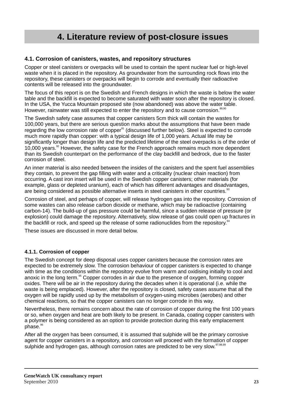# **4. Literature review of post-closure issues**

#### **4.1. Corrosion of canisters, wastes, and repository structures**

Copper or steel canisters or overpacks will be used to contain the spent nuclear fuel or high-level waste when it is placed in the repository. As groundwater from the surrounding rock flows into the repository, these canisters or overpacks will begin to corrode and eventually their radioactive contents will be released into the groundwater.

The focus of this report is on the Swedish and French designs in which the waste is below the water table and the backfill is expected to become saturated with water soon after the repository is closed. In the USA, the Yucca Mountain proposed site (now abandoned) was above the water table. However, rainwater was still expected to enter the repository and to cause corrosion.<sup>89,1</sup>

The Swedish safety case assumes that copper canisters 5cm thick will contain the wastes for 100,000 years, but there are serious question marks about the assumptions that have been made regarding the low corrosion rate of copper<sup>91</sup> (discussed further below). Steel is expected to corrode much more rapidly than copper: with a typical design life of 1,000 years. Actual life may be significantly longer than design life and the predicted lifetime of the steel overpacks is of the order of 10,000 years. $\degree$  However, the safety case for the French approach remains much more dependent than its Swedish counterpart on the performance of the clay backfill and bedrock, due to the faster corrosion of steel.

An inner material is also needed between the insides of the canisters and the spent fuel assemblies they contain, to prevent the gap filling with water and a criticality (nuclear chain reaction) from occurring. A cast iron insert will be used in the Swedish copper canisters; other materials (for example, glass or depleted uranium), each of which has different advantages and disadvantages, are being considered as possible alternative inserts in steel canisters in other countries.<sup>33</sup>

Corrosion of steel, and perhaps of copper, will release hydrogen gas into the repository. Corrosion of some wastes can also release carbon dioxide or methane, which may be radioactive (containing carbon-14). The build-up of gas pressure could be harmful, since a sudden release of pressure (or explosion) could damage the repository. Alternatively, slow release of gas could open up fractures in the backfill or rock, and speed up the release of some radionuclides from the repository. $94$ 

These issues are discussed in more detail below.

#### **4.1.1. Corrosion of copper**

The Swedish concept for deep disposal uses copper canisters because the corrosion rates are expected to be extremely slow. The corrosion behaviour of copper canisters is expected to change with time as the conditions within the repository evolve from warm and oxidising initially to cool and anoxic in the long term.<sup>95</sup> Copper corrodes in air due to the presence of oxygen, forming copper oxides. There will be air in the repository during the decades when it is operational (i.e. while the waste is being emplaced). However, after the repository is closed, safety cases assume that all the oxygen will be rapidly used up by the metabolism of oxygen-using microbes (aerobes) and other chemical reactions, so that the copper canisters can no longer corrode in this way.

Nevertheless, there remains concern about the rate of corrosion of copper during the first 100 years or so, when oxygen and heat are both likely to be present. In Canada, coating copper canisters with a polymer is being considered as an option to provide protection during this early emplacement  $phase.<sup>96</sup>$ 

After all the oxygen has been consumed, it is assumed that sulphide will be the primary corrosive agent for copper canisters in a repository, and corrosion will proceed with the formation of copper sulphide and hydrogen gas, although corrosion rates are predicted to be very slow. 97,98,99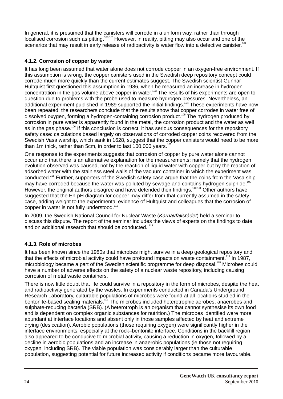In general, it is presumed that the canisters will corrode in a uniform way, rather than through  $10$  localised corrosion such as pitting.  $100,101$  However, in reality, pitting may also occur and one of the scenarios that may result in early release of radioactivity is water flow into a defective canister.<sup>102</sup>

#### **4.1.2. Corrosion of copper by water**

It has long been assumed that water alone does not corrode copper in an oxygen-free environment. If this assumption is wrong, the copper canisters used in the Swedish deep repository concept could corrode much more quickly than the current estimates suggest. The Swedish scientist Gunnar Hultquist first questioned this assumption in 1986, when he measured an increase in hydrogen concentration in the gas volume above copper in water.<sup>103</sup> The results of his experiments are open to question due to problems with the probe used to measure hydrogen pressures. Nevertheless, an additional experiment published in 1989 supported the initial findings.<sup>104</sup> These experiments have now been repeated: the researchers conclude that the results show that copper corrodes in water free of dissolved oxygen, forming a hydrogen-containing corrosion product.<sup>105</sup> The hydrogen produced by corrosion in pure water is apparently found in the metal, the corrosion product and the water as well as in the gas phase.<sup>106</sup> If this conclusion is correct, it has serious consequences for the repository safety case: calculations based largely on observations of corroded copper coins recovered from the Swedish Vasa warship, which sank in 1628, suggest that the copper canisters would need to be more than 1m thick, rather than 5cm, in order to last  $100.000$  vears.<sup>107</sup>

One response to the experiments suggests that corrosion of copper by pure water alone cannot occur and that there is an alternative explanation for the measurements: namely that the hydrogen evolution observed was caused, not by the reaction of liquid water with copper but by the reaction of adsorbed water with the stainless steel walls of the vacuum container in which the experiment was conducted.<sup>108</sup> Further, supporters of the Swedish safety case argue that the coins from the Vasa ship may have corroded because the water was polluted by sewage and contains hydrogen sulphide.<sup>109</sup> However, the original authors disagree and have defended their findings.<sup>110,111</sup> Other authors have suggested that the Eh-pH diagram for copper may differ from that currently assumed in the safety case, adding weight to the experimental evidence of Hultquist and colleagues that the corrosion of copper in water is not fully understood.<sup>112</sup>

In 2009, the Swedish National Council for Nuclear Waste (*Kärnavfallsrådet*) held a seminar to discuss this dispute. The report of the seminar includes the views of experts on the findings to date and on additional research that should be conducted.  $113$ 

#### **4.1.3. Role of microbes**

It has been known since the 1980s that microbes might survive in a deep geological repository and that the effects of microbial activity could have profound impacts on waste containment.<sup>114</sup> In 1987, microbiology became a part of the Swedish scientific programme for deep disposal.<sup>115</sup> Microbes could have a number of adverse effects on the safety of a nuclear waste repository, including causing corrosion of metal waste containers.

There is now little doubt that life could survive in a repository in the form of microbes, despite the heat and radioactivity generated by the wastes. In experiments conducted in Canada's Underground Research Laboratory, culturable populations of microbes were found at all locations studied in the bentonite-based sealing materials.<sup>116</sup> The microbes included heterotrophic aerobes, anaerobes and sulphate-reducing bacteria (SRB). (A heterotroph is an organism that cannot synthesise its own food and is dependent on complex organic substances for nutrition.) The microbes identified were more abundant at interface locations and absent only in those samples affected by heat and extreme drying (desiccation). Aerobic populations (those requiring oxygen) were significantly higher in the interface environments, especially at the rock–bentonite interface. Conditions in the backfill region also appeared to be conducive to microbial activity, causing a reduction in oxygen, followed by a decline in aerobic populations and an increase in anaerobic populations (ie those not requiring oxygen, including SRB). The viable population was considerably larger than the culturable population, suggesting potential for future increased activity if conditions became more favourable.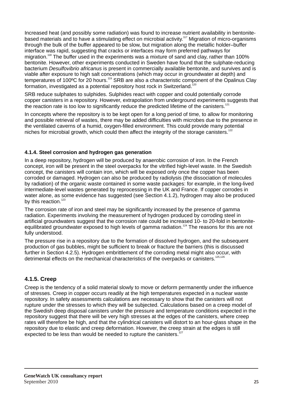Increased heat (and possibly some radiation) was found to increase nutrient availability in bentonitebased materials and to have a stimulating effect on microbial activity.<sup>117</sup> Migration of micro-organisms through the bulk of the buffer appeared to be slow, but migration along the metallic holder–buffer interface was rapid, suggesting that cracks or interfaces may form preferred pathways for migration.<sup>118</sup> The buffer used in the experiments was a mixture of sand and clay, rather than 100% bentonite. However, other experiments conducted in Sweden have found that the sulphate-reducing bacterium *Desulfovibrio africanus* is present in commercially available bentonite, and survives and is viable after exposure to high salt concentrations (which may occur in groundwater at depth) and temperatures of 100°C for 20 hours.<sup>119</sup> SRB are also a characteristic component of the Opalinus Clay formation, investigated as a potential repository host rock in Switzerland.<sup>120</sup>

SRB reduce sulphates to sulphides. Sulphides react with copper and could potentially corrode copper canisters in a repository. However, extrapolation from underground experiments suggests that the reaction rate is too low to significantly reduce the predicted lifetime of the canisters.<sup>121</sup>

In concepts where the repository is to be kept open for a long period of time, to allow for monitoring and possible retrieval of wastes, there may be added difficulties with microbes due to the presence in the ventilated caverns of a humid, oxygen-filled environment. This could provide many potential niches for microbial growth, which could then affect the integrity of the storage canisters.<sup>122</sup>

#### **4.1.4. Steel corrosion and hydrogen gas generation**

In a deep repository, hydrogen will be produced by anaerobic corrosion of iron. In the French concept, iron will be present in the steel overpacks for the vitrified high-level waste. In the Swedish concept, the canisters will contain iron, which will be exposed only once the copper has been corroded or damaged. Hydrogen can also be produced by radiolysis (the dissociation of molecules by radiation) of the organic waste contained in some waste packages: for example, in the long-lived intermediate-level wastes generated by reprocessing in the UK and France. If copper corrodes in water alone, as some evidence has suggested (see Section 4.1.2), hydrogen may also be produced by this reaction. $123$ 

The corrosion rate of iron and steel may be significantly increased by the presence of gamma radiation. Experiments involving the measurement of hydrogen produced by corroding steel in artificial groundwaters suggest that the corrosion rate could be increased 10- to 20-fold in bentoniteequilibrated groundwater exposed to high levels of gamma radiation.<sup>124</sup> The reasons for this are not fully understood.

The pressure rise in a repository due to the formation of dissolved hydrogen, and the subsequent production of gas bubbles, might be sufficient to break or fracture the barriers (this is discussed further in Section 4.2.5). Hydrogen embrittlement of the corroding metal might also occur, with detrimental effects on the mechanical characteristics of the overpacks or canisters.<sup>125,126</sup>

#### **4.1.5. Creep**

Creep is the tendency of a solid material slowly to move or deform permanently under the influence of stresses. Creep in copper occurs readily at the high temperatures expected in a nuclear waste repository. In safety assessments calculations are necessary to show that the canisters will not rupture under the stresses to which they will be subjected. Calculations based on a creep model of the Swedish deep disposal canisters under the pressure and temperature conditions expected in the repository suggest that there will be very high stresses at the edges of the canisters, where creep rates will therefore be high, and that the cylindrical canisters will distort to an hour-glass shape in the repository due to elastic and creep deformation. However, the creep strain at the edges is still expected to be less than would be needed to rupture the canisters.<sup>127</sup>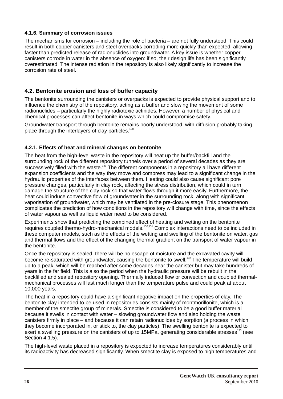#### **4.1.6. Summary of corrosion issues**

The mechanisms for corrosion – including the role of bacteria – are not fully understood. This could result in both copper canisters and steel overpacks corroding more quickly than expected, allowing faster than predicted release of radionuclides into groundwater. A key issue is whether copper canisters corrode in water in the absence of oxygen: if so, their design life has been significantly overestimated. The intense radiation in the repository is also likely significantly to increase the corrosion rate of steel.

#### **4.2. Bentonite erosion and loss of buffer capacity**

The bentonite surrounding the canisters or overpacks is expected to provide physical support and to influence the chemistry of the repository, acting as a buffer and slowing the movement of some radionuclides – particularly the highly radiotoxic actinides. However, a number of physical and chemical processes can affect bentonite in ways which could compromise safety.

Groundwater transport through bentonite remains poorly understood, with diffusion probably taking place through the interlayers of clay particles.<sup>128</sup>

#### **4.2.1. Effects of heat and mineral changes on bentonite**

The heat from the high-level waste in the repository will heat up the buffer/backfill and the surrounding rock of the different repository tunnels over a period of several decades as they are successively filled with the waste.<sup>129</sup> The different components in a repository all have different expansion coefficients and the way they move and compress may lead to a significant change in the hydraulic properties of the interfaces between them. Heating could also cause significant pore pressure changes, particularly in clay rock, affecting the stress distribution, which could in turn damage the structure of the clay rock so that water flows through it more easily. Furthermore, the heat could induce convective flow of groundwater in the surrounding rock, along with significant vaporisation of groundwater, which may be ventilated in the pre-closure stage. This phenomenon complicates the prediction of how conditions in the repository will change with time, since the effects of water vapour as well as liquid water need to be considered.

Experiments show that predicting the combined effect of heating and wetting on the bentonite 130,131 requires coupled thermo-hydro-mechanical models. Complex interactions need to be included in these computer models, such as the effects of the wetting and swelling of the bentonite on water, gas and thermal flows and the effect of the changing thermal gradient on the transport of water vapour in the bentonite.

Once the repository is sealed, there will be no escape of moisture and the excavated cavity will become re-saturated with groundwater, causing the bentonite to swell.<sup>132</sup> The temperature will build up to a peak, which will be reached after some decades near the canister but may take hundreds of years in the far field. This is also the period when the hydraulic pressure will be rebuilt in the backfilled and sealed repository opening. Thermally induced flow or convection and coupled thermalmechanical processes will last much longer than the temperature pulse and could peak at about 10,000 years.

The heat in a repository could have a significant negative impact on the properties of clay. The bentonite clay intended to be used in repositories consists mainly of montmorillonite, which is a member of the smectite group of minerals. Smectite is considered to be a good buffer material because it swells in contact with water – slowing groundwater flow and also holding the waste canisters firmly in place – and because it can retain radionuclides by sorption (a process in which they become incorporated in, or stick to, the clay particles). The swelling bentonite is expected to exert a swelling pressure on the canisters of up to 15MPa, generating considerable stresses<sup>133</sup> (see Section 4.1.5).

The high-level waste placed in a repository is expected to increase temperatures considerably until its radioactivity has decreased significantly. When smectite clay is exposed to high temperatures and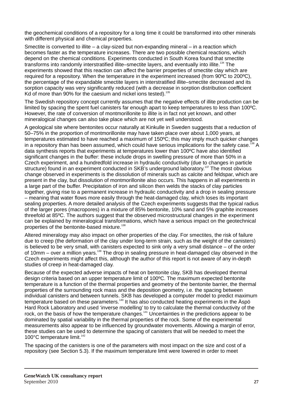the geochemical conditions of a repository for a long time it could be transformed into other minerals with different physical and chemical properties.

Smectite is converted to illite – a clay-sized but non-expanding mineral – in a reaction which becomes faster as the temperature increases. There are two possible chemical reactions, which depend on the chemical conditions. Experiments conducted in South Korea found that smectite transforms into randomly interstratified illite–smectite layers, and eventually into illite.<sup>134</sup> The experiments showed that this reaction can affect the barrier properties of smectite clay which are required for a repository. When the temperature in the experiment increased (from 90ºC to 200ºC), the percentage of the expandable smectite layers in interstratified illite–smectite decreased and its sorption capacity was very significantly reduced (with a decrease in sorption distribution coefficient Kd of more than 90% for the caesium and nickel ions tested).<sup>135</sup>

The Swedish repository concept currently assumes that the negative effects of illite production can be limited by spacing the spent fuel canisters far enough apart to keep temperatures to less than 100ºC. However, the rate of conversion of montmorillonite to illite is in fact not yet known, and other mineralogical changes can also take place which are not yet well understood.

A geological site where bentonites occur naturally at Kinkulle in Sweden suggests that a reduction of 50–75% in the proportion of montmorillonite may have taken place over about 1,000 years, at temperatures estimated to have reached a maximum of 150ºC; this may imply much quicker changes in a repository than has been assumed, which could have serious implications for the safety case.<sup>136</sup> A data synthesis reports that experiments at temperatures lower than 100ºC have also identified significant changes in the buffer: these include drops in swelling pressure of more than 50% in a Czech experiment, and a hundredfold increase in hydraulic conductivity (due to changes in particle structure) found in an experiment conducted in SKB's underground laboratory.<sup>137</sup> The most obvious change observed in experiments is the dissolution of minerals such as calcite and feldspar, which are present in the clay, but dissolution of montmorillonite also occurs. This happens in all experiments in a large part of the buffer. Precipitation of iron and silicon then welds the stacks of clay particles together, giving rise to a permanent increase in hydraulic conductivity and a drop in sealing pressure – meaning that water flows more easily through the heat-damaged clay, which loses its important sealing properties. A more detailed analysis of the Czech experiments suggests that the typical radius of the larger pores (macropores) in a mixture of 85% bentonite, 10% sand and 5% graphite increases threefold at 85ºC. The authors suggest that the observed microstructural changes in the experiment can be explained by mineralogical transformations, which have a serious impact on the geotechnical properties of the bentonite-based mixture.<sup>138</sup>

Altered mineralogy may also impact on other properties of the clay. For smectites, the risk of failure due to creep (the deformation of the clay under long-term strain, such as the weight of the canisters) is believed to be very small, with canisters expected to sink only a very small distance – of the order of 10mm – over a million years.<sup>139</sup> The drop in sealing pressure in heat-damaged clay observed in the Czech experiments might affect this, although the author of this report is not aware of any in-depth studies of creep in heat-damaged clay.

Because of the expected adverse impacts of heat on bentonite clay, SKB has developed thermal design criteria based on an upper temperature limit of 100ºC. The maximum expected bentonite temperature is a function of the thermal properties and geometry of the bentonite barrier, the thermal properties of the surrounding rock mass and the deposition geometry, i.e. the spacing between individual canisters and between tunnels. SKB has developed a computer model to predict maximum  $140$  temperature based on these parameters.<sup>140</sup> It has also conducted heating experiments in the Aspot Hard Rock Laboratory and used 'inverse modelling' to try to calculate the thermal conductivity of the rock, on the basis of how the temperature changes.<sup>141</sup> Uncertainties in the predictions appear to be dominated by spatial variability in the thermal properties of the rock. Some of the experimental measurements also appear to be influenced by groundwater movements. Allowing a margin of error, these studies can be used to determine the spacing of canisters that will be needed to meet the 100°C temperature limit.<sup>142</sup>

The spacing of the canisters is one of the parameters with most impact on the size and cost of a repository (see Section 5.3). If the maximum temperature limit were lowered in order to meet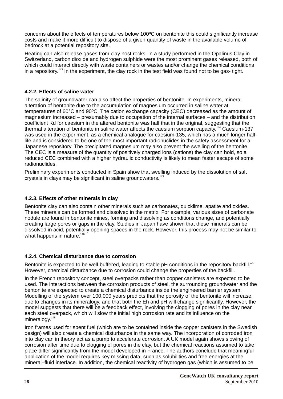concerns about the effects of temperatures below 100ºC on bentonite this could significantly increase costs and make it more difficult to dispose of a given quantity of waste in the available volume of bedrock at a potential repository site.

Heating can also release gases from clay host rocks. In a study performed in the Opalinus Clay in Switzerland, carbon dioxide and hydrogen sulphide were the most prominent gases released, both of which could interact directly with waste containers or wastes and/or change the chemical conditions in a repository.<sup>143</sup> In the experiment, the clay rock in the test field was found not to be gas- tight.

#### **4.2.2. Effects of saline water**

The salinity of groundwater can also affect the properties of bentonite. In experiments, mineral alteration of bentonite due to the accumulation of magnesium occurred in saline water at temperatures of 60°C and 90ºC. The cation exchange capacity (CEC) decreased as the amount of magnesium increased – presumably due to occupation of the internal surfaces – and the distribution coefficient Kd for caesium in the altered bentonite was half that in the original, suggesting that the thermal alteration of bentonite in saline water affects the caesium sorption capacity.<sup>144</sup> Caesium-137 was used in the experiment, as a chemical analogue for caesium-135, which has a much longer halflife and is considered to be one of the most important radionuclides in the safety assessment for a Japanese repository. The precipitated magnesium may also prevent the swelling of the bentonite. The CEC is a measure of the quantity of positively charged ions (cations) the clay can hold, so a reduced CEC combined with a higher hydraulic conductivity is likely to mean faster escape of some radionuclides.

Preliminary experiments conducted in Spain show that swelling induced by the dissolution of salt crystals in clays may be significant in saline groundwaters.<sup>145</sup>

#### **4.2.3. Effects of other minerals in clay**

Bentonite clay can also contain other minerals such as carbonates, quicklime, apatite and oxides. These minerals can be formed and dissolved in the matrix. For example, various sizes of carbonate nodule are found in bentonite mines, forming and dissolving as conditions change, and potentially creating large pores or gaps in the clay. Studies in Japan have shown that these minerals can be dissolved in acid, potentially opening spaces in the rock. However, this process may not be similar to what happens in nature. $146$ 

#### **4.2.4. Chemical disturbance due to corrosion**

Bentonite is expected to be well-buffered, leading to stable pH conditions in the repository backfill.<sup>147</sup> However, chemical disturbance due to corrosion could change the properties of the backfill.

In the French repository concept, steel overpacks rather than copper canisters are expected to be used. The interactions between the corrosion products of steel, the surrounding groundwater and the bentonite are expected to create a chemical disturbance inside the engineered barrier system. Modelling of the system over 100,000 years predicts that the porosity of the bentonite will increase, due to changes in its mineralogy, and that both the Eh and pH will change significantly. However, the model suggests that there will be a feedback effect, involving the clogging of pores in the clay near each steel overpack, which will slow the initial high corrosion rate and its influence on the  $mineralogy.<sup>148</sup>$ 

Iron frames used for spent fuel (which are to be contained inside the copper canisters in the Swedish design) will also create a chemical disturbance in the same way. The incorporation of corroded iron into clay can in theory act as a pump to accelerate corrosion. A UK model again shows slowing of corrosion after time due to clogging of pores in the clay, but the chemical reactions assumed to take place differ significantly from the model developed in France. The authors conclude that meaningful application of the model requires key missing data, such as solubilities and free energies at the mineral–fluid interface. In addition, the chemical reactivity of hydrogen gas (which is assumed to be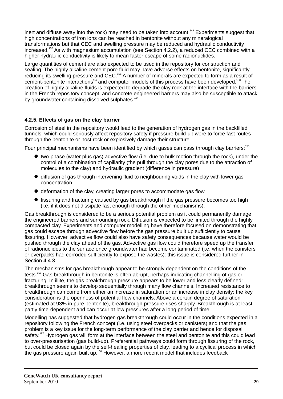inert and diffuse away into the rock) may need to be taken into account.<sup>149</sup> Experiments suggest that high concentrations of iron ions can be reached in bentonite without any mineralogical transformations but that CEC and swelling pressure may be reduced and hydraulic conductivity increased.<sup>150</sup> As with magnesium accumulation (see Section 4.2.2), a reduced CEC combined with a higher hydraulic conductivity is likely to mean faster escape of some radionuclides.

Large quantities of cement are also expected to be used in the repository for construction and sealing. The highly alkaline cement pore fluid may have adverse effects on bentonite, significantly reducing its swelling pressure and CEC.<sup>151</sup> A number of minerals are expected to form as a result of cement-bentonite interactions<sup>152</sup> and computer models of this process have been developed.<sup>153</sup> The creation of highly alkaline fluids is expected to degrade the clay rock at the interface with the barriers in the French repository concept, and concrete engineered barriers may also be susceptible to attack by groundwater containing dissolved sulphates.<sup>154</sup>

#### **4.2.5. Effects of gas on the clay barrier**

Corrosion of steel in the repository would lead to the generation of hydrogen gas in the backfilled tunnels, which could seriously affect repository safety if pressure build-up were to force fast routes through the bentonite or host rock or explosively damage their structure.

Four principal mechanisms have been identified by which gases can pass through clay barriers:<sup>155</sup>

- $\bullet$  two-phase (water plus gas) advective flow (i.e. due to bulk motion through the rock), under the control of a combination of capillarity (the pull through the clay pores due to the attraction of molecules to the clay) and hydraulic gradient (difference in pressure)
- $\bullet$  diffusion of gas through intervening fluid to neighbouring voids in the clay with lower gas concentration
- $\bullet$  deformation of the clay, creating larger pores to accommodate gas flow
- $\bullet$  fissuring and fracturing caused by gas breakthrough if the gas pressure becomes too high (i.e. if it does not dissipate fast enough through the other mechanisms).

Gas breakthrough is considered to be a serious potential problem as it could permanently damage the engineered barriers and surrounding rock. Diffusion is expected to be limited through the highly compacted clay. Experiments and computer modelling have therefore focused on demonstrating that gas could escape through advective flow before the gas pressure built up sufficiently to cause fissuring. However, advective flow could also have safety consequences because water would be pushed through the clay ahead of the gas. Advective gas flow could therefore speed up the transfer of radionuclides to the surface once groundwater had become contaminated (i.e. when the canisters or overpacks had corroded sufficiently to expose the wastes): this issue is considered further in Section 4.4.3.

The mechanisms for gas breakthrough appear to be strongly dependent on the conditions of the tests.<sup>156</sup> Gas breakthrough in bentonite is often abrupt, perhaps indicating channelling of gas or fracturing. In illite, the gas breakthrough pressure appears to be lower and less clearly defined: breakthrough seems to develop sequentially through many flow channels. Increased resistance to breakthrough can come from either an increase in saturation or an increase in clay density: the key consideration is the openness of potential flow channels. Above a certain degree of saturation (estimated at 93% in pure bentonite), breakthrough pressure rises sharply. Breakthrough is at least partly time-dependent and can occur at low pressures after a long period of time.

Modelling has suggested that hydrogen gas breakthrough could occur in the conditions expected in a repository following the French concept (i.e. using steel overpacks or canisters) and that the gas problem is a key issue for the long-term performance of the clay barrier and hence for disposal safety.<sup>157</sup> Hydrogen gas will form at the interface between the steel and bentonite and this could lead to over-pressurisation (gas build-up). Preferential pathways could form through fissuring of the rock, but could be closed again by the self-healing properties of clay, leading to a cyclical process in which the gas pressure again built up.<sup>158</sup> However, a more recent model that includes feedback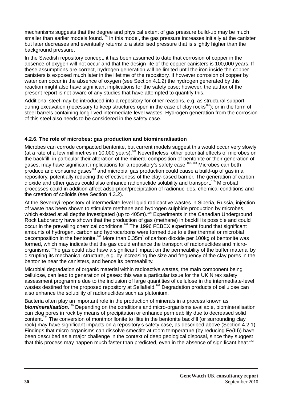mechanisms suggests that the degree and physical extent of gas pressure build-up may be much smaller than earlier models found. <sup>159</sup> In this model, the gas pressure increases initially at the canister, but later decreases and eventually returns to a stabilised pressure that is slightly higher than the background pressure.

In the Swedish repository concept, it has been assumed to date that corrosion of copper in the absence of oxygen will not occur and that the design life of the copper canisters is 100,000 years. If these assumptions are correct, hydrogen generation will be limited until the iron inside the copper canisters is exposed much later in the lifetime of the repository. If however corrosion of copper by water can occur in the absence of oxygen (see Section 4.1.2) the hydrogen generated by this reaction might also have significant implications for the safety case; however, the author of the present report is not aware of any studies that have attempted to quantify this.

Additional steel may be introduced into a repository for other reasons, e.g. as structural support during excavation (necessary to keep structures open in the case of clay rocks<sup>160</sup>); or in the form of steel barrels containing long-lived intermediate-level wastes. Hydrogen generation from the corrosion of this steel also needs to be considered in the safety case.

#### **4.2.6. The role of microbes: gas production and biomineralisation**

Microbes can corrode compacted bentonite, but current models suggest this would occur very slowly <sup>161</sup> (at a rate of a few millimetres in 10,000 years). Nevertheless, other potential effects of microbes on the backfill, in particular their alteration of the mineral composition of bentonite or their generation of gases, may have significant implications for a repository's safety case.<sup>162, 163</sup> Microbes can both  $\frac{1}{2}$  produce and consume gases<sup>164</sup> and microbial gas production could cause a build-up of gas in a repository, potentially reducing the effectiveness of the clay-based barrier. The generation of carbon dioxide and other gases could also enhance radionuclide solubility and transport.<sup>165</sup> Microbial processes could in addition affect adsorption/precipitation of radionuclides, chemical conditions and the creation of colloids (see Section 4.3.2).

At the Severnyi repository of intermediate-level liquid radioactive wastes in Siberia, Russia, injection of waste has been shown to stimulate methane and hydrogen sulphide production by microbes, which existed at all depths investigated (up to 405m).<sup>166</sup> Experiments in the Canadian Underground Rock Laboratory have shown that the production of gas (methane) in backfill is possible and could occur in the prevailing chemical conditions.<sup>167</sup> The 1996 FEBEX experiment found that significant amounts of hydrogen, carbon and hydrocarbons were formed due to either thermal or microbial decomposition in the bentonite.<sup>168</sup> More than 0.35m<sup>3</sup> of carbon dioxide per 100kg of bentonite was formed, which may indicate that the gas could enhance the transport of radionuclides and microorganisms. The gas could also have a significant impact on the permeability of the buffer material by disrupting its mechanical structure, e.g. by increasing the size and frequency of the clay pores in the bentonite near the canisters, and hence its permeability.

Microbial degradation of organic material within radioactive wastes, the main component being cellulose, can lead to generation of gases: this was a particular issue for the UK Nirex safety assessment programme due to the inclusion of large quantities of cellulose in the intermediate-level wastes destined for the proposed repository at Sellafield.<sup>169</sup> Degradation products of cellulose can also enhance the solubility of radionuclides such as plutonium.

Bacteria often play an important role in the production of minerals in a process known as **biomineralisation.** <sup>170</sup> Depending on the conditions and micro-organisms available, biomineralisation can clog pores in rock by means of precipitation or enhance permeability due to decreased solid content.<sup>171</sup> The conversion of montmorillonite to illite in the bentonite backfill (or surrounding clay rock) may have significant impacts on a repository's safety case, as described above (Section 4.2.1). Findings that micro-organisms can dissolve smectite at room temperature (by reducing Fe(III)) have been described as a major challenge in the context of deep geological disposal, since they suggest that this process may happen much faster than predicted, even in the absence of significant heat.<sup>172</sup>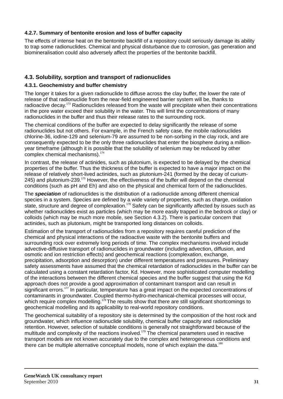#### **4.2.7. Summary of bentonite erosion and loss of buffer capacity**

The effects of intense heat on the bentonite backfill of a repository could seriously damage its ability to trap some radionuclides. Chemical and physical disturbance due to corrosion, gas generation and biomineralisation could also adversely affect the properties of the bentonite backfill.

#### **4.3. Solubility, sorption and transport of radionuclides**

#### **4.3.1. Geochemistry and buffer chemistry**

The longer it takes for a given radionuclide to diffuse across the clay buffer, the lower the rate of release of that radionuclide from the near-field engineered barrier system will be, thanks to radioactive decay.<sup>173</sup> Radionuclides released from the waste will precipitate when their concentrations in the pore water exceed their solubility in the water. This will limit the concentrations of many radionuclides in the buffer and thus their release rates to the surrounding rock.

The chemical conditions of the buffer are expected to delay significantly the release of some radionuclides but not others. For example, in the French safety case, the mobile radionuclides chlorine-36, iodine-129 and selenium-79 are assumed to be non-sorbing in the clay rock, and are consequently expected to be the only three radionuclides that enter the biosphere during a millionyear timeframe (although it is possible that the solubility of selenium may be reduced by other complex chemical mechanisms).<sup>174</sup>

In contrast, the release of actinides, such as plutonium, is expected to be delayed by the chemical properties of the buffer. Thus the thickness of the buffer is expected to have a major impact on the release of relatively short-lived actinides, such as plutonium-241 (formed by the decay of curium-245) and plutonium-239. $175$  However, the effectiveness of the buffer will depend on the chemical conditions (such as pH and Eh) and also on the physical and chemical form of the radionuclides.

The *speciation* of radionuclides is the distribution of a radionuclide among different chemical species in a system. Species are defined by a wide variety of properties, such as charge, oxidation state, structure and degree of complexation.<sup>176</sup> Safety can be significantly affected by issues such as whether radionuclides exist as particles (which may be more easily trapped in the bedrock or clay) or colloids (which may be much more mobile, see Section 4.3.2). There is particular concern that actinides, such as plutonium, might be transported long distances on colloids.

Estimation of the transport of radionuclides from a repository requires careful prediction of the chemical and physical interactions of the radioactive waste with the bentonite buffers and surrounding rock over extremely long periods of time. The complex mechanisms involved include advective-diffusive transport of radionuclides in groundwater (including advection, diffusion, and osmotic and ion restriction effects) and geochemical reactions (complexation, exchange, precipitation, adsorption and desorption) under different temperatures and pressures. Preliminary safety assessments have assumed that the chemical retardation of radionuclides in the buffer can be calculated using a constant retardation factor, Kd. However, more sophisticated computer modelling of the interactions between the different chemical species and the buffer suggest that using the Kd approach does not provide a good approximation of contaminant transport and can result in significant errors.<sup>177</sup> In particular, temperature has a great impact on the expected concentrations of contaminants in groundwater. Coupled thermo-hydro-mechanical-chemical processes will occur, which require complex modelling.<sup> $178$ </sup> The results show that there are still significant shortcomings to geochemical modelling and its applicability to real-world repository conditions.

The geochemical suitability of a repository site is determined by the composition of the host rock and groundwater, which influence radionuclide solubility, chemical buffer capacity and radionuclide retention. However, selection of suitable conditions is generally not straightforward because of the multitude and complexity of the reactions involved.<sup>179</sup> The chemical parameters used in reactive transport models are not known accurately due to the complex and heterogeneous conditions and there can be multiple alternative conceptual models, none of which explain the data.<sup>180</sup>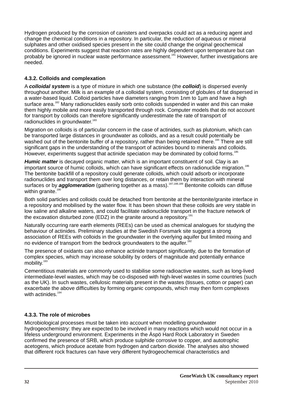Hydrogen produced by the corrosion of canisters and overpacks could act as a reducing agent and change the chemical conditions in a repository. In particular, the reduction of aqueous or mineral sulphates and other oxidised species present in the site could change the original geochemical conditions. Experiments suggest that reaction rates are highly dependent upon temperature but can probably be ignored in nuclear waste performance assessment.<sup>181</sup> However, further investigations are needed.

#### **4.3.2. Colloids and complexation**

A *colloidal system* is a type of mixture in which one substance (the *colloid*) is dispersed evenly throughout another. Milk is an example of a colloidal system, consisting of globules of fat dispersed in a water-based liquid. Colloid particles have diameters ranging from 1nm to 1µm and have a high surface area.<sup>182</sup> Many radionuclides easily sorb onto colloids suspended in water and this can make them highly mobile and more easily transported through rock. Computer models that do not account for transport by colloids can therefore significantly underestimate the rate of transport of radionuclides in groundwater.<sup>183</sup>

Migration on colloids is of particular concern in the case of actinides, such as plutonium, which can be transported large distances in groundwater as colloids, and as a result could potentially be washed out of the bentonite buffer of a repository, rather than being retained there.<sup>184</sup> There are still significant gaps in the understanding of the transport of actinides bound to minerals and colloids. However, experiments suggest that actinide speciation may be dominated by colloid forms.<sup>185</sup>

Humic matter is decayed organic matter, which is an important constituent of soil. Clay is an important source of humic colloids, which can have significant effects on radionuclide migration.<sup>186</sup> The bentonite backfill of a repository could generate colloids, which could adsorb or incorporate radionuclides and transport them over long distances, or retain them by interaction with mineral surfaces or by **agglomeration** (gathering together as a mass).<sup>187,188,189</sup> Bentonite colloids can diffuse within granite.<sup>190</sup>

Both solid particles and colloids could be detached from bentonite at the bentonite/granite interface in a repository and mobilised by the water flow. It has been shown that these colloids are very stable in low saline and alkaline waters, and could facilitate radionuclide transport in the fracture network of the excavation disturbed zone (EDZ) in the granite around a repository.<sup>191</sup>

Naturally occurring rare earth elements (REEs) can be used as chemical analogues for studying the behaviour of actinides. Preliminary studies at the Swedish Forsmark site suggest a strong association of REEs with colloids in the groundwater in the overlying aquifer but limited mixing and no evidence of transport from the bedrock groundwaters to the aquifer.<sup>192</sup>

The presence of oxidants can also enhance actinide transport significantly, due to the formation of complex species, which may increase solubility by orders of magnitude and potentially enhance mobility.<sup>193</sup>

Cementitious materials are commonly used to stabilise some radioactive wastes, such as long-lived intermediate-level wastes, which may be co-disposed with high-level wastes in some countries (such as the UK). In such wastes, cellulosic materials present in the wastes (tissues, cotton or paper) can exacerbate the above difficulties by forming organic compounds, which may then form complexes with actinides.  $194$ 

#### **4.3.3. The role of microbes**

Microbiological processes must be taken into account when modelling groundwater hydrogeochemistry: they are expected to be involved in many reactions which would not occur in a lifeless underground environment. Experiments in the Äspö Hard Rock Laboratory in Sweden confirmed the presence of SRB, which produce sulphide corrosive to copper, and autotrophic acetogens, which produce acetate from hydrogen and carbon dioxide. The analyses also showed that different rock fractures can have very different hydrogeochemical characteristics and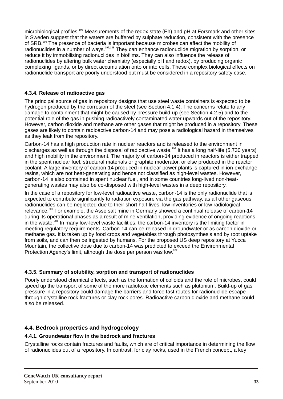microbiological profiles.<sup>195</sup> Measurements of the redox state (Eh) and pH at Forsmark and other sites in Sweden suggest that the waters are buffered by sulphate reduction, consistent with the presence of SRB.<sup>196</sup> The presence of bacteria is important because microbes can affect the mobility of radionuclides in a number of ways.<sup>197,198</sup> They can enhance radionuclide migration by sorption, or reduce it by immobilising radionuclides in biofilms. They can also influence the release of radionuclides by altering bulk water chemistry (especially pH and redox), by producing organic complexing ligands, or by direct accumulation onto or into cells. These complex biological effects on radionuclide transport are poorly understood but must be considered in a repository safety case.

#### **4.3.4. Release of radioactive gas**

The principal source of gas in repository designs that use steel waste containers is expected to be hydrogen produced by the corrosion of the steel (see Section 4.1.4). The concerns relate to any damage to containment that might be caused by pressure build-up (see Section 4.2.5) and to the potential role of the gas in pushing radioactively contaminated water upwards out of the repository. However, carbon dioxide and methane are other gases that might be produced in a repository. These gases are likely to contain radioactive carbon-14 and may pose a radiological hazard in themselves as they leak from the repository.

Carbon-14 has a high production rate in nuclear reactors and is released to the environment in discharges as well as through the disposal of radioactive waste.<sup>199</sup> It has a long half-life (5,730 years) and high mobility in the environment. The majority of carbon-14 produced in reactors is either trapped in the spent nuclear fuel, structural materials or graphite moderator, or else produced in the reactor coolant. A large inventory of carbon-14 produced in nuclear power plants is captured in ion-exchange resins, which are not heat-generating and hence not classified as high-level wastes. However, carbon-14 is also contained in spent nuclear fuel, and in some countries long-lived non-heatgenerating wastes may also be co-disposed with high-level wastes in a deep repository.

In the case of a repository for low-level radioactive waste, carbon-14 is the only radionuclide that is expected to contribute significantly to radiation exposure via the gas pathway, as all other gaseous radionuclides can be neglected due to their short half-lives, low inventories or low radiological relevance.<sup>200</sup> For example, the Asse salt mine in Germany showed a continual release of carbon-14 during its operational phases as a result of mine ventilation, providing evidence of ongoing reactions in the waste.<sup>201</sup> In many low-level waste facilities, the carbon-14 inventory is the limiting factor in meeting regulatory requirements. Carbon-14 can be released in groundwater or as carbon dioxide or methane gas. It is taken up by food crops and vegetables through photosynthesis and by root uptake from soils, and can then be ingested by humans. For the proposed US deep repository at Yucca Mountain, the collective dose due to carbon-14 was predicted to exceed the Environmental Protection Agency's limit, although the dose per person was low.<sup>202</sup>

#### **4.3.5. Summary of solubility, sorption and transport of radionuclides**

Poorly understood chemical effects, such as the formation of colloids and the role of microbes, could speed up the transport of some of the more radiotoxic elements such as plutonium. Build-up of gas pressure in a repository could damage the barriers and force fast routes for radionuclide escape through crystalline rock fractures or clay rock pores. Radioactive carbon dioxide and methane could also be released.

#### **4.4. Bedrock properties and hydrogeology**

#### **4.4.1. Groundwater flow in the bedrock and fractures**

Crystalline rocks contain fractures and faults, which are of critical importance in determining the flow of radionuclides out of a repository. In contrast, for clay rocks, used in the French concept, a key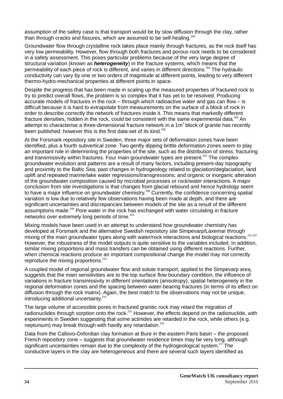assumption of the safety case is that transport would be by slow diffusion through the clay, rather than through cracks and fissures, which are assumed to be self-healing. $203$ 

Groundwater flow through crystalline rock takes place mainly through fractures, as the rock itself has very low permeability. However, flow through both fractures and porous rock needs to be considered in a safety assessment. This poses particular problems because of the very large degree of structural variation (known as *heterogeneity*) in the fracture systems, which means that the permeability of each piece of rock is different, and varies in different directions.<sup>204</sup> The hydraulic conductivity can vary by one or two orders of magnitude at different points, leading to very different thermo-hydro-mechanical properties at different points in space.

Despite the progress that has been made in scaling up the measured properties of fractured rock to try to predict overall flows, the problem is so complex that it has yet to be resolved. Producing accurate models of fractures in the rock – through which radioactive water and gas can flow – is difficult because it is hard to extrapolate from measurements on the surface of a block of rock in order to describe correctly the network of fractures inside it. This means that markedly different fracture densities, hidden in the rock, could be consistent with the same experimental data.<sup>205</sup> An attempt to characterise a three-dimensional fracture network in a 1m<sup>3</sup> block of granite has recently been published: however this is the first data-set of its kind.<sup>206</sup>

At the Forsmark repository site in Sweden, three major sets of deformation zones have been identified, plus a fourth subvertical zone. Two gently dipping brittle deformation zones seem to play an important role in determining the properties of the site, such as the distribution of stress, fracturing and transmissivity within fractures. Four main groundwater types are present.<sup>207</sup> The complex groundwater evolution and patterns are a result of many factors, including present-day topography and proximity to the Baltic Sea; past changes in hydrogeology related to glaciation/deglaciation, land uplift and repeated marine/lake water regressions/transgressions; and organic or inorganic alteration of the groundwater composition caused by microbial processes or rock/water interactions. A major conclusion from site investigations is that changes from glacial rebound and hence hydrology seem to have a major influence on groundwater chemistry.<sup>208</sup> Currently, the confidence concerning spatial variation is low due to relatively few observations having been made at depth, and there are significant uncertainties and discrepancies between models of the site as a result of the different assumptions made.<sup>209</sup> Pore water in the rock has exchanged with water circulating in fracture networks over extremely long periods of time. $210$ 

Mixing models have been used in an attempt to understand how groundwater chemistry has developed at Forsmark and the alternative Swedish repository site Simpevarp/Laxemar through mixing of the main groundwater types along with water/rock interactions and biological reactions.<sup>211,212</sup> However, the robustness of the model outputs is quite sensitive to the variables included. In addition, similar mixing proportions and mass transfers can be obtained using different reactions. Further, when chemical reactions produce an important compositional change the model may not correctly reproduce the mixing proportions.<sup>213</sup>

A coupled model of regional groundwater flow and solute transport, applied to the Simpevarp area, suggests that the main sensitivities are to the top surface flow boundary condition, the influence of variations in fracture transmissivity in different orientations (anisotropy), spatial heterogeneity in the regional deformation zones and the spacing between water-bearing fractures (in terms of its effect on diffusion through the rock matrix). Again, the best match to the observations may not be unique, introducing additional uncertainty.<sup>214</sup>

The large volume of accessible pores in fractured granitic rock may retard the migration of radionuclides through sorption onto the rock.<sup>215</sup> However, the effects depend on the radionuclide, with experiments in Sweden suggesting that some actinides are retarded in the rock, while others (e.g. neptunium) may break through with hardly any retardation.<sup>216</sup>

Data from the Callovo-Oxfordian clay formation at Bure in the eastern Paris basin – the proposed French repository zone – suggests that groundwater residence times may be very long, although significant uncertainties remain due to the complexity of the hydrogeological system.<sup>217</sup> The conductive layers in the clay are heterogeneous and there are several such layers identified as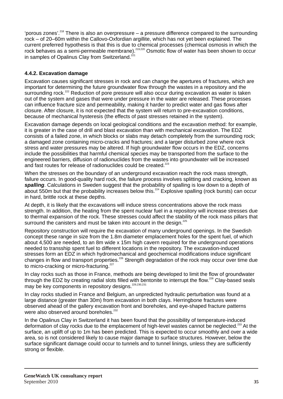'porous zones'.<sup>218</sup> There is also an overpressure – a pressure difference compared to the surrounding rock – of 20–60m within the Callovo-Oxfordian argillite, which has not yet been explained. The current preferred hypothesis is that this is due to chemical processes (chemical osmosis in which the 221<br>2219,220 rock behaves as a semi-permeable membrane).<sup>219,220</sup> Osmotic flow of water has been shown to occur<br>in samples of Onalinus Clay from Switzerland<sup>221</sup> in samples of Opalinus Clay from Switzerland.<sup>2</sup>

#### **4.4.2. Excavation damage**

Excavation causes significant stresses in rock and can change the apertures of fractures, which are important for determining the future groundwater flow through the wastes in a repository and the surrounding rock.<sup>222</sup> Reduction of pore pressure will also occur during excavation as water is taken out of the system and gases that were under pressure in the water are released. These processes can influence fracture size and permeability, making it harder to predict water and gas flows after closure. After closure, it is not expected that the system will return to pre-excavation conditions, because of mechanical hysteresis (the effects of past stresses retained in the system).

Excavation damage depends on local geological conditions and the excavation method: for example, it is greater in the case of drill and blast excavation than with mechanical excavation. The EDZ consists of a failed zone, in which blocks or slabs may detach completely from the surrounding rock; a damaged zone containing micro-cracks and fractures; and a larger disturbed zone where rock stress and water pressures may be altered. If high groundwater flow occurs in the EDZ, concerns include the possibilities that harmful chemical species may be transported from the surface to the engineered barriers, diffusion of radionuclides from the wastes into groundwater will be increased and fast routes for release of radionuclides could be created.<sup>223</sup>

When the stresses on the boundary of an underground excavation reach the rock mass strength, failure occurs. In good-quality hard rock, the failure process involves splitting and cracking, known as **spalling**. Calculations in Sweden suggest that the probability of spalling is low down to a depth of about 550m but that the probability increases below this.  $224$  Explosive spalling (rock bursts) can occur in hard, brittle rock at these depths.

At depth, it is likely that the excavations will induce stress concentrations above the rock mass strength. In addition, the heating from the spent nuclear fuel in a repository will increase stresses due to thermal expansion of the rock. These stresses could affect the stability of the rock mass pillars that surround the canisters and must be taken into account in the design. $225$ 

Repository construction will require the excavation of many underground openings. In the Swedish concept these range in size from the 1.8m diameter emplacement holes for the spent fuel, of which about 4,500 are needed, to an 8m wide x 15m high cavern required for the underground operations needed to transship spent fuel to different locations in the repository. The excavation-induced stresses form an EDZ in which hydromechanical and geochemical modifications induce significant changes in flow and transport properties.<sup>226</sup> Strength degradation of the rock may occur over time due to micro-cracking or micro-fracturing.<sup>227</sup>

In clay rocks such as those in France, methods are being developed to limit the flow of groundwater through the EDZ by creating radial slots filled with bentonite to interrupt the flow.<sup>228</sup> Clay-based seals may be key components in repository desians.<sup>229,230,231</sup>

In clay rocks studied in France and Belgium, an unpredicted hydraulic perturbation was found at a large distance (greater than 30m) from excavation in both clays. Herringbone fractures were observed ahead of the gallery excavation front and boreholes, and eye-shaped fracture patterns were also observed around boreholes.<sup>232</sup>

In the Opalinus Clay in Switzerland it has been found that the possibility of temperature-induced deformation of clay rocks due to the emplacement of high-level wastes cannot be neglected.<sup>233</sup> At the surface, an uplift of up to 1m has been predicted. This is expected to occur smoothly and over a wide area, so is not considered likely to cause major damage to surface structures. However, below the surface significant damage could occur to tunnels and to tunnel linings, unless they are sufficiently strong or flexible.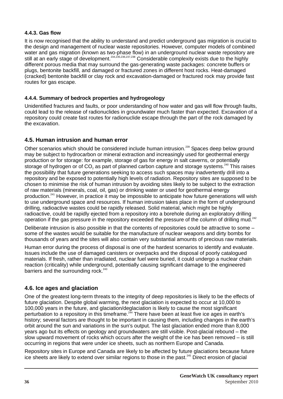#### **4.4.3. Gas flow**

It is now recognised that the ability to understand and predict underground gas migration is crucial to the design and management of nuclear waste repositories. However, computer models of combined water and gas migration (known as two-phase flow) in an underground nuclear waste repository are still at an early stage of development.<sup>234,235,236,237,238</sup> Considerable complexity exists due to the highly different porous media that may surround the gas-generating waste packages: concrete buffers or plugs, bentonite backfill, and damaged or fractured zones in different host rocks. Heat-damaged (cracked) bentonite backfill or clay rock and excavation-damaged or fractured rock may provide fast routes for gas escape.

#### **4.4.4. Summary of bedrock properties and hydrogeology**

Unidentified fractures and faults, or poor understanding of how water and gas will flow through faults, could lead to the release of radionuclides in groundwater much faster than expected. Excavation of a repository could create fast routes for radionuclide escape through the part of the rock damaged by the excavation.

#### **4.5. Human intrusion and human error**

Other scenarios which should be considered include human intrusion.<sup>239</sup> Spaces deep below ground may be subject to hydrocarbon or mineral extraction and increasingly used for geothermal energy production or for storage: for example, storage of gas for energy in salt caverns, or potentially storage of hydrogen or of CO<sub>2</sub> as part of planned carbon capture and storage systems.<sup>240</sup> This raises the possibility that future generations seeking to access such spaces may inadvertently drill into a repository and be exposed to potentially high levels of radiation. Repository sites are supposed to be chosen to minimise the risk of human intrusion by avoiding sites likely to be subject to the extraction of raw materials (minerals, coal, oil, gas) or drinking water or used for geothermal energy production.<sup>241</sup> However, in practice it may be impossible to anticipate how future generations will wish to use underground space and resources. If human intrusion takes place in the form of underground drilling, radioactive wastes could be rapidly released. Solid material, which might be highly radioactive, could be rapidly ejected from a repository into a borehole during an exploratory drilling operation if the gas pressure in the repository exceeded the pressure of the column of drilling mud.<sup>242</sup>

Deliberate intrusion is also possible in that the contents of repositories could be attractive to some some of the wastes would be suitable for the manufacture of nuclear weapons and dirty bombs for thousands of years and the sites will also contain very substantial amounts of precious raw materials.

Human error during the process of disposal is one of the hardest scenarios to identify and evaluate. Issues include the use of damaged canisters or overpacks and the disposal of poorly catalogued materials. If fresh, rather than irradiated, nuclear fuel were buried, it could undergo a nuclear chain reaction (criticality) while underground, potentially causing significant damage to the engineered barriers and the surrounding rock. $243$ 

#### **4.6. Ice ages and glaciation**

One of the greatest long-term threats to the integrity of deep repositories is likely to be the effects of future glaciation. Despite global warming, the next glaciation is expected to occur at 10,000 to 100,000 years in the future, and glaciation/deglaciation is likely to cause the most significant perturbation to a repository in this timeframe.<sup>244</sup> There have been at least five ice ages in earth's history; several factors are thought to be important in causing them, including changes in the earth's orbit around the sun and variations in the sun's output. The last glaciation ended more than 8,000 years ago but its effects on geology and groundwaters are still visible. Post-glacial rebound – the slow upward movement of rocks which occurs after the weight of the ice has been removed – is still occurring in regions that were under ice sheets, such as northern Europe and Canada.

Repository sites in Europe and Canada are likely to be affected by future glaciations because future ice sheets are likely to extend over similar regions to those in the past.<sup>245</sup> Direct erosion of glacial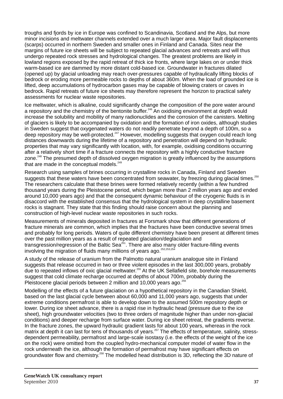troughs and fjords by ice in Europe was confined to Scandinavia, Scotland and the Alps, but more minor incisions and meltwater channels extended over a much larger area. Major fault displacements (scarps) occurred in northern Sweden and smaller ones in Finland and Canada. Sites near the margins of future ice sheets will be subject to repeated glacial advances and retreats and will thus undergo repeated rock stresses and hydrological changes. The greatest problems are likely in lowland regions exposed by the rapid retreat of thick ice fronts, where large lakes on or under thick warm-based ice are dammed by more distant cold-based ice. Groundwater in fractures dilated (opened up) by glacial unloading may reach over-pressures capable of hydraulically lifting blocks of bedrock or eroding more permeable rocks to depths of about 360m. When the load of grounded ice is lifted, deep accumulations of hydrocarbon gases may be capable of blowing craters or caves in bedrock. Rapid retreats of future ice sheets may therefore represent the horizon to practical safety assessments for nuclear waste repositories.

Ice meltwater, which is alkaline, could significantly change the composition of the pore water around a repository and the chemistry of the bentonite buffer.<sup>246</sup> An oxidising environment at depth would increase the solubility and mobility of many radionuclides and the corrosion of the canisters. Melting of glaciers is likely to be accompanied by oxidation and the formation of iron oxides, although studies in Sweden suggest that oxygenated waters do not readily penetrate beyond a depth of 100m, so a deep repository may be well-protected.<sup>247</sup> However, modelling suggests that oxygen could reach long distances downwards during the lifetime of a repository and penetration will depend on hydraulic properties that may vary significantly with location, with, for example, oxidising conditions occurring after a relatively short time if a fracture connects the repository with a highly conductive fracture zone.<sup>248</sup> The presumed depth of dissolved oxygen migration is greatly influenced by the assumptions that are made in the conceptual models. $249$ 

Research using samples of brines occurring in crystalline rocks in Canada, Finland and Sweden suggests that these waters have been concentrated from seawater, by freezing during glacial times.<sup>250</sup> The researchers calculate that these brines were formed relatively recently (within a few hundred thousand years during the Pleistocene period, which began more than 2 million years ago and ended around 10,000 years ago) and that the consequent dynamic behaviour of the cryogenic fluids is in disaccord with the established consensus that the hydrological system in deep crystalline basement rocks is stagnant. They state that this finding should raise concern about the planning and construction of high-level nuclear waste repositories in such rocks.

Measurements of minerals deposited in fractures at Forsmark show that different generations of fracture minerals are common, which implies that the fractures have been conductive several times and probably for long periods. Waters of quite different chemistry have been present at different times over the past million years as a result of repeated glaciation/deglaciation and transgression/regression of the Baltic Sea<sup>251</sup>. There are also many older fracture-filling events involving the migration of fluids many millions of vears ago.<sup>252,253,254</sup>

A study of the release of uranium from the Palmotto natural uranium analogue site in Finland suggests that release occurred in two or three violent episodes in the last 300,000 years, probably due to repeated inflows of oxic glacial meltwater.<sup>255</sup> At the UK Sellafield site, borehole measurements suggest that cold climate recharge occurred at depths of about 700m, probably during the Pleistocene glacial periods between 2 million and 10,000 years ago.<sup>251</sup>

Modelling of the effects of a future glaciation on a hypothetical repository in the Canadian Shield, based on the last glacial cycle between about 60,000 and 11,000 years ago, suggests that under extreme conditions permafrost is able to develop down to the assumed 500m repository depth or lower. During ice sheet advance, there is a rapid rise in hydraulic head (pressure due to the ice sheet), high groundwater velocities (two to three orders of magnitude higher than under non-glacial conditions) and deeper recharge from surface water. During ice sheet retreat, the gradients reverse. In the fracture zones, the upward hydraulic gradient lasts for about 100 years, whereas in the rock matrix at depth it can last for tens of thousands of years.<sup>257</sup> The effects of temperature, salinity, stressdependent permeability, permafrost and large-scale isostasy (i.e. the effects of the weight of the ice on the rock) were omitted from the coupled hydro-mechanical computer model of water flow in the rock underneath the ice, although the formation of permafrost may have significant effects on groundwater flow and chemistry.<sup>258</sup> The modelled head distribution is 3D, reflecting the 3D nature of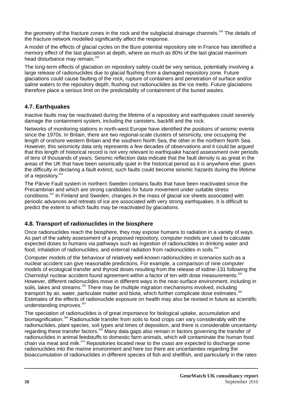the geometry of the fracture zones in the rock and the subglacial drainage channels.<sup>259</sup> The details of the fracture network modelled significantly affect the response.

A model of the effects of glacial cycles on the Bure potential repository site in France has identified a memory effect of the last glaciation at depth, where as much as 80% of the last glacial maximum head disturbance may remain.<sup>260</sup>

The long-term effects of glaciation on repository safety could be very serious, potentially involving a large release of radionuclides due to glacial flushing from a damaged repository zone. Future glaciations could cause faulting of the rock, rupture of containers and penetration of surface and/or saline waters to the repository depth, flushing out radionuclides as the ice melts. Future glaciations therefore place a serious limit on the predictability of containment of the buried wastes.

#### **4.7. Earthquakes**

Inactive faults may be reactivated during the lifetime of a repository and earthquakes could severely damage the containment system, including the canisters, backfill and the rock.

Networks of monitoring stations in north-west Europe have identified the positions of seismic events since the 1970s. In Britain, there are two regional-scale clusters of seismicity, one occupying the length of onshore western Britain and the southern North Sea, the other in the northern North Sea. However, this seismicity data only represents a few decades of observations and it could be argued that this length of historical record is not very relevant to earthquake hazard assessment over periods of tens of thousands of years. Seismic reflection data indicate that the fault density is as great in the areas of the UK that have been seismically quiet in the historical period as it is anywhere else; given the difficulty in declaring a fault extinct, such faults could become seismic hazards during the lifetime of a repository. $261$ 

The Pärvie Fault system in northern Sweden contains faults that have been reactivated since the Precambrian and which are strong candidates for future movement under suitable stress conditions.<sup>262</sup> In Finland and Sweden, changes in the mass of glacial ice sheets associated with periodic advances and retreats of ice are associated with very strong earthquakes. It is difficult to predict the extent to which faults may be reactivated by glaciations.

#### **4.8. Transport of radionuclides in the biosphere**

Once radionuclides reach the biosphere, they may expose humans to radiation in a variety of ways. As part of the safety assessment of a proposed repository, computer models are used to calculate expected doses to humans via pathways such as ingestion of radionuclides in drinking water and food, inhalation of radionuclides, and external radiation from radionuclides in soils.<sup>263</sup>

Computer models of the behaviour of relatively well-known radionuclides in scenarios such as a nuclear accident can give reasonable predictions. For example, a comparison of nine computer models of ecological transfer and thyroid doses resulting from the release of iodine-131 following the Chernobyl nuclear accident found agreement within a factor of ten with dose measurements.<sup>264</sup> However, different radionuclides move in different ways in the near-surface environment, including in soils, lakes and streams.<sup>265</sup> There may be multiple migration mechanisms involved, including transport by air, water, particulate matter and biota, which further complicate dose estimates. $^{266}$ Estimates of the effects of radionuclide exposure on health may also be revised in future as scientific understanding improves.<sup>267</sup>

The speciation of radionuclides is of great importance for biological uptake, accumulation and biomagnification.<sup>268</sup> Radionuclide transfer from soils to food crops can vary considerably with the radionuclides, plant species, soil types and times of deposition, and there is considerable uncertainty regarding these transfer factors.<sup>269</sup> Many data gaps also remain in factors governing the transfer of radionuclides in animal feedstuffs to domestic farm animals, which will contaminate the human food chain via meat and milk.<sup>270</sup> Repositories located near to the coast are expected to discharge some radionuclides into the marine environment and here too there are uncertainties regarding the bioaccumulation of radionuclides in different species of fish and shellfish, and particularly in the rates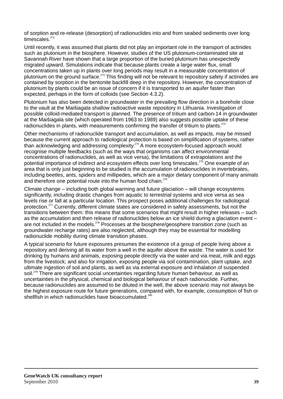of sorption and re-release (desorption) of radionuclides into and from seabed sediments over long timescales. $271$ 

Until recently, it was assumed that plants did not play an important role in the transport of actinides such as plutonium in the biosphere. However, studies of the US plutonium-contaminated site at Savannah River have shown that a large proportion of the buried plutonium has unexpectedly migrated upward. Simulations indicate that because plants create a large water flux, small concentrations taken up in plants over long periods may result in a measurable concentration of plutonium on the ground surface.<sup> $272$ </sup> This finding will not be relevant to repository safety if actinides are contained by sorption in the bentonite backfill deep in the repository. However, the concentration of plutonium by plants could be an issue of concern if it is transported to an aquifer faster than expected, perhaps in the form of colloids (see Section 4.3.2).

Plutonium has also been detected in groundwater in the prevailing flow direction in a borehole close to the vault at the Maišiagala shallow radioactive waste repository in Lithuania. Investigation of possible colloid-mediated transport is planned. The presence of tritium and carbon-14 in groundwater at the Maišiagala site (which operated from 1963 to 1989) also suggests possible uptake of these radionuclides in plants, with measurements confirming the transfer of tritium to plants.<sup>273</sup>

Other mechanisms of radionuclide transport and accumulation, as well as impacts, may be missed because the current approach to radiological protection is based on simplification of systems, rather than acknowledging and addressing complexity.<sup>274</sup> A more ecosystem-focused approach would recognise multiple feedbacks (such as the ways that organisms can affect environmental concentrations of radionuclides, as well as vice versa), the limitations of extrapolations and the potential importance of indirect and ecosystem effects over long timescales.<sup> $275$ </sup> One example of an area that is only just beginning to be studied is the accumulation of radionuclides in invertebrates, including beetles, ants, spiders and millipedes, which are a major dietary component of many animals and therefore one potential route into the human food chain.<sup>276</sup>

Climate change – including both global warming and future glaciation – will change ecosystems significantly, including drastic changes from aquatic to terrestrial systems and vice versa as sea levels rise or fall at a particular location. This prospect poses additional challenges for radiological protection.<sup>277</sup> Currently, different climate states are considered in safety assessments, but not the transitions between them: this means that some scenarios that might result in higher releases – such as the accumulation and then release of radionuclides below an ice shield during a glaciation event – are not included in the models.<sup>278</sup> Processes at the biosphere/geosphere transition zone (such as groundwater recharge rates) are also neglected, although they may be essential for modelling radionuclide mobility during climate transition phases.

A typical scenario for future exposures presumes the existence of a group of people living above a repository and deriving all its water from a well in the aquifer above the waste. The water is used for drinking by humans and animals, exposing people directly via the water and via meat, milk and eggs from the livestock; and also for irrigation, exposing people via soil contamination, plant uptake, and ultimate ingestion of soil and plants, as well as via external exposure and inhalation of suspended soil.<sup>279</sup> There are significant social uncertainties regarding future human behaviour, as well as uncertainties in the physical, chemical and biological behaviour of each radionuclide. Further, because radionuclides are assumed to be diluted in the well, the above scenario may not always be the highest exposure route for future generations, compared with, for example, consumption of fish or shellfish in which radionuclides have bioaccumulated.<sup>280</sup>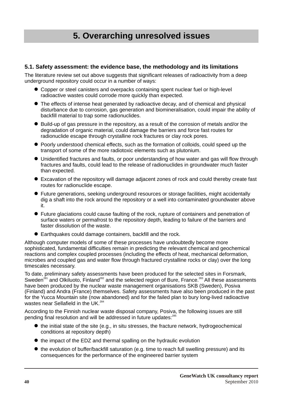# **5. Overarching unresolved issues**

#### **5.1. Safety assessment: the evidence base, the methodology and its limitations**

The literature review set out above suggests that significant releases of radioactivity from a deep underground repository could occur in a number of ways:

- Copper or steel canisters and overpacks containing spent nuclear fuel or high-level radioactive wastes could corrode more quickly than expected.
- The effects of intense heat generated by radioactive decay, and of chemical and physical disturbance due to corrosion, gas generation and biomineralisation, could impair the ability of backfill material to trap some radionuclides.
- Build-up of gas pressure in the repository, as a result of the corrosion of metals and/or the degradation of organic material, could damage the barriers and force fast routes for radionuclide escape through crystalline rock fractures or clay rock pores.
- Poorly understood chemical effects, such as the formation of colloids, could speed up the transport of some of the more radiotoxic elements such as plutonium.
- Unidentified fractures and faults, or poor understanding of how water and gas will flow through fractures and faults, could lead to the release of radionuclides in groundwater much faster than expected.
- Excavation of the repository will damage adjacent zones of rock and could thereby create fast routes for radionuclide escape.
- l Future generations, seeking underground resources or storage facilities, might accidentally dig a shaft into the rock around the repository or a well into contaminated groundwater above it.
- l Future glaciations could cause faulting of the rock, rupture of containers and penetration of surface waters or permafrost to the repository depth, leading to failure of the barriers and faster dissolution of the waste.
- Earthquakes could damage containers, backfill and the rock.

Although computer models of some of these processes have undoubtedly become more sophisticated, fundamental difficulties remain in predicting the relevant chemical and geochemical reactions and complex coupled processes (including the effects of heat, mechanical deformation, microbes and coupled gas and water flow through fractured crystalline rocks or clay) over the long timescales necessary.

To date, preliminary safety assessments have been produced for the selected sites in Forsmark, Sweden<sup>281</sup> and Olkiluoto, Finland<sup>282</sup> and the selected region of Bure, France.<sup>283</sup> All these assessments have been produced by the nuclear waste management organisations SKB (Sweden), Posiva (Finland) and Andra (France) themselves. Safety assessments have also been produced in the past for the Yucca Mountain site (now abandoned) and for the failed plan to bury long-lived radioactive wastes near Sellafield in the UK.<sup>284</sup>

According to the Finnish nuclear waste disposal company, Posiva, the following issues are still pending final resolution and will be addressed in future updates:<sup>285</sup>

- $\bullet$  the initial state of the site (e.g., in situ stresses, the fracture network, hydrogeochemical conditions at repository depth)
- $\bullet$  the impact of the EDZ and thermal spalling on the hydraulic evolution
- $\bullet$  the evolution of buffer/backfill saturation (e.g. time to reach full swelling pressure) and its consequences for the performance of the engineered barrier system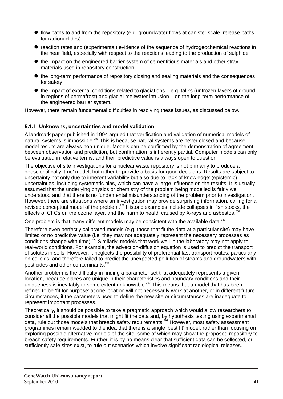- $\bullet$  flow paths to and from the repository (e.g. groundwater flows at canister scale, release paths for radionuclides)
- reaction rates and (experimental) evidence of the sequence of hydrogeochemical reactions in the near field, especially with respect to the reactions leading to the production of sulphide
- $\bullet$  the impact on the engineered barrier system of cementitious materials and other stray materials used in repository construction
- $\bullet$  the long-term performance of repository closing and sealing materials and the consequences for safety
- $\bullet$  the impact of external conditions related to glaciations e.g. taliks (unfrozen layers of ground in regions of permafrost) and glacial meltwater intrusion – on the long-term performance of the engineered barrier system.

However, there remain fundamental difficulties in resolving these issues, as discussed below.

#### **5.1.1. Unknowns, uncertainties and model validation**

A landmark paper published in 1994 argued that verification and validation of numerical models of natural systems is impossible.<sup>286</sup> This is because natural systems are never closed and because model results are always non-unique. Models can be confirmed by the demonstration of agreement between observation and prediction, but confirmation is inherently partial. Computer models can only be evaluated in relative terms, and their predictive value is always open to question.

The objective of site investigations for a nuclear waste repository is not primarily to produce a geoscientifically 'true' model, but rather to provide a basis for good decisions. Results are subject to uncertainty not only due to inherent variability but also due to 'lack of knowledge' (epistemic) uncertainties, including systematic bias, which can have a large influence on the results. It is usually assumed that the underlying physics or chemistry of the problem being modelled is fairly well understood and that there is no fundamental misunderstanding of the problem prior to investigation. However, there are situations where an investigation may provide surprising information, calling for a revised conceptual model of the problem.<sup>287</sup> Historic examples include collapses in fish stocks, the effects of CFCs on the ozone layer, and the harm to health caused by X-rays and asbestos.<sup>288</sup>

One problem is that many different models may be consistent with the available data.<sup>289</sup>

Therefore even perfectly calibrated models (e.g. those that fit the data at a particular site) may have limited or no predictive value (i.e. they may not adequately represent the necessary processes as conditions change with time).  $290$  Similarly, models that work well in the laboratory may not apply to real-world conditions. For example, the advection-diffusion equation is used to predict the transport of solutes in soils. However, it neglects the possibility of preferential fast transport routes, particularly on colloids, and therefore failed to predict the unexpected pollution of steams and groundwaters with pesticides and other contaminants.<sup>2</sup>

Another problem is the difficulty in finding a parameter set that adequately represents a given location, because places are unique in their characteristics and boundary conditions and their uniqueness is inevitably to some extent unknowable.<sup>292</sup> This means that a model that has been refined to be 'fit for purpose' at one location will not necessarily work at another, or in different future circumstances, if the parameters used to define the new site or circumstances are inadequate to represent important processes.

Theoretically, it should be possible to take a pragmatic approach which would allow researchers to consider all the possible models that might fit the data and, by hypothesis testing using experimental 203 data, rule out those models that breach safety requirements.<sup>293</sup> However, most safety assessment programmes remain wedded to the idea that there is a single 'best fit' model, rather than focusing on exploring possible alternative models of the site, some of which may show the proposed repository to breach safety requirements. Further, it is by no means clear that sufficient data can be collected, or sufficiently safe sites exist, to rule out scenarios which involve significant radiological releases.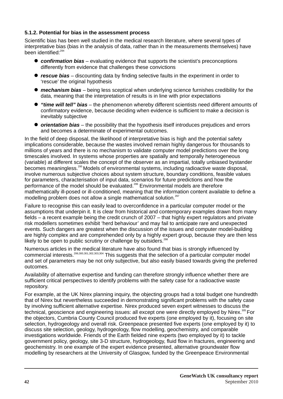#### **5.1.2. Potential for bias in the assessment process**

Scientific bias has been well studied in the medical research literature, where several types of interpretative bias (bias in the analysis of data, rather than in the measurements themselves) have been identified:<sup>294</sup>

- **confirmation bias** evaluating evidence that supports the scientist's preconceptions differently from evidence that challenges these convictions
- **rescue bias** discounting data by finding selective faults in the experiment in order to 'rescue' the original hypothesis
- **mechanism bias** being less sceptical when underlying science furnishes credibility for the data, meaning that the interpretation of results is in line with prior expectations
- **"time will tell" bias** the phenomenon whereby different scientists need different amounts of confirmatory evidence, because deciding when evidence is sufficient to make a decision is inevitably subjective
- **•** orientation bias the possibility that the hypothesis itself introduces prejudices and errors and becomes a determinate of experimental outcomes.

In the field of deep disposal, the likelihood of interpretative bias is high and the potential safety implications considerable, because the wastes involved remain highly dangerous for thousands to millions of years and there is no mechanism to validate computer model predictions over the long timescales involved. In systems whose properties are spatially and temporally heterogeneous (variable) at different scales the concept of the observer as an impartial, totally unbiased bystander becomes meaningless.<sup>295</sup> Models of environmental systems, including radioactive waste disposal, involve numerous subjective choices about system structure, boundary conditions, feasible values for parameters, characterisation of input data, scenarios for future predictions and how the performance of the model should be evaluated.<sup>296</sup> Environmental models are therefore mathematically ill-posed or ill-conditioned, meaning that the information content available to define a modelling problem does not allow a single mathematical solution.<sup>297</sup>

Failure to recognise this can easily lead to overconfidence in a particular computer model or the assumptions that underpin it. It is clear from historical and contemporary examples drawn from many fields – a recent example being the credit crunch of 2007 – that highly expert regulators and private risk modellers sometimes exhibit 'herd behaviour' and may fail to anticipate rare and unexpected events. Such dangers are greatest when the discussion of the issues and computer model-building are highly complex and are comprehended only by a highly expert group, because they are then less likely to be open to public scrutiny or challenge by outsiders. $298$ 

Numerous articles in the medical literature have also found that bias is strongly influenced by commercial interests.<sup>299,300,301,302,303,304</sup> This suggests that the selection of a particular computer model and set of parameters may be not only subjective, but also easily biased towards giving the preferred outcomes.

Availability of alternative expertise and funding can therefore strongly influence whether there are sufficient critical perspectives to identify problems with the safety case for a radioactive waste repository.

For example, at the UK Nirex planning inquiry, the objecting groups had a total budget one hundredth that of Nirex but nevertheless succeeded in demonstrating significant problems with the safety case by involving sufficient alternative expertise. Nirex produced seven expert witnesses to discuss the technical, geoscience and engineering issues: all except one were directly employed by Nirex.<sup>305</sup> For the objectors, Cumbria County Council produced five experts (one employed by it), focusing on site selection, hydrogeology and overall risk. Greenpeace presented five experts (one employed by it) to discuss site selection, geology, hydrogeology, flow modelling, geochemistry, and comparable investigations worldwide. Friends of the Earth fielded nine experts (two employed by it) to tackle government policy, geology, site 3-D structure, hydrogeology, fluid flow in fractures, engineering and geochemistry. In one example of the expert evidence presented, alternative groundwater flow modelling by researchers at the University of Glasgow, funded by the Greenpeace Environmental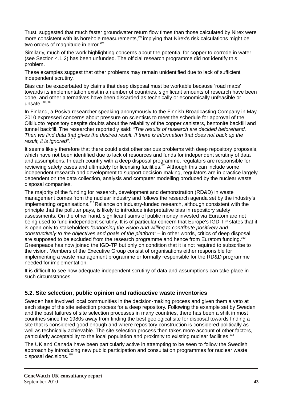Trust, suggested that much faster groundwater return flow times than those calculated by Nirex were more consistent with its borehole measurements, <sup>306</sup> implying that Nirex's risk calculations might be two orders of magnitude in error. $307$ 

Similarly, much of the work highlighting concerns about the potential for copper to corrode in water (see Section 4.1.2) has been unfunded. The official research programme did not identify this problem.

These examples suggest that other problems may remain unidentified due to lack of sufficient independent scrutiny.

Bias can be exacerbated by claims that deep disposal must be workable because 'road maps' towards its implementation exist in a number of countries, significant amounts of research have been done, and other alternatives have been discarded as technically or economically unfeasible or  $unsafe<sup>308,309</sup>$ 

In Finland, a Posiva researcher speaking anonymously to the Finnish Broadcasting Company in May 2010 expressed concerns about pressure on scientists to meet the schedule for approval of the Olkiluoto repository despite doubts about the reliability of the copper canisters, bentonite backfill and tunnel backfill. The researcher reportedly said: *"The results of research are decided beforehand. Then we find data that gives the desired result. If there is information that does not back up the*  result, it is *ignored*".<sup>310</sup>

It seems likely therefore that there could exist other serious problems with deep repository proposals, which have not been identified due to lack of resources and funds for independent scrutiny of data and assumptions. In each country with a deep disposal programme, regulators are responsible for reviewing safety cases and ultimately for licensing facilities.<sup>311</sup> Although this can include some independent research and development to support decision-making, regulators are in practice largely dependent on the data collection, analysis and computer modelling produced by the nuclear waste disposal companies.

The majority of the funding for research, development and demonstration (RD&D) in waste management comes from the nuclear industry and follows the research agenda set by the industry's implementing organisations.<sup>312</sup> Reliance on industry-funded research, although consistent with the principle that the polluter pays, is likely to introduce interpretative bias in repository safety assessments. On the other hand, significant sums of public money invested via Euratom are not being used to fund independent scrutiny. It is of particular concern that Europe's IGD-TP states that it is open only to stakeholders *"endorsing the vision and willing to contribute positively and constructively to the objectives and goals of the platform" –* in other words, critics of deep disposal are supposed to be excluded from the research programme and hence from Euratom funding.<sup>313</sup> Greenpeace has now joined the IGD-TP but only on condition that it is not required to subscribe to the vision. Members of the Executive Group consist of organisations either responsible for implementing a waste management programme or formally responsible for the RD&D programme needed for implementation.

It is difficult to see how adequate independent scrutiny of data and assumptions can take place in such circumstances.

#### **5.2. Site selection, public opinion and radioactive waste inventories**

Sweden has involved local communities in the decision-making process and given them a veto at each stage of the site selection process for a deep repository. Following the example set by Sweden and the past failures of site selection processes in many countries, there has been a shift in most countries since the 1980s away from finding the best geological site for disposal towards finding a site that is considered good enough and where repository construction is considered politically as well as technically achievable. The site selection process then takes more account of other factors, particularly acceptability to the local population and proximity to existing nuclear facilities.<sup>314</sup>

The UK and Canada have been particularly active in attempting to be seen to follow the Swedish approach by introducing new public participation and consultation programmes for nuclear waste  $d$  disposal decisions. $315$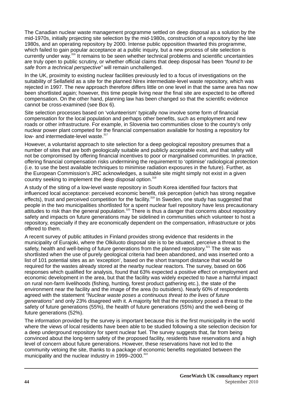The Canadian nuclear waste management programme settled on deep disposal as a solution by the mid-1970s, initially projecting site selection by the mid-1980s, construction of a repository by the late 1980s, and an operating repository by 2000. Intense public opposition thwarted this programme, which failed to gain popular acceptance at a public inquiry, but a new process of site selection is currently under way.<sup>316</sup> It remains to be seen whether technical problems and scientific uncertainties are truly open to public scrutiny, or whether official claims that deep disposal has been *"found to be safe from a technical perspective"* will remain unchallenged.

In the UK, proximity to existing nuclear facilities previously led to a focus of investigations on the suitability of Sellafield as a site for the planned Nirex intermediate-level waste repository, which was rejected in 1997. The new approach therefore differs little on one level in that the same area has now been shortlisted again; however, this time people living near the final site are expected to be offered compensation. On the other hand, planning law has been changed so that the scientific evidence cannot be cross-examined (see Box 6).

Site selection processes based on 'volunteerism' typically now involve some form of financial compensation for the local population and perhaps other benefits, such as employment and new roads or other infrastructure. For example, in Slovenia two communities close to the country's only nuclear power plant competed for the financial compensation available for hosting a repository for low- and intermediate-level waste.<sup>317</sup>

However, a voluntarist approach to site selection for a deep geological repository presumes that a number of sites that are both geologically suitable and publicly acceptable exist, and that safety will not be compromised by offering financial incentives to poor or marginalised communities. In practice, offering financial compensation risks undermining the requirement to 'optimise' radiological protection (i.e. to use the best available techniques to minimise radiation exposures in the future). Further, as the European Commission's JRC acknowledges, a suitable site might simply not exist in a given country seeking to implement the deep disposal option.<sup>318</sup>

A study of the siting of a low-level waste repository in South Korea identified four factors that influenced local acceptance: perceived economic benefit, risk perception (which has strong negative effects), trust and perceived competition for the facility.<sup>319</sup> In Sweden, one study has suggested that people in the two municipalities shortlisted for a spent nuclear fuel repository have less precautionary  $\frac{1}{2}$  attitudes to risk than the general population.<sup>320</sup> There is thus a danger that concerns about repository safety and impacts on future generations may be sidelined in communities which volunteer to host a repository, especially if they are economically dependent on the compensation, infrastructure or jobs offered to them.

A recent survey of public attitudes in Finland provides strong evidence that residents in the municipality of Eurajoki, where the Olkiluoto disposal site is to be situated, perceive a threat to the safety, health and well-being of future generations from the planned repository.<sup>321</sup> The site was shortlisted when the use of purely geological criteria had been abandoned, and was inserted onto a list of 101 potential sites as an 'exception', based on the short transport distance that would be required for the wastes already stored at the nearby nuclear reactors. The survey, based on 606 responses which qualified for analysis, found that 63% expected a positive effect on employment and economic development in the area, but that the facility was widely expected to have a harmful impact on rural non-farm livelihoods (fishing, hunting, forest product gathering etc.), the state of the environment near the facility and the image of the area (to outsiders). Nearly 60% of respondents agreed with the statement *"Nuclear waste poses a continuous threat to the lives of future generations"* and only 23% disagreed with it. A majority felt that the repository posed a threat to the safety of future generations (55%), the health of future generations (55%) and the well-being of future generations (52%).

The information provided by the survey is important because this is the first municipality in the world where the views of local residents have been able to be studied following a site selection decision for a deep underground repository for spent nuclear fuel. The survey suggests that, far from being convinced about the long-term safety of the proposed facility, residents have reservations and a high level of concern about future generations. However, these reservations have not led to the community vetoing the site, thanks to a package of economic benefits negotiated between the municipality and the nuclear industry in 1999–2000.<sup>322</sup>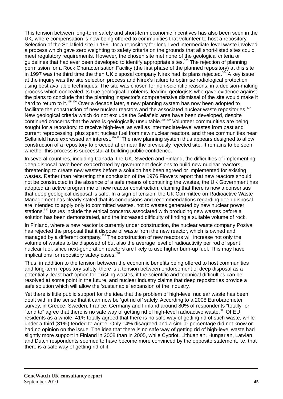This tension between long-term safety and short-term economic incentives has also been seen in the UK, where compensation is now being offered to communities that volunteer to host a repository. Selection of the Sellafield site in 1991 for a repository for long-lived intermediate-level waste involved a process which gave zero weighting to safety criteria on the grounds that all short-listed sites could meet regulatory requirements. However, the chosen site met none of the geological criteria or quidelines that had ever been developed to identify appropriate sites.<sup>323</sup> The rejection of planning permission for a Rock Characterisation Facility (the first phase of the planned repository) at this site in 1997 was the third time the then UK disposal company Nirex had its plans rejected.<sup>324</sup> A key issue at the inquiry was the site selection process and Nirex's failure to optimise radiological protection using best available techniques. The site was chosen for non-scientific reasons, in a decision-making process which concealed its true geological problems, leading geologists who gave evidence against the plans to conclude that the planning inspector's comprehensive dismissal of the site would make it hard to return to it.<sup>325,326</sup> Over a decade later, a new planning system has now been adopted to facilitate the construction of new nuclear reactors and the associated nuclear waste repositories. $327$ New geological criteria which do not exclude the Sellafield area have been developed, despite continued concerns that the area is geologically unsuitable.<sup>328,329</sup> Volunteer communities are being sought for a repository, to receive high-level as well as intermediate-level wastes from past and current reprocessing, plus spent nuclear fuel from new nuclear reactors, and three communities near Sellafield have expressed an interest.<sup>330,331</sup> The new planning system thus appears designed to allow construction of a repository to proceed at or near the previously rejected site. It remains to be seen whether this process is successful at building public confidence.

In several countries, including Canada, the UK, Sweden and Finland, the difficulties of implementing deep disposal have been exacerbated by government decisions to build new nuclear reactors, threatening to create new wastes before a solution has been agreed or implemented for existing wastes. Rather than reiterating the conclusion of the 1976 Flowers report that new reactors should not be constructed in the absence of a safe means of containing the wastes, the UK Government has adopted an active programme of new reactor construction, claiming that there is now a consensus that deep geological disposal is safe. In a sign of tension, the UK Committee on Radioactive Waste Management has clearly stated that its conclusions and recommendations regarding deep disposal are intended to apply only to committed wastes, not to wastes generated by new nuclear power stations.<sup>332</sup> Issues include the ethical concerns associated with producing new wastes before a solution has been demonstrated, and the increased difficulty of finding a suitable volume of rock.

In Finland, where a new reactor is currently under construction, the nuclear waste company Posiva has rejected the proposal that it dispose of waste from the new reactor, which is owned and managed by a different company.<sup>333</sup> The construction of new reactors will increase not only the volume of wastes to be disposed of but also the average level of radioactivity per rod of spent nuclear fuel, since next-generation reactors are likely to use higher burn-up fuel. This may have implications for repository safety cases. $334$ 

Thus, in addition to the tension between the economic benefits being offered to host communities and long-term repository safety, there is a tension between endorsement of deep disposal as a potentially 'least bad' option for existing wastes, if the scientific and technical difficulties can be resolved at some point in the future, and nuclear industry claims that deep repositories provide a safe solution which will allow the 'sustainable' expansion of the industry.

Yet there is little public support for the idea that the problem of high-level nuclear waste has been dealt with in the sense that it can now be 'got rid of' safely. According to a 2008 Eurobarometer survey, in Greece, Sweden, France, Germany and Finland around 80% of respondents "totally" or "tend to" agree that there is no safe way of getting rid of high-level radioactive waste.<sup>335</sup> Of EU residents as a whole, 41% totally agreed that there is no safe way of getting rid of such waste, while under a third (31%) tended to agree. Only 14% disagreed and a similar percentage did not know or had no opinion on the issue. The idea that there is no safe way of getting rid of high-level waste had slightly more support in Finland in 2008 than in 2005, while Cypriot, Lithuanian, Hungarian, Latvian and Dutch respondents seemed to have become more convinced by the opposite statement, i.e. that there is a safe way of getting rid of it.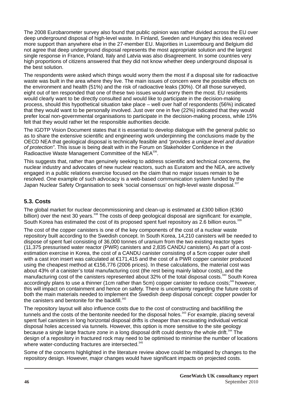The 2008 Eurobarometer survey also found that public opinion was rather divided across the EU over deep underground disposal of high-level waste. In Finland, Sweden and Hungary this idea received more support than anywhere else in the 27-member EU. Majorities in Luxembourg and Belgium did not agree that deep underground disposal represents the most appropriate solution and the largest single response in France, Poland, Italy and Latvia was also disagreement. In some countries very high proportions of citizens answered that they did not know whether deep underground disposal is the best solution.

The respondents were asked which things would worry them the most if a disposal site for radioactive waste was built in the area where they live. The main issues of concern were the possible effects on the environment and health (51%) and the risk of radioactive leaks (30%). Of all those surveyed, eight out of ten responded that one of these two issues would worry them the most. EU residents would clearly want to be directly consulted and would like to participate in the decision-making process, should this hypothetical situation take place – well over half of respondents (56%) indicated that they would want to be personally involved. Just over one in five (22%) indicated that they would prefer local non-governmental organisations to participate in the decision-making process, while 15% felt that they would rather let the responsible authorities decide.

The IGDTP Vision Document states that it is essential to develop dialogue with the general public so as to share the extensive scientific and engineering work underpinning the conclusions made by the OECD NEA that geological disposal is technically feasible and *"provides a unique level and duration of protection"*. This issue is being dealt with in the Forum on Stakeholder Confidence in the Radioactive Waste Management Committee of the NEA<sup>336</sup>.

This suggests that, rather than genuinely seeking to address scientific and technical concerns, the nuclear industry and advocates of new nuclear reactors, such as Euratom and the NEA, are actively engaged in a public relations exercise focused on the claim that no major issues remain to be resolved. One example of such advocacy is a web-based communication system funded by the Japan Nuclear Safety Organisation to seek 'social consensus' on high-level waste disposal. 337

#### **5.3. Costs**

The global market for nuclear decommissioning and clean-up is estimated at £300 billion (€360 billion) over the next 30 years.<sup>338</sup> The costs of deep geological disposal are significant: for example, South Korea has estimated the cost of its proposed spent fuel repository as 2.6 billion euros.<sup>33</sup>

The cost of the copper canisters is one of the key components of the cost of a nuclear waste repository built according to the Swedish concept. In South Korea, 14,210 canisters will be needed to dispose of spent fuel consisting of 36,000 tonnes of uranium from the two existing reactor types (11,375 pressurised water reactor (PWR) canisters and 2,835 CANDU canisters). As part of a costestimation exercise in Korea, the cost of a CANDU canister consisting of a 5cm copper outer shell with a cast iron insert was calculated at €171,415 and the cost of a PWR copper canister produced using the cheapest method at €156,776 (2006 prices). In these calculations, the material cost was about 43% of a canister's total manufacturing cost (the rest being mainly labour costs), and the manufacturing cost of the canisters represented about 32% of the total disposal costs.<sup>340</sup> South Korea accordingly plans to use a thinner (1cm rather than 5cm) copper canister to reduce costs;<sup>341</sup> however, this will impact on containment and hence on safety. There is uncertainty regarding the future costs of both the main materials needed to implement the Swedish deep disposal concept: copper powder for the canisters and bentonite for the backfill. $342$ 

The repository layout will also influence costs due to the cost of constructing and backfilling the tunnels and the costs of the bentonite needed for the disposal holes.<sup>343</sup> For example, placing several spent fuel canisters in long horizontal disposal drifts is cheaper than excavating individual vertical disposal holes accessed via tunnels. However, this option is more sensitive to the site geology because a single large fracture zone in a long disposal drift could destroy the whole drift.<sup>344</sup> The design of a repository in fractured rock may need to be optimised to minimise the number of locations where water-conducting fractures are intersected.<sup>345</sup>

Some of the concerns highlighted in the literature review above could be mitigated by changes to the repository design. However, major changes would have significant impacts on projected costs.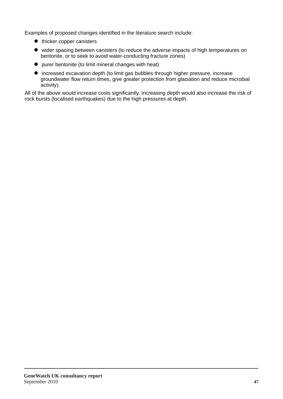Examples of proposed changes identified in the literature search include:

- $\bullet$  thicker copper canisters
- $\bullet$  wider spacing between canisters (to reduce the adverse impacts of high temperatures on bentonite, or to seek to avoid water-conducting fracture zones)
- $\bullet$  purer bentonite (to limit mineral changes with heat)
- $\bullet$  increased excavation depth (to limit gas bubbles through higher pressure, increase groundwater flow return times, give greater protection from glaciation and reduce microbial activity).

All of the above would increase costs significantly. Increasing depth would also increase the risk of rock bursts (localised earthquakes) due to the high pressures at depth.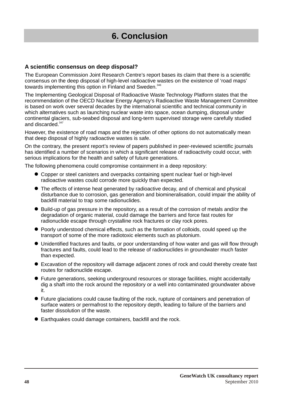# **6. Conclusion**

#### **A scientific consensus on deep disposal?**

The European Commission Joint Research Centre's report bases its claim that there is a scientific consensus on the deep disposal of high-level radioactive wastes on the existence of 'road maps' towards implementing this option in Finland and Sweden.<sup>346</sup>

The Implementing Geological Disposal of Radioactive Waste Technology Platform states that the recommendation of the OECD Nuclear Energy Agency's Radioactive Waste Management Committee is based on work over several decades by the international scientific and technical community in which alternatives such as launching nuclear waste into space, ocean dumping, disposal under continental glaciers, sub-seabed disposal and long-term supervised storage were carefully studied and discarded.<sup>347</sup>

However, the existence of road maps and the rejection of other options do not automatically mean that deep disposal of highly radioactive wastes is safe.

On the contrary, the present report's review of papers published in peer-reviewed scientific journals has identified a number of scenarios in which a significant release of radioactivity could occur, with serious implications for the health and safety of future generations.

The following phenomena could compromise containment in a deep repository:

- l Copper or steel canisters and overpacks containing spent nuclear fuel or high-level radioactive wastes could corrode more quickly than expected.
- The effects of intense heat generated by radioactive decay, and of chemical and physical disturbance due to corrosion, gas generation and biomineralisation, could impair the ability of backfill material to trap some radionuclides.
- Build-up of gas pressure in the repository, as a result of the corrosion of metals and/or the degradation of organic material, could damage the barriers and force fast routes for radionuclide escape through crystalline rock fractures or clay rock pores.
- l Poorly understood chemical effects, such as the formation of colloids, could speed up the transport of some of the more radiotoxic elements such as plutonium.
- $\bullet$  Unidentified fractures and faults, or poor understanding of how water and gas will flow through fractures and faults, could lead to the release of radionuclides in groundwater much faster than expected.
- Excavation of the repository will damage adjacent zones of rock and could thereby create fast routes for radionuclide escape.
- l Future generations, seeking underground resources or storage facilities, might accidentally dig a shaft into the rock around the repository or a well into contaminated groundwater above it.
- l Future glaciations could cause faulting of the rock, rupture of containers and penetration of surface waters or permafrost to the repository depth, leading to failure of the barriers and faster dissolution of the waste.
- **Earthquakes could damage containers, backfill and the rock.**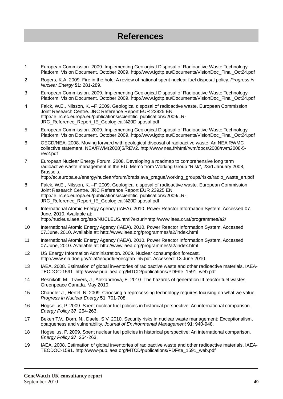### **References**

- 1 European Commission. 2009. Implementing Geological Disposal of Radioactive Waste Technology Platform: Vision Document. October 2009. http://www.igdtp.eu/Documents/VisionDoc\_Final\_Oct24.pdf
- 2 Rogers, K.A. 2009. Fire in the hole: A review of national spent nuclear fuel disposal policy. *Progress in Nuclear Energy* **51**: 281-289.
- 3 European Commission. 2009. Implementing Geological Disposal of Radioactive Waste Technology Platform: Vision Document. October 2009. http://www.igdtp.eu/Documents/VisionDoc\_Final\_Oct24.pdf
- 4 Falck, W.E., Nilsson, K. –F. 2009. Geological disposal of radioactive waste. European Commission Joint Research Centre. JRC Reference Report EUR 23925 EN. http://ie.jrc.ec.europa.eu/publications/scientific\_publications/2009/LR-JRC\_Reference\_Report\_IE\_Geological%20Disposal.pdf
- 5 European Commission. 2009. Implementing Geological Disposal of Radioactive Waste Technology Platform: Vision Document. October 2009. http://www.igdtp.eu/Documents/VisionDoc\_Final\_Oct24.pdf
- 6 OECD/NEA, 2008. Moving forward with geological disposal of radioactive waste: An NEA RWMC collective statement. NEA/RWM(2008)5/REV2. http://www.nea.fr/html/rwm/docs/2008/rwm2008-5 rev2.pdf
- 7 European Nuclear Energy Forum. 2008. Developing a roadmap to comprehensive long term radioactive waste management in the EU. Memo from Working Group "Risk", 23rd January 2008, Brussels. http://ec.europa.eu/energy/nuclear/forum/bratislava\_prague/working\_groups/risks/radio\_waste\_en.pdf
- 8 Falck, W.E., Nilsson, K. –F. 2009. Geological disposal of radioactive waste. European Commission Joint Research Centre. JRC Reference Report EUR 23925 EN. http://ie.jrc.ec.europa.eu/publications/scientific\_publications/2009/LR-JRC\_Reference\_Report\_IE\_Geological%20Disposal.pdf
- 9 International Atomic Energy Agency (IAEA). 2010. Power Reactor Information System. Accessed 07. June, 2010. Available at: http://nucleus.iaea.org/sso/NUCLEUS.html?exturl=http://www.iaea.or.at/programmes/a2/
- 10 International Atomic Energy Agency (IAEA). 2010. Power Reactor Information System. Accessed 07.June, 2010. Available at: http://www.iaea.org/programmes/a2/index.html
- 11 International Atomic Energy Agency (IAEA). 2010. Power Reactor Information System. Accessed 07.June, 2010. Available at: http://www.iaea.org/programmes/a2/index.html
- 12 US Energy Information Administration. 2009. Nuclear consumption forecast. http://www.eia.doe.gov/oiaf/ieo/pdf/ieoecgtab\_h5.pdf. Accessed: 13 June 2010.
- 13 IAEA. 2008. Estimation of global inventories of radioactive waste and other radioactive materials. IAEA-TECDOC-1591. http://www-pub.iaea.org/MTCD/publications/PDF/te\_1591\_web.pdf
- 14 Resnikoff, M., Travers, J., Alexandrova, E. 2010. The hazards of generation III reactor fuel wastes. Greenpeace Canada. May 2010.
- 15 Chandler J., Hertel, N. 2009. Choosing a reprocessing technology requires focusing on what we value. *Progress in Nuclear Energy* **51**: 701-708.
- 16 Högselius, P. 2009. Spent nuclear fuel policies in historical perspective: An international comparison. *Energy Policy* **37**: 254-263.
- 17 Beken T.V., Dorn, N., Daele, S.V. 2010. Security risks in nuclear waste management: Exceptionalism, opaqueness and vulnerability. *Journal of Environmental Management* **91**: 940-948.
- 18 Högselius, P. 2009. Spent nuclear fuel policies in historical perspective: An international comparison. *Energy Policy* **37**: 254-263.
- 19 IAEA. 2008. Estimation of global inventories of radioactive waste and other radioactive materials. IAEA-TECDOC-1591. http://www-pub.iaea.org/MTCD/publications/PDF/te\_1591\_web.pdf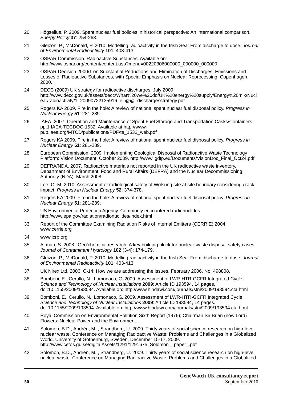- 20 Högselius, P. 2009. Spent nuclear fuel policies in historical perspective: An international comparison. *Energy Policy* **37**: 254-263.
- 21 Gleizon, P., McDonald, P. 2010. Modelling radioactivity in the Irish Sea: From discharge to dose. *Journal of Environmental Radioactivity* **101**: 403-413.
- 22 OSPAR Commission. Radioactive Substances. Available on: http://www.ospar.org/content/content.asp?menu=00220306000000\_000000\_000000
- 23 OSPAR Decision 2000/1 on Substantial Reductions and Elimination of Discharges, Emissions and Losses of Radioactive Substances, with Special Emphasis on Nuclear Reprocessing. Copenhagen, 2000.
- 24 DECC (2009) UK strategy for radioactive discharges. July 2009. http://www.decc.gov.uk/assets/decc/What%20we%20do/UK%20energy%20supply/Energy%20mix/Nucl ear/radioactivity/1\_20090722135916\_e\_@@\_dischargesstrategy.pdf
- 25 Rogers KA 2009. Fire in the hole: A review of national spent nuclear fuel disposal policy. *Progress in Nuclear Energy* **51**: 281-289.
- 26 IAEA. 2007. Operation and Maintenance of Spent Fuel Storage and Transportation Casks/Containers. pp.1 IAEA-TECDOC-1532. Available at http://wwwpub.iaea.org/MTCD/publications/PDF/te\_1532\_web.pdf
- 27 Rogers KA 2009. Fire in the hole: A review of national spent nuclear fuel disposal policy. *Progress in Nuclear Energy* **51**: 281-289.
- 28 European Commission. 2009. Implementing Geological Disposal of Radioactive Waste Technology Platform: Vision Document. October 2009. http://www.igdtp.eu/Documents/VisionDoc\_Final\_Oct24.pdf
- 29 DEFRA/NDA. 2007. Radioactive materials not reported in the UK radioactive waste inventory. Department of Environment, Food and Rural Affairs (DEFRA) and the Nuclear Decommissioning Authority (NDA). March 2008.
- 30 Lee, C.-M. 2010. Assessment of radiological safety of Wolsung site at site boundary considering crack impact. *Progress in Nuclear Energy* **52**: 374-378.
- 31 Rogers KA 2009. Fire in the hole: A review of national spent nuclear fuel disposal policy. *Progress in Nuclear Energy* **51**: 281-289.
- 32 US Environmental Protection Agency. Commonly encountered radionuclides. http://www.epa.gov/radiation/radionuclides/index.html
- 33 Report of the Committee Examining Radiation Risks of Internal Emitters (CERRIE) 2004. www.cerrie.org
- 34 www.icrp.org
- 35 Altman, S. 2008. 'Geo'chemical research: A key building block for nuclear waste disposal safety cases. *Journal of Contaminant Hydrology* **102** (3-4): 174-179.
- 36 Gleizon, P., McDonald, P. 2010. Modelling radioactivity in the Irish Sea: From discharge to dose. *Journal of Environmental Radioactivity* **101**: 403-413.
- 37 UK Nirex Ltd. 2006. C-14: How we are addressing the issues. February 2006. No. 498808.
- 38 Bomboni, E., Cerullo, N., Lomonaco, G. 2009. Assessment of LWR-HTR-GCFR Integrated Cycle. *Science and Technology of Nuclear Installations* **2009**: Article ID 193594, 14 pages. doi:10.1155/2009/193594. Available on: http://www.hindawi.com/journals/stni/2009/193594.cta.html
- 39 Bomboni, E., Cerullo, N., Lomonaco, G. 2009. Assessment of LWR-HTR-GCFR Integrated Cycle. *Science and Technology of Nuclear Installations* **2009**: Article ID 193594, 14 pages. doi:10.1155/2009/193594. Available on: http://www.hindawi.com/journals/stni/2009/193594.cta.html
- 40 Royal Commission on Environmental Pollution Sixth Report (1976); Chairman Sir Brian (now Lord) Flowers: Nuclear Power and the Environment.
- 41 Solomon, B.D., Andrén, M. , Strandberg, U. 2009. Thirty years of social science research on high-level nuclear waste. Conference on Managing Radioactive Waste: Problems and Challenges in a Globalized World. University of Gothenburg, Sweden, December 15-17, 2009. http://www.cefos.gu.se/digitalAssets/1291/1291675\_Solomon\_\_paper\_.pdf
- 42 Solomon, B.D., Andrén, M. , Strandberg, U. 2009. Thirty years of social science research on high-level nuclear waste. Conference on Managing Radioactive Waste: Problems and Challenges in a Globalized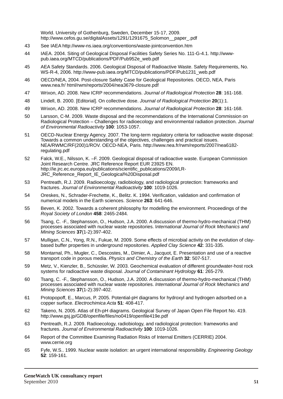World. University of Gothenburg, Sweden, December 15-17, 2009. http://www.cefos.gu.se/digitalAssets/1291/1291675\_Solomon\_\_paper\_.pdf

- 43 See IAEA http://www-ns.iaea.org/conventions/waste-jointconvention.htm
- 44 IAEA. 2004. Siting of Geological Disposal Facilities Safety Series No. 111-G-4.1. http://wwwpub.iaea.org/MTCD/publications/PDF/Pub952e\_web.pdf
- 45 AEA Safety Standards. 2006. Geological Disposal of Radioactive Waste. Safety Requirements, No. WS-R-4, 2006. http://www-pub.iaea.org/MTCD/publications/PDF/Pub1231\_web.pdf
- 46 OECD/NEA, 2004. Post-closure Safety Case for Geological Repositories. OECD, NEA, Paris www.nea.fr/ html/rwm/reports/2004/nea3679-closure.pdf
- 47 Wrixon, AD. 2008. New ICRP recommendations. *Journal of Radiological Protection* **28**: 161-168.
- 48 Lindell, B. 2000. [Editorial]. On collective dose. *Journal of Radiological Protection* **20**(1):1.
- 49 Wrixon, AD. 2008. New ICRP recommendations. *Journal of Radiological Protection* **28**: 161-168.
- 50 Larsson, C-M. 2009. Waste disposal and the recommendations of the International Commission on Radiological Protection – Challenges for radioecology and environmental radiation protection. *Journal of Environmental Radioactivity* **100**: 1053-1057.
- 51 OECD-Nuclear Energy Agency. 2007. The long-term regulatory criteria for radioactive waste disposal: Towards a common understanding of the objectives, challenges and practical issues. NEA/RWMC/RF(200)1/ROV. OECD-NEA, Paris. http://www.nea.fr/rwm/reports/2007/nea6182 regulating.pdf
- 52 Falck, W.E., Nilsson, K. –F. 2009. Geological disposal of radioactive waste. European Commission Joint Research Centre. JRC Reference Report EUR 23925 EN. http://ie.jrc.ec.europa.eu/publications/scientific\_publications/2009/LR-JRC\_Reference\_Report\_IE\_Geological%20Disposal.pdf
- 53 Pentreath, R.J. 2009. Radioecology, radiobiology, and radiological protection: frameworks and fractures. *Journal of Environmental Radioactivity* **100**: 1019-1026.
- 54 Oreskes, N., Schrader-Frechette, K., Belitz. K. 1994. Verification, validation and confirmation of numerical models in the Earth sciences. *Science* **263**: 641-646.
- 55 Beven, K. 2002. Towards a coherent philosophy for modelling the environment. Proceedings of the *Royal Society of London* **458**: 2465-2484.
- 56 Tsang, C. -F., Stephansson, O., Hudson, J.A. 2000. A discussion of thermo-hydro-mechanical (THM) processes associated with nuclear waste repositories. I*nternational Journal of Rock Mechanics and Mining Sciences* **37**(1-2):397-402.
- 57 Mulligan, C.N., Yong, R.N., Fukue, M. 2009. Some effects of microbial activity on the evolution of claybased buffer properties in underground repositories. *Applied Clay Science* **42**: 331-335.
- 58 Montarnal, Ph., Mugler, C., Descostes, M., Dimier, A., Jacquot, E. Presentation and use of a reactive transport code in porous media. *Physics and Chemistry of the Earth* **32**: 507-517.
- 59 Metz, V., Kienzler, B., Schüssler, W. 2003. Geochemical evaluation of different groundwater-host rock systems for radioactive waste disposal. *Journal of Contaminant Hydrology* **61**: 265-279.
- 60 Tsang, C. -F., Stephansson, O., Hudson, J.A. 2000. A discussion of thermo-hydro-mechanical (THM) processes associated with nuclear waste repositories. *International Journal of Rock Mechanics and Mining Sciences* **37**(1-2):397-402.
- 61 Protopopoff, E., Marcus, P. 2005. Potential-pH diagrams for hydroxyl and hydrogen adsorbed on a copper surface. *Electrochimica Acta* **51**: 408-417.
- 62 Takeno, N. 2005. Atlas of Eh-pH diagrams. Geological Survey of Japan Open File Report No. 419. http://www.gsj.jp/GDB/openfile/files/no0419/openfile419e.pdf
- 63 Pentreath, R.J. 2009. Radioecology, radiobiology, and radiological protection: frameworks and fractures. *Journal of Environmental Radioactivity* **100**: 1019-1026.
- 64 Report of the Committee Examining Radiation Risks of Internal Emitters (CERRIE) 2004. www.cerrie.org
- 65 Fyfe, W.S.. 1999. Nuclear waste isolation: an urgent international responsibility. *Engineering Geology* **52**: 159-161.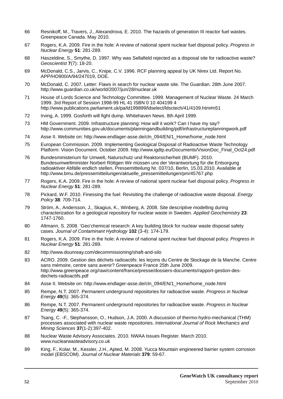- 66 Resnikoff, M., Travers, J., Alexandrova, E. 2010. The hazards of generation III reactor fuel wastes. Greenpeace Canada. May 2010.
- 67 Rogers, K.A. 2009. Fire in the hole: A review of national spent nuclear fuel disposal policy. *Progress in Nuclear Energy* **51**: 281-289.
- 68 Haszeldine, S., Smythe, D. 1997. Why was Sellafield rejected as a disposal site for radioactive waste? *Geoscientist* **7**(7): 18-20.
- 69 McDonald, C.S., Jarvis, C., Knipe, C.V. 1996. RCF planning appeal by UK Nirex Ltd. Report No. APP/HO900/A/94/247019, DOE.
- 70 McDonald, C. 2007. Letter: Flaws in search for nuclear waste site. The Guardian. 28th June 2007. http://www.guardian.co.uk/world/2007/jun/28/nuclear.uk
- 71 House of Lords Science and Technology Committee. 1999. Management of Nuclear Waste. 24 March 1999. 3rd Report of Session 1998-99 HL 41 ISBN 0 10 404199 4 http://www.publications.parliament.uk/pa/ld199899/ldselect/ldsctech/41/4109.htm#n51
- 72 Irving, A. 1999. Gosforth will fight dump. Whitehaven News. 8th April 1999.
- 73 HM Government. 2009. Infrastructure planning: How will it work? Can I have my say? http://www.communities.gov.uk/documents/planningandbuilding/pdf/infrastructureplanningwork.pdf
- 74 Asse II. Website on: http://www.endlager-asse.de/cln\_094/EN/1\_Home/home\_node.html
- 75 European Commission. 2009. Implementing Geological Disposal of Radioactive Waste Technology Platform: Vision Document. October 2009. http://www.igdtp.eu/Documents/VisionDoc\_Final\_Oct24.pdf
- 76 Bundesministerium für Umwelt, Naturschutz und Reaktorsicherheit (BUMF). 2010. Bundesumweltminister Norbert Röttgen Wir müssen uns der Verantwortung für die Entsorgung radioaktiver Abfälle endlich stellen, Pressemitteilung Nr. 037/10, Berlin, 15.03.2010. Available at http://www.bmu.de/pressemitteilungen/aktuelle\_pressemitteilungen/pm/45767.php
- 77 Rogers, K.A. 2009. Fire in the hole: A review of national spent nuclear fuel disposal policy. *Progress in Nuclear Energy* **51**: 281-289.
- 78 Pickard, W.F. 2010. Finessing the fuel: Revisiting the challenge of radioactive waste disposal. *Energy Policy* **38**: 709-714.
- 79 Ström, A., Andersson, J., Skagius, K., Winberg, A. 2008. Site descriptive modelling during characterization for a geological repository for nuclear waste in Sweden. *Applied Geochemistry* **23**: 1747-1760.
- 80 Altmann, S. 2008. 'Geo'chemical research: A key building block for nuclear waste disposal safety cases. *Journal of Contaminant Hydrology* **102** (3-4): 174-179.
- 81 Rogers, K.A. 2009. Fire in the hole: A review of national spent nuclear fuel disposal policy. *Progress in Nuclear Energy* **51**: 281-289.
- 82 http://www.dounreay.com/decommissioning/shaft-and-silo
- 83 ACRO. 2009. Gestion des déchets radioactifs: les leçons du Centre de Stockage de la Manche. Centre sans mémoire, centre sans avenir? Greenpeace France 25th June 2009. http://www.greenpeace.org/raw/content/france/presse/dossiers-documents/rapport-gestion-desdechets-radioactifs.pdf
- 84 Asse II. Website on: http://www.endlager-asse.de/cln\_094/EN/1\_Home/home\_node.html
- 85 Rempe, N.T. 2007. Permanent underground repositories for radioactive waste. *Progress in Nuclear Energy* **49**(5): 365-374.
- 86 Rempe, N.T. 2007. Permanent underground repositories for radioactive waste. *Progress in Nuclear Energy* **49**(5): 365-374.
- 87 Tsang, C. -F., Stephansson, O., Hudson, J.A. 2000. A discussion of thermo-hydro-mechanical (THM) processes associated with nuclear waste repositories. *International Journal of Rock Mechanics and Mining Sciences* **37**(1-2):397-402.
- 88 Nuclear Waste Advisory Associates. 2010. NWAA Issues Register. March 2010. www.nuclearwasteadvisory.co.uk
- 89 King, F., Kolar, M., Kessler, J.H., Apted, M. 2008. Yucca Mountain engineered barrier system corrosion model (EBSCOM). *Journal of Nuclear Materials* **379**: 59-67.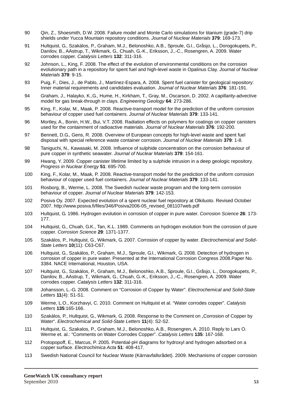- 90 Qin, Z., Shoesmith, D.W. 2008. Failure model and Monte Carlo simulations for titanium (grade-7) drip shields under Yucca Mountain repository conditions. *Journal of Nuclear Materials* **379**: 169-173.
- 91 Hultquist, G., Szakálos, P., Graham, M.J., Belonoshko, A.B., Sproule, G.I., Gråsjo, L., Dorogokupets, P., Danilov, B., AAstrup, T., Wikmark, G., Chuah, G.-K., Eriksson, J.,-C., Rosengren, A. 2009. Water corrodes copper. *Catalysis Letters* **132**: 311-316.
- 92 Johnson, L., King, F. 2008. The effect of the evolution of environmental conditions on the corrosion evolutionary path in a repository for spent fuel and high-level waste in Opalinus Clay. *Journal of Nuclear Materials* **379**: 9-15.
- 93 Puig, F., Dies, J., de Pablo, J., Martínez-Espara, A. 2008. Spent fuel canister for geological repository: Inner material requirements and candidates evaluation. *Journal of Nuclear Materials* **376**: 181-191.
- 94 Graham, J., Halayko, K.,G., Hume, H., Kirkham, T., Gray, M., Oscarson, D. 2002. A capillarity-advective model for gas break-through in clays. *Engineering Geology* **64**: 273-286.
- 95 King, F., Kolar, M., Maak, P. 2008. Reactive-transport model for the prediction of the uniform corrosion behaviour of copper used fuel containers. *Journal of Nuclear Materials* **379**: 133-141.
- 96 Mortley, A., Bonin, H.W., Bui, V.T. 2008. Radiation effects on polymers for coatings on copper canisters used for the containment of radioactive materials. *Journal of Nuclear Materials* **376**: 192-200.
- 97 Bennett, D.G., Gens, R. 2008. Overview of European concepts for high-level waste and spent fuel disposal with special reference waste container corrosion. *Journal of Nuclear Materials* **379**: 1-8.
- 98 Taniguchi, N., Kawasaki, M. 2008. Influence of sulphide concentration on the corrosion behaviour of pure copper in synthetic seawater. *Journal of Nuclear Materials* **379**: 154-161.
- 99 Hwang, Y. 2009. Copper canister lifetime limited by a sulphide intrusion in a deep geologic repository. *Progress in Nuclear Energy* **51**: 695-700.
- 100 King, F., Kolar, M., Maak, P. 2008. Reactive-transport model for the prediction of the uniform corrosion behaviour of copper used fuel containers. *Journal of Nuclear Materials* **379**: 133-141.
- 101 Rosborg, B., Werme, L. 2008. The Swedish nuclear waste program and the long-term corrosion behaviour of copper. *Journal of Nuclear Materials* **379**: 142-153.
- 102 Posiva Oy. 2007. Expected evolution of a spent nuclear fuel repository at Olkiluoto. Revised October 2007. http://www.posiva.fi/files/346/Posiva2006-05\_revised\_081107web.pdf
- 103 Hultquist, G. 1986. Hydrogen evolution in corrosion of copper in pure water. *Corrosion Science* **26**: 173- 177.
- 104 Hultquist, G., Chuah, G.K., Tan, K.L. 1989. Comments on hydrogen evolution from the corrosion of pure copper. *Corrosion Science* **29**: 1371-1377.
- 105 Szakálos, P., Hultquist, G., Wikmark, G. 2007. Corrosion of copper by water. *Electrochemical and Solid-State Letters* **10**(11): C63-C67.
- 106 Hultquist, G., Szakálos, P., Graham, M.J., Sproule, G.I., Wikmark, G. 2008. Detection of hydrogen in corrosion of copper in pure water. Presented at the International Corrosion Congress 2008.Paper No. 3384. NACE International, Houston, USA.
- 107 Hultquist, G., Szakálos, P., Graham, M.J., Belonoshko, A.B., Sproule, G.I., Gråsjo, L., Dorogokupets, P., Danilov, B., AAstrup, T., Wikmark, G., Chuah, G.-K., Eriksson, J.,-C., Rosengren, A. 2009. Water corrodes copper. *Catalysis Letters* **132**: 311-316.
- 108 Johansson, L.-G. 2008. Comment on "Corrosion of Copper by Water". *Electrochemical and Solid-State Letters* **11**(4): S1-S1.
- 109 Werme, L.O., Korzhavyi, C. 2010. Comment on Hultquist et al. "Water corrodes copper". *Catalysis Letters* **135**:165-166.
- 110 Szakálos, P., Hultquist, G., Wikmark, G. 2008. Response to the Comment on "Corrosion of Copper by Water". *Electrochemical and Solid-State Letters* **11**(4): S2-S2.
- 111 Hultquist, G., Szakalos, P., Graham, M.J., Belonoshko, A.B., Rosengren, A. 2010. Reply to Lars O. Werme et. al.: "Comments on Water Corrodes Copper". *Catalysis Letters* **135**: 167-168.
- 112 Protopopoff, E., Marcus, P. 2005. Potential-pH diagrams for hydroxyl and hydrogen adsorbed on a copper surface. *Electrochimica Acta* **51**: 408-417.
- 113 Swedish National Council for Nuclear Waste (Kärnavfallsrådet). 2009. Mechanisms of copper corrosion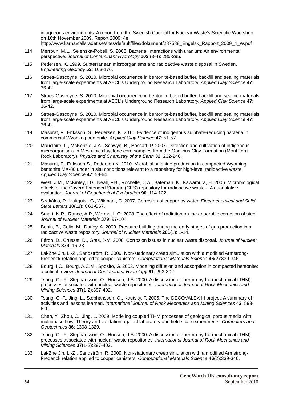in aqueous environments. A report from the Swedish Council for Nuclear Waste's Scientific Workshop on 16th November 2009. Report 2009: 4e. http://www.karnavfallsradet.se/sites/default/files/dokument/287588\_Engelsk\_Rapport\_2009\_4\_W.pdf

- 114 Merroun, M.L., Selenska-Pobell, S. 2008. Bacterial interactions with uranium: An environmental perspective. *Journal of Contaminant Hydrology* **102** (3-4): 285-295.
- 115 Pedersen, K. 1999. Subterranean microorganisms and radioactive waste disposal in Sweden. *Engineering Geology* **52**: 163-176.
- 116 Stroes-Gascoyne, S. 2010. Microbial occurrence in bentonite-based buffer, backfill and sealing materials from large-scale experiments at AECL's Underground Research Laboratory. *Applied Clay Science* **47**: 36-42.
- 117 Stroes-Gascoyne, S. 2010. Microbial occurrence in bentonite-based buffer, backfill and sealing materials from large-scale experiments at AECL's Underground Research Laboratory. *Applied Clay Science* **47**: 36-42.
- 118 Stroes-Gascoyne, S. 2010. Microbial occurrence in bentonite-based buffer, backfill and sealing materials from large-scale experiments at AECL's Underground Research Laboratory. *Applied Clay Science* **47**: 36-42.
- 119 Masurat, P., Eriksson, S., Pedersen, K. 2010. Evidence of indigenous sulphate-reducing bacteria in commercial Wyoming bentonite. *Applied Clay Science* **47**: 51-57.
- 120 Mauclaire, L., McKenzie, J.A., Schwyn, B., Bossart, P. 2007. Detection and cultivation of indigenous microorganisms in Mesozoic claystone core samples from the Opalinus Clay Formation (Mont Terri Rock Laboratory). *Physics and Chemistry of the Earth* **32**: 232-240.
- 121 Masurat, P., Eriksson S., Pedersen K. 2010. Microbial sulphide production in compacted Wyoming bentonite MX-80 under in situ conditions relevant to a repository for high-level radioactive waste. *Applied Clay Science* **47**: 58-64.
- 122 West, J.M., McKinley, I.G., Neall, F.B., Rochelle, C.A., Bateman, K., Kawamura, H. 2006. Microbiological effects of the Cavern Extended Storage (CES) repository for radioactive waste – A quantitative evaluation. *Journal of Geochemical Exploration* **90**: 114-122.
- 123 Szakálos, P., Hultquist, G., Wikmark, G. 2007. Corrosion of copper by water. *Electrochemical and Solid-State Letters* **10**(11): C63-C67.
- 124 Smart, N.R., Rance, A.P., Werme, L.O. 2008. The effect of radiation on the anaerobic corrosion of steel. *Journal of Nuclear Materials* **379**: 97-104.
- 125 Bonin, B., Colin, M., Dutfoy, A. 2000. Pressure building during the early stages of gas production in a radioactive waste repository. *Journal of Nuclear Materials* **281**(1): 1-14.
- 126 Féron, D., Crusset, D., Gras, J-M. 2008. Corrosion issues in nuclear waste disposal. *Journal of Nuclear Materials* **379**: 16-23.
- 127 Lai-Zhe Jin, L.-Z., Sandström, R. 2009. Non-stationary creep simulation with a modified Armstrong-Frederick relation applied to copper canisters. *Computational Materials Science* **46**(2):339-346.
- 128 Bourg, I.C., Bourg, A.C.M., Sposito, G. 2003. Modeling diffusion and adsorption in compacted bentonite: a critical review. *Journal of Contaminant Hydrology* **61**: 293-302.
- 129 Tsang, C. -F., Stephansson, O., Hudson, J.A. 2000. A discussion of thermo-hydro-mechanical (THM) processes associated with nuclear waste repositories. *International Journal of Rock Mechanics and Mining Sciences* **37**(1-2):397-402.
- 130 Tsang, C.-F., Jing, L., Stephansson, O., Kautsky, F. 2005. The DECOVALEX III project: A summary of activities and lessons learned. *International Journal of Rock Mechanics and Mining Sciences* **42**: 593- 610.
- 131 Chen, Y., Zhou, C., Jing, L. 2009. Modeling coupled THM processes of geological porous media with multiphase flow: Theory and validation against laboratory and field scale experiments. *Computers and Geotechnics* **36**: 1308-1329.
- 132 Tsang, C. -F., Stephansson, O., Hudson, J.A. 2000. A discussion of thermo-hydro-mechanical (THM) processes associated with nuclear waste repositories. *International Journal of Rock Mechanics and Mining Sciences* **37**(1-2):397-402.
- 133 Lai-Zhe Jin, L.-Z., Sandström, R. 2009. Non-stationary creep simulation with a modified Armstrong-Frederick relation applied to copper canisters. *Computational Materials Science* **46**(2):339-346.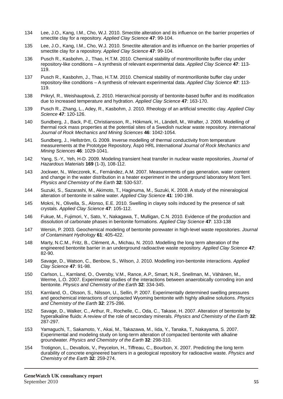- 134 Lee, J.O., Kang, I.M., Cho, W.J. 2010. Smectite alteration and its influence on the barrier properties of smectite clay for a repository. *Applied Clay Science* **47**: 99-104.
- 135 Lee, J.O., Kang, I.M., Cho, W.J. 2010. Smectite alteration and its influence on the barrier properties of smectite clay for a repository. *Applied Clay Science* **47**: 99-104.
- 136 Pusch R., Kasbohm, J., Thao, H.T.M. 2010. Chemical stability of montmorillonite buffer clay under repository-like conditions – A synthesis of relevant experimental data. *Applied Clay Science* **47**: 113- 119.
- 137 Pusch R., Kasbohm, J., Thao, H.T.M. 2010. Chemical stability of montmorillonite buffer clay under repository-like conditions – A synthesis of relevant experimental data. *Applied Clay Science* **47**: 113- 119.
- 138 Prikryl, R., Weishauptová, Z. 2010. Hierarchical porosity of bentonite-based buffer and its modification due to increased temperature and hydration. *Applied Clay Science* **47**: 163-170.
- 139 Pusch R., Zhang, L., Adey, R., Kasbohm, J. 2010. Rheology of an artificial smectitic clay. *Applied Clay Science* **47**: 120-126.
- 140 Sundberg, J., Back, P-E, Christiansson, R., Hökmark, H., Ländell, M., Wrafter, J. 2009. Modelling of thermal rock mass properties at the potential sites of a Swedish nuclear waste repository. *International Journal of Rock Mechanics and Mining Sciences* **46**: 1042-1054.
- 141 Sundberg, J., Hellström, G. 2009. Inverse modelling of thermal conductivity from temperature measurements at the Prototype Repository, Äspö HRL *International Journal of Rock Mechanics and Mining Sciences* **46**: 1029-1041.
- 142 Yang, S.-Y., Yeh, H-D. 2009. Modeling transient heat transfer in nuclear waste repositories, *Journal of Hazardous Materials* **169** (1-3), 108-112.
- 143 Jockwer, N., Wieczorek, K., Fernández, A.M. 2007. Measurements of gas generation, water content and change in the water distribution in a heater experiment in the underground laboratory Mont Terri. *Physics and Chemistry of the Earth* **32**: 530-537.
- 144 Suzuki, S., Sazarashi, M., Akimoto, T., Haginuma, M., Suzuki, K. 2008. A study of the mineralogical alteration of bentonite in saline water. *Applied Clay Science* **41**: 190-198.
- 145 Mokni, N., Olivella, S., Alonso, E.E. 2010. Swelling in clayey soils induced by the presence of salt crystals. *Applied Clay Science* **47**: 105-112.
- 146 Fukue, M., Fujimori, Y., Sato, Y., Nakagawa, T., Mulligan, C.N. 2010. Evidence of the production and dissolution of carbonate phases in bentonite formations. *Applied Clay Science* **47**: 133-138
- 147 Wersin, P. 2003. Geochemical modeling of bentonite porewater in high-level waste repositories. *Journal of Contaminant Hydrology* **61**: 405-422.
- 148 Marty, N.C.M., Fritz, B., Clément, A., Michau, N. 2010. Modelling the long term alteration of the engineered bentonite barrier in an underground radioactive waste repository. *Applied Clay Science* **47**: 82-90.
- 149 Savage, D., Watson, C., Benbow, S., Wilson, J. 2010. Modelling iron-bentonite interactions. *Applied Clay Science* **47**: 91-98.
- 150 Carlson, L., Karnland, O., Oversby, V.M., Rance, A.P., Smart, N.R., Snellman, M., Vähänen, M., Werme, L.O. 2007. Experimental studies of the interactions between anaerobically corroding iron and bentonite. *Physics and Chemistry of the Earth* **32**: 334-345.
- 151 Karnland, O., Olsson, S., Nilsson, U., Sellin, P. 2007. Experimentally determined swelling pressures and geochemical interactions of compacted Wyoming bentonite with highly alkaline solutions. *Physics and Chemistry of the Earth* **32**: 275-286.
- 152 Savage, D., Walker, C., Arthur, R., Rochelle, C., Oda, C., Takase, H. 2007. Alteration of bentonite by hyperalkaline fluids: A review of the role of secondary minerals. *Physics and Chemistry of the Earth* **32**: 287-297.
- 153 Yamaguchi, T., Sakamoto, Y., Akai, M., Takazawa, M., Iida, Y., Tanaka, T., Nakayama, S. 2007. Experimental and modeling study on long-term alteration of compacted bentonite with alkaline groundwater. *Physics and Chemistry of the Earth* **32**: 298-310.
- 154 Trotignon, L., Devallois, V., Peycelon, H., Tiffreau, C., Bourbon, X. 2007. Predicting the long term durability of concrete engineered barriers in a geological repository for radioactive waste. *Physics and Chemistry of the Earth* **32**: 259-274.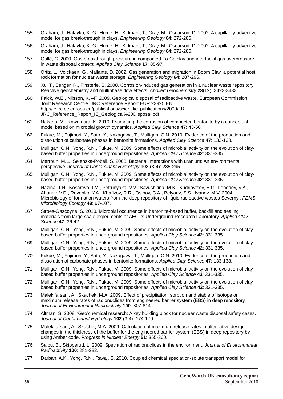- 155 Graham, J., Halayko, K.,G., Hume, H., Kirkham, T., Gray, M., Oscarson, D. 2002. A capillarity-advective model for gas break-through in clays. *Engineering Geology* **64**: 272-286.
- 156 Graham, J., Halayko, K.,G., Hume, H., Kirkham, T., Gray, M., Oscarson, D. 2002. A capillarity-advective model for gas break-through in clays. *Engineering Geology* **64**: 272-286.
- 157 Gallé, C. 2000. Gas breakthrough pressure in compacted Fo-Ca clay and interfacial gas overpressure in waste disposal context. *Applied Clay Science* **17**: 85-97.
- 158 Ortiz, L., Volckaert, G., Mallants, D. 2002. Gas generation and migration in Boom Clay, a potential host rock formation for nuclear waste storage. *Engineering Geology* **64**: 287-296.
- 159 Xu, T., Senger, R., Finsterle, S. 2008. Corrosion-induced gas generation in a nuclear waste repository: Reactive geochemistry and multiphase flow effects. *Applied Geochemistry* **23**(12): 3423-3433.
- 160 Falck, W.E., Nilsson, K. –F. 2009. Geological disposal of radioactive waste. European Commission Joint Research Centre. JRC Reference Report EUR 23925 EN. http://ie.jrc.ec.europa.eu/publications/scientific\_publications/2009/LR-JRC\_Reference\_Report\_IE\_Geological%20Disposal.pdf
- 161 Nakano, M., Kawamura, K. 2010. Estimating the corrosion of compacted bentonite by a conceptual model based on microbial growth dynamics. *Applied Clay Science* **47**: 43-50.
- 162 Fukue, M., Fujimori, Y., Sato, Y., Nakagawa, T., Mulligan, C.N. 2010. Evidence of the production and dissolution of carbonate phases in bentonite formations. *Applied Clay Science* **47**: 133-138.
- 163 Mulligan, C.N., Yong, R.N., Fukue, M. 2009. Some effects of microbial activity on the evolution of claybased buffer properties in underground repositories. *Applied Clay Science* **42**: 331-335.
- 164 Merroun, M.L., Selenska-Pobell, S. 2008. Bacterial interactions with uranium: An environmental perspective. *Journal of Contaminant Hydrology* **102** (3-4): 285-295.
- 165 Mulligan, C.N., Yong, R.N., Fukue, M. 2009. Some effects of microbial activity on the evolution of claybased buffer properties in underground repositories. *Applied Clay Science* **42**: 331-335.
- 166 Nazina, T.N., Kosareva, I.M., Petrunyaka, V.V., Savushkina, M.K., Kudriavtsev, E.G., Lebedev, V.A., Ahunov, V.D., Revenko, Y.A., Khafizov, R.R., Osipov, G.A., Belyaev, S.S., Ivanov, M.V. 2004. Microbiology of formation waters from the deep repository of liquid radioactive wastes Severnyi. *FEMS Microbiology Ecology* **49**: 97-107.
- 167 Stroes-Gascoyne, S. 2010. Microbial occurrence in bentonite-based buffer, backfill and sealing materials from large-scale experiments at AECL's Underground Research Laboratory. *Applied Clay Science* **47**: 36-42.
- 168 Mulligan, C.N., Yong, R.N., Fukue, M. 2009. Some effects of microbial activity on the evolution of claybased buffer properties in underground repositories. *Applied Clay Science* **42**: 331-335.
- 169 Mulligan, C.N., Yong, R.N., Fukue, M. 2009. Some effects of microbial activity on the evolution of claybased buffer properties in underground repositories. *Applied Clay Science* **42**: 331-335.
- 170 Fukue, M., Fujimori, Y., Sato, Y., Nakagawa, T., Mulligan, C.N. 2010. Evidence of the production and dissolution of carbonate phases in bentonite formations. *Applied Clay Science* **47**: 133-138.
- 171 Mulligan, C.N., Yong, R.N., Fukue, M. 2009. Some effects of microbial activity on the evolution of claybased buffer properties in underground repositories. *Applied Clay Science* **42**: 331-335.
- 172 Mulligan, C.N., Yong, R.N., Fukue, M. 2009. Some effects of microbial activity on the evolution of claybased buffer properties in underground repositories. *Applied Clay Science* **42**: 331-335.
- 173 Malekifarsani, A., Skachek, M.A. 2009. Effect of precipitation, sorption and stable of isotope on maximum release rates of radionuclides from engineered barrier system (EBS) in deep repository. *Journal of Environmental Radioactivity* **100**: 807-814.
- 174 Altman, S. 2008. 'Geo'chemical research: A key building block for nuclear waste disposal safety cases. *Journal of Contaminant Hydrology* **102** (3-4): 174-179.
- 175 Malekifarsani, A., Skachik, M.A. 2009. Calculation of maximum release rates in alternative design changes in the thickness of the buffer for the engineered barrier system (EBS) in deep repository by using Amber code. *Progress in Nuclear Energy* **51**: 355-360.
- 176 Salbu, B., Skipperud, L. 2009. Speciation of radionuclides in the environment. *Journal of Environmental Radioactivity* **100**: 281-282.
- 177 Darban, A.K., Yong, R.N., Ravaj, S. 2010. Coupled chemical speciation-solute transport model for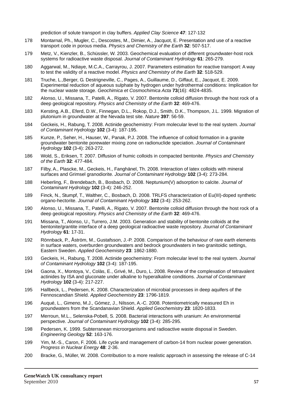prediction of solute transport in clay buffers. *Applied Clay Science* **47**: 127-132

- 178 Montarnal, Ph., Mugler, C., Descostes, M., Dimier, A., Jacquot, E. Presentation and use of a reactive transport code in porous media. *Physics and Chemistry of the Earth* **32**: 507-517.
- 179 Metz, V., Kienzler, B., Schüssler, W. 2003. Geochemical evaluation of different groundwater-host rock systems for radioactive waste disposal. *Journal of Contaminant Hydrology* **61**: 265-279.
- 180 Aggarwal, M., Ndiaye, M.C.A., Carrayrou, J. 2007. Parameters estimation for reactive transport: A way to test the validity of a reactive model. *Physics and Chemistry of the Earth* **32**: 518-529.
- 181 Truche, L.,Berger, G. Destrigneville, C., Pages, A., Guillaume, D., Giffaut, E., Jacquot, E. 2009. Experimental reduction of aqueous sulphate by hydrogen under hydrothermal conditions: Implication for the nuclear waste storage. *Geochimica et Cosmochimica Acta* **73**(16): 4824-4835.
- 182 Alonso, U., Missana, T., Patelli, A., Rigato, V. 2007. Bentonite colloid diffusion through the host rock of a deep geological repository. *Physics and Chemistry of the Earth* **32**: 469-476.
- 183 Kersting, A.B., Eferd, D.W., Finnegan, D.L., Rokop, D.J., Smith, D.K., Thompson, J.L. 1999. Migration of plutonium in groundwater at the Nevada test site. *Nature* **397**: 56-59.
- 184 Geckeis, H., Rabung, T. 2008. Actinide geochemistry: From molecular level to the real system. *Journal of Contaminant Hydrology* **102** (3-4): 187-195.
- 185 Kunze, P., Seher, H., Hauser, W., Panak, P.J. 2008. The influence of colloid formation in a granite groundwater bentonite porewater mixing zone on radionuclide speciation. *Journal of Contaminant Hydrology* **102** (3-4): 263-272.
- 186 Wold, S., Eriksen, T. 2007. Diffusion of humic colloids in compacted bentonite. *Physics and Chemistry of the Earth* **32**: 477-484.
- 187 Filby, A., Plascke, M., Geckeis, H., Fanghänel, Th. 2008. Interaction of latex colloids with mineral surfaces and Grimsel granodiorite. *Journal of Contaminant Hydrology* **102** (3-4): 273-284.
- 188 Heberling, F., Brendebach, B., Bosbach, D. 2008. Neptunium(V) adsorption to calcite. *Journal of Contaminant Hydrology* **102** (3-4): 246-252.
- 189 Finck, N., Stumpf, T., Walther, C., Bosbach, D. 2008. TRLFS characterization of Eu(III)-doped synthetic organo-hectorite. *Journal of Contaminant Hydrology* **102** (3-4): 253-262.
- 190 Alonso, U., Missana, T., Patelli, A., Rigato, V. 2007. Bentonite colloid diffusion through the host rock of a deep geological repository. *Physics and Chemistry of the Earth* **32**: 469-476.
- 191 Missana, T., Alonso, U., Turrero, J.M. 2003. Generation and stability of bentonite colloids at the bentonite/grantite interface of a deep geological radioactive waste repository. *Journal of Contaminant Hydrology* **61**: 17-31.
- 192 Rönnback, P., Åström, M., Gustafsson, J.-P. 2008. Comparison of the behaviour of rare earth elements in surface waters, overburden groundwaters and bedrock groundwaters in two granitoidic settings, Eastern Sweden. *Applied Geochemistry* **23**: 1862-1880.
- 193 Geckeis, H., Rabung, T. 2008. Actinide geochemistry: From molecular level to the real system. *Journal of Contaminant Hydrology* **102** (3-4): 187-195.
- 194 Gaona, X., Montoya, V., Colàs, E., Grivé, M., Duro, L. 2008. Review of the complexation of tetravalent actinides by ISA and gluconate under alkaline to hyperalkaline conditions. *Journal of Contaminant Hydrology* **102** (3-4): 217-227.
- 195 Hallbeck, L., Pedersen, K. 2008. Characterization of microbial processes in deep aquifers of the Fennoscandian Shield. *Applied Geochemistry* **23**: 1796-1819.
- 196 Auqué, L., Gimeno, M.J., Gómez, J., Nilsson, A.-C. 2008. Potentiometrically measured Eh in groundwaters from the Scandanavian Shield. *Applied Geochemistry* **23**: 1820-1833.
- 197 Merroun, M.L., Selenska-Pobell, S. 2008. Bacterial interactions with uranium: An environmental perspective. *Journal of Contaminant Hydrology* **102** (3-4): 285-295.
- 198 Pedersen, K. 1999. Subterranean microorganisms and radioactive waste disposal in Sweden. *Engineering Geology* **52**: 163-176.
- 199 Yim, M.-S., Caron, F. 2006. Life cycle and management of carbon-14 from nuclear power generation. *Progress in Nuclear Energy* **48**: 2-36.
- 200 Bracke, G., Müller, W. 2008. Contribution to a more realistic approach in assessing the release of C-14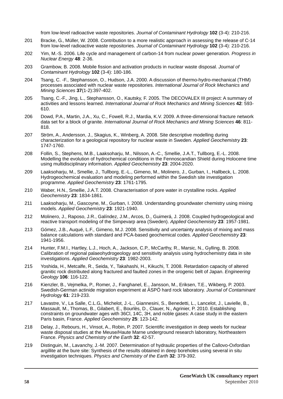from low-level radioactive waste repositories. *Journal of Contaminant Hydrology* **102** (3-4): 210-216.

- 201 Bracke, G., Müller, W. 2008. Contribution to a more realistic approach in assessing the release of C-14 from low-level radioactive waste repositories. *Journal of Contaminant Hydrology* **102** (3-4): 210-216.
- 202 Yim, M.-S. 2006. Life cycle and management of carbon-14 from nuclear power generation. *Progress in Nuclear Energy* **48**: 2-36.
- 203 Grambow, B. 2008. Mobile fission and activation products in nuclear waste disposal. *Journal of Contaminant Hydrology* **102** (3-4): 180-186.
- 204 Tsang, C. -F., Stephansson, O., Hudson, J.A. 2000. A discussion of thermo-hydro-mechanical (THM) processes associated with nuclear waste repositories. *International Journal of Rock Mechanics and Mining Sciences* **37**(1-2):397-402.
- 205 Tsang, C.-F., Jing, L., Stephansson, O., Kautsky, F. 2005. The DECOVALEX III project: A summary of activities and lessons learned. *International Journal of Rock Mechanics and Mining Sciences* **42**: 593- 610.
- 206 Dowd, P.A., Martin, J.A., Xu, C., Fowell, R.J., Mardia, K.V. 2009. A three-dimensional fracture network data set for a block of granite. *International Journal of Rock Mechanics and Mining Sciences* **46**: 811- 818.
- 207 Ström, A., Andersson, J., Skagius, K., Winberg, A. 2008. Site descriptive modelling during characterization for a geological repository for nuclear waste in Sweden. *Applied Geochemistry* **23**: 1747-1760.
- 208 Follin, S., Stephens, M.B., Laaksoharju, M., Nilsson, A.-C., Smellie, J.A.T., Tullborg, E.-L. 2008. Modelling the evolution of hydrochemical conditions in the Fennoscandian Shield during Holocene time using multidisciplinary information. *Applied Geochemistry* **23**: 2004-2020.
- 209 Laaksoharju, M., Smellie, J., Tullborg, E.-L., Gimeno, M., Molinero, J., Gurban, I., Hallbeck, L. 2008. Hydrogeochemical evaluation and modeling performed within the Swedish site investigation programme. *Applied Geochemistry* **23**: 1761-1795.
- 210 Waber, H.N., Smellie, J.A.T. 2008. Characterisation of pore water in crystalline rocks. *Applied Geochemistry* **23**: 1834-1861.
- 211 Laaksoharju, M., Gascoyne, M., Gurban, I. 2008. Understanding groundwater chemistry using mixing models. *Applied Geochemistry* **23**: 1921-1940.
- 212 Molinero, J., Raposo, J.R., Galíndez, J.M., Arcos, D., Guimerá, J. 2008. Coupled hydrogeological and reactive transport modeling of the Simpevarp area (Sweden). *Applied Geochemistry* **23**: 1957-1981.
- 213 Gómez, J.B., Auqué, L.F., Gimeno, M.J. 2008. Sensitivity and uncertainty analysis of mixing and mass balance calculations with standard and PCA-based geochemical codes. *Applied Geochemistry* **23**: 1941-1956.
- 214 Hunter, F.M.I., Hartley, L.J., Hoch, A., Jackson, C.P., McCarthy, R., Marsic, N., Gylling, B. 2008. Calibration of regional palaeohydrogeology and sensitivity analysis using hydrochemistry data in site investigations. *Applied Geochemistry* **23**: 1982-2003.
- 215 Yoshida, H., Metcalfe, R., Seida, Y., Takahashi, H., Kikuchi, T. 2008. Retardation capacity of altered granitic rock distributed along fractured and faulted zones in the orogenic belt of Japan. *Engineering Geology* **106**: 116-122.
- 216 Kienzler, B., Vejmelka, P., Romer, J., Fanghanel, E., Jansson, M., Eriksen, T.E., Wikberg, P. 2003. Swedish-German actinide migration experiment at ÄSPÖ hard rock laboratory. *Journal of Contaminant Hydrology* **61**: 219-233.
- 217 Lavastre, V., La Salle, C.L.G., Michelot, J.-L., Giannesini, S., Benedetti, L., Lancelot, J., Lavielle, B., Massault, M., Thomas, B., Gilabert, E., Bourlès, D., Clauer, N., Agrinier, P. 2010. Establishing constraints on groundwater ages with 36Cl, 14C, 3H, and noble gases: A case study in the eastern Paris basin, France. *Applied Geochemistry* **25**: 123-142.
- 218 Delay, J., Rebours, H., Vinsot, A., Robin, P. 2007. Scientific investigation in deep weels for nuclear waste disposal studies at the Meuse/Haute Marne underground research laboratory, Northeastern France. *Physics and Chemistry of the Earth* **32**: 42-57.
- 219 Distinguin, M., Lavanchy, J.-M. 2007. Determination of hydraulic properties of the Callovo-Oxfordian argillite at the bure site: Synthesis of the results obtained in deep boreholes using several in situ investigation techniques. *Physics and Chemistry of the Earth* **32**: 379-392.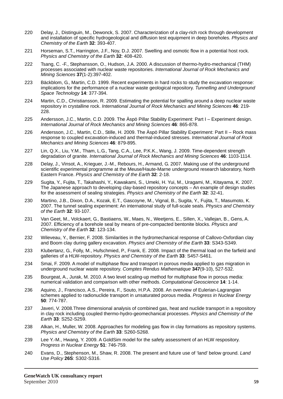- 220 Delay, J., Distinguin, M., Dewonck, S. 2007. Characterization of a clay-rich rock through development and installation of specific hydrogeological and diffusion test equipment in deep boreholes. *Physics and Chemistry of the Earth* **32**: 393-407.
- 221 Horseman, S.T., Harrington, J.F., Noy, D.J. 2007. Swelling and osmotic flow in a potential host rock. *Physics and Chemistry of the Earth* **32**: 408-420.
- 222 Tsang, C. -F., Stephansson, O., Hudson, J.A. 2000. A discussion of thermo-hydro-mechanical (THM) processes associated with nuclear waste repositories. *International Journal of Rock Mechanics and Mining Sciences* **37**(1-2):397-402.
- 223 Bäckblom, G., Martin, C.D. 1999. Recent experiments in hard rocks to study the excavation response: implications for the performance of a nuclear waste geological repository. *Tunnelling and Underground Space Technology* **14**: 377-394.
- 224 Martin, C.D., Christiansson, R. 2009. Estimating the potential for spalling around a deep nuclear waste repository in crystalline rock. *International Journal of Rock Mechanics and Mining Sciences* **46**: 219- 228.
- 225 Andersson, J.C., Martin, C.D. 2009. The Äspö Pillar Stability Experiment: Part I Experiment design. *International Journal of Rock Mechanics and Mining Sciences* **46**: 865-878.
- 226 Andersson, J.C., Martin, C.D., Stille, H. 2009. The Äspö Pillar Stability Experiment: Part II Rock mass response to coupled excavation-induced and thermal-induced stresses. *International Journal of Rock Mechanics and Mining Sciences* **46**: 879-895.
- 227 Lin, Q.X., Liu, Y.M., Tham, L.G., Tang, C.A., Lee, P.K.K., Wang, J. 2009. Time-dependent strength degradation of granite. *International Journal of Rock Mechanics and Mining Sciences* **46**: 1103-1114.
- 228 Delay, J., Vinsot, A., Krieguer, J.-M., Rebours, H., Armand, G. 2007. Making use of the underground scientific experimental programme at the Meuse/Haute-Marne underground research laboratory, North Eastern France. *Physics and Chemistry of the Earth* **32**: 2-18.
- 229 Sugita, Y., Fujita, T., Takahashi, Y., Kawakami, S., Umeki, H. Yui, M., Uragami, M., Kitayama, K. 2007. The Japanese approach to developing clay-based repository concepts – An example of design studies for the assessment of sealing strategies. *Physics and Chemistry of the Earth* **32**: 32-41.
- 230 Martino, J.B., Dixon, D.A., Kozak, E.T., Gascoyne, M., Vignal, B., Sugita, Y., Fujita, T., Masumoto, K. 2007. The tunnel sealing experiment: An international study of full-scale seals. *Physics and Chemistry of the Earth* **32**: 93-107.
- 231 Van Geet, M., Volckaert, G., Bastiaens, W., Maes, N., Weetjens, E., Sillen, X., Vallejan, B., Gens, A. 2007. Efficiency of a borehole seal by means of pre-compacted bentonite blocks. *Physics and Chemistry of the Earth* **32**: 123-134.
- 232 Wileveau, Y., Bernier, F. 2008. Similarities in the hydromechanical response of Callovo-Oxfordian clay and Boom clay during gallery excavation. *Physics and Chemistry of the Earth* **33**: S343-S349.
- 233 Klubertanz, G., Folly, M., Hufschmied, P., Frank, E. 2008. Impact of the thermal load on the farfield and galleries of a HLW-repository. *Physics and Chemistry of the Earth* **33**: S457-S461.
- 234 Smai, F. 2009. A model of multiphase flow and transport in porous media applied to gas migration in underground nuclear waste repository. *Comptes Rendus Mathematique* **347**(9-10), 527-532.
- 235 Bourgeat, A., Jurak, M. 2010. A two level scaling-up method for multiphase flow in porous media: numerical validation and comparison with other methods. *Computational Geoscience* **14**: 1-14.
- 236 Aquino, J., Francisco, A.S., Pereira, F., Souto, H.P.A. 2008. An overview of Eulerian-Lagrangian schemes applied to radionuclide transport in unsaturated porous media. *Progress in Nuclear Energy* **50**: 774-787.
- 237 Javeri, V. 2008.Three dimensional analysis of combined gas, heat and nuclide transport in a repository in clay rock including coupled thermo-hydro-geomechanical processes. *Physics and Chemistry of the Earth* **33**: S252-S259.
- 238 Alkan, H., Muller, W. 2008. Approaches for modeling gas flow in clay formations as repository systems. *Physics and Chemistry of the Earth* **33**: S260-S268.
- 239 Lee Y.-M., Hwang, Y. 2009. A GoldSim model for the safety assessment of an HLW respository. *Progress in Nuclear Energy* **51**: 746-759.
- 240 Evans, D., Stephenson, M., Shaw, R. 2008. The present and future use of 'land' below ground. *Land Use Policy* **26S**: S302-S316.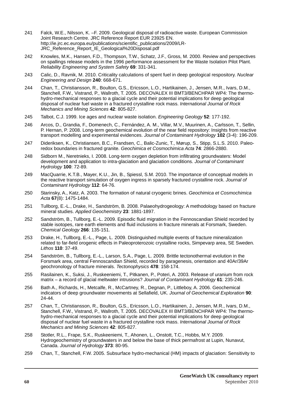- 241 Falck, W.E., Nilsson, K. –F. 2009. Geological disposal of radioactive waste. European Commission Joint Research Centre. JRC Reference Report EUR 23925 EN. http://ie.jrc.ec.europa.eu/publications/scientific\_publications/2009/LR-JRC\_Reference\_Report\_IE\_Geological%20Disposal.pdf
- 242 Knowles, M.K., Hansen, F.D., Thompson, T.W., Schatz, J.F., Gross, M. 2000. Review and perspectives on spallings release models in the 1996 performance assessment for the Waste Isolation Pilot Plant. *Reliability Engineering and System Safety* **69**: 331-341.
- 243 Calic, D., Ravnik, M. 2010. Criticality calculations of spent fuel in deep geological respository. *Nuclear Engineering and Design* **240**: 668-671.
- 244 Chan, T., Christiansson, R., Boulton, G.S., Ericsson, L.O., Hartikainen, J., Jensen, M.R., Ivars, D.M., Stanchell, F.W., Vistrand, P., Wallroth, T. 2005. DECOVALEX III BMT3/BENCHPAR WP4: The thermohydro-mechanical responses to a glacial cycle and their potential implications for deep geological disposal of nuclear fuel waste in a fractured crystalline rock mass. *International Journal of Rock Mechanics and Mining Sciences* **42**: 805-827.
- 245 Talbot, C.J. 1999. Ice ages and nuclear waste isolation. *Engineering Geology* **52**: 177-192.
- 246 Arcos, D., Grandia, F., Domenech, C., Fernández, A. M., Villar, M.V., Muurinen, A., Carlsson, T., Sellin, P. Hernan, P. 2008. Long-term geochemical evolution of the near field repository: Insights from reactive transport modelling and experimental evidences. *Journal of Contaminant Hydrology* **102** (3-4): 196-209.
- 247 Dideriksen, K., Christiansen, B.C., Frandsen, C., Balic-Zunic, T., Mørup, S., Stipp, S.L.S. 2010. Paleoredox boundaries in fractured granite. *Geochimica et Cosmochimica Acta* **74**: 2866-2880.
- 248 Sidborn M., Neretnieks, I. 2008. Long-term oxygen depletion from infiltrating groundwaters: Model development and application to intra-glaciation and glaciation conditions. *Journal of Contaminant Hydrology* **100**: 72-89.
- 249 MacQuarrie, K.T.B., Mayer, K.U., Jin, B., Spiessl, S.M. 2010. The importance of conceptual models in the reactive transport simulation of oxygen ingress in sparsely fractured crystalline rock. *Journal of Contaminant Hydrology* **112**: 64-76.
- 250 Starinsky, A., Katz, A. 2003. The formation of natural cryogenic brines. *Geochimica et Cosmochimica Acta* **67**(8): 1475-1484.
- 251 Tullborg, E.-L., Drake, H., Sandström, B. 2008. Palaeohydrogeology: A methodology based on fracture mineral studies. *Applied Geochemistry* **23**: 1881-1897.
- 252 Sandström, B., Tullborg, E.-L. 2009. Episodic fluid migration in the Fennoscandian Shield recorded by stable isotopes, rare earth elements and fluid inclusions in fracture minerals at Forsmark, Sweden. *Chemical Geology* **266**: 135-151.
- 253 Drake, H., Tullborg, E.-L., Page, L. 2009. Distinguished multiple events of fracture mineralization related to far-field orogenic effects in Paleoproterozoic crystalline rocks, Simpevarp area, SE Sweden. *Lithos* **110**: 37-49.
- 254 Sandström, B., Tullborg, E.-L., Larson, S.A., Page, L. 2009. Brittle tectonothermal evolution in the Forsmark area, central Fennoscandian Shield, recorded by paragenesis, orientation and 40Ar/39Ar geochronology of fracture minerals. *Tectonophysics* **478**: 158-174.
- 255 Rasilainen, K., Suksi, J., Ruskeeniemi, T., Pitkanen, P., Poteri, A. 2003. Release of uranium from rock matrix – a record of glacial meltwater intrusions? *Journal of Contaminant Hydrology* **61**: 235-246.
- 256 Bath A., Richards, H., Metcalfe, R., McCartney, R., Degnan, P., Littleboy, A. 2006. Geochemical indicators of deep groundwater movements at Sellafield, UK. *Journal of Geochemical Exploration* **90**: 24-44.
- 257 Chan, T., Christiansson, R., Boulton, G.S., Ericsson, L.O., Hartikainen, J., Jensen, M.R., Ivars, D.M., Stanchell, F.W., Vistrand, P., Wallroth, T. 2005. DECOVALEX III BMT3/BENCHPAR WP4: The thermohydro-mechanical responses to a glacial cycle and their potential implications for deep geological disposal of nuclear fuel waste in a fractured crystalline rock mass. *International Journal of Rock Mechanics and Mining Sciences* **42**: 805-827.
- 258 Stotler, R.L., Frape, S.K., Ruskeeniemi, T., Ahonen, L., Onstott, T.C., Hobbs, M.Y. 2009. Hydrogeochemistry of groundwaters in and below the base of thick permafrost at Lupin, Nunavut, Canada. *Journal of Hydrology* **373**: 80-95.
- 259 Chan, T., Stanchell, F.W. 2005. Subsurface hydro-mechanical (HM) impacts of glaciation: Sensitivity to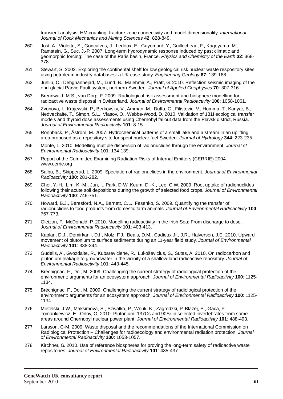transient analysis, HM coupling, fracture zone connectivity and model dimensionality. *International Journal of Rock Mechanics and Mining Sciences* **42**: 828-849.

- 260 Jost, A., Violette, S., Goncalves, J., Ledoux, E., Guyomard, Y., Guillocheau, F., Kageyama, M., Ramstein, G., Suc, J.-P. 2007. Long-term hydrodynamic response induced by past climatic and geomorphic forcing: The case of the Paris basin, France. *Physics and Chemistry of the Earth* **32**: 368- 378.
- 261 Stewart, S. 2002. Exploring the continental shelf for low geological risk nuclear waste respository sites using petroleum industry databases: a UK case study. *Engineering Geology* **67**: 139-168.
- 262 Juhlin, C., Dehghannejad, M., Lund, B., Malehmir, A., Pratt, G. 2010. Reflection seismic imaging of the end-glacial Pärvie Fault system, northern Sweden. *Journal of Applied Geophysics* **70**: 307-316.
- 263 Brennwald, M.S., van Dorp, F. 2009. Radiological risk assessment and biosphere modelling for radioactive waste disposal in Switzerland. *Journal of Environmental Radioactivity* **100**: 1058-1061.
- 264 Zvonova, I., Krajewski, P., Berkovsky, V., Amman, M., Duffa, C., Filistovic, V., Homma, T., Kanyar, B., Nedveckaite, T., Simon, S.L., Vlasov, O., Webbe-Wood, D. 2010. Validation of 131I ecological transfer models and thyroid dose assessments using Chernobyl fallout data from the Plavsk district, Russia. *Journal of Environmental Radioactivity* **101**: 8-15.
- 265 Rönnback, P., Åström, M. 2007. Hydrochemical patterns of a small lake and a stream in an uplifting area proposed as a repository site for spent nuclear fuel Sweden. *Journal of Hydrology* **344**: 223-235.
- 266 Monte, L. 2010. Modelling multiple dispersion of radionuclides through the environment. *Journal of Environmental Radioactivity* **101**: 134-139.
- 267 Report of the Committee Examining Radiation Risks of Internal Emitters (CERRIE) 2004. www.cerrie.org
- 268 Salbu, B., Skipperud, L. 2009. Speciation of radionuclides in the environment. *Journal of Environmental Radioactivity* **100**: 281-282.
- 269 Choi, Y.-H., Lim, K.-M., Jun, I., Park, D-W, Keum, D.-K., Lee, C.W. 2009. Root uptake of radionuclides following their acute soil depositions during the growth of selected food crops. *Journal of Environmental Radioactivity* **100**: 746-751.
- 270 Howard, B.J., Beresford, N.A., Barnett, C.L., Fesenko, S. 2009. Quantifying the transfer of radionuclides to food products from domestic farm animals. *Journal of Environmental Radioactivity* **100**: 767-773.
- 271 Gleizon, P., McDonald, P. 2010. Modelling radioactivity in the Irish Sea: From discharge to dose. *Journal of Environmental Radioactivity* **101**: 403-413.
- 272 Kaplan, D.J., Demirkanli, D.I., Molz, F.J., Beals, D.M., Cadieux Jr., J.R., Halverson, J.E. 2010. Upward movement of plutonium to surface sediments during an 11-year field study. *Journal of Environmental Radioactivity* **101**: 338-344.
- 273 Gudelis, A., Gvozdaite, R., Kubareviciene, R., Lukoševicius, S., Šutas, A. 2010. On radiocarbon and plutonium leakage to groundwater in the vicinity of a shallow-land radioactive repository. *Journal of Environmental Radioactivity* **101**: 443-445.
- 274 Brèchignac, F., Doi, M. 2009. Challenging the current strategy of radiological protection of the environment: arguments for an ecosystem approach. *Journal of Environmental Radioactivity* **100**: 1125- 1134.
- 275 Brèchignac, F., Doi, M. 2009. Challenging the current strategy of radiological protection of the environment: arguments for an ecosystem approach. *Journal of Environmental Radioactivity* **100**: 1125- 1134.
- 276 Mietelski, J.W., Maksimova, S., Szwalko, P., Wnuk, K., Zagrodzki, P. Blazej, S., Gaca, P., Tomankiewicz, E., Orlov, O. 2010. Plutonium, 137Cs and 90Sr in selected invertebrates from some areas around Chernobyl nuclear power plant. *Journal of Environmental Radioactivity* **101**: 488-493.
- 277 Larsson, C-M. 2009. Waste disposal and the recommendations of the International Commission on Radiological Protection – Challenges for radioecology and environmental radiation protection. *Journal of Environmental Radioactivity* **100**: 1053-1057.
- 278 Kirchner, G. 2010. Use of reference biospheres for proving the long-term safety of radioactive waste repositories. *Journal of Environmental Radioactivity* **101**: 435-437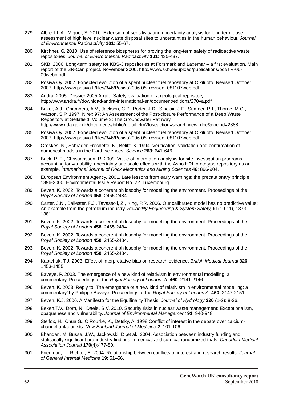- 279 Albrecht, A., Miquel, S. 2010. Extension of sensitivity and uncertainty analysis for long term dose assessment of high level nuclear waste disposal sites to uncertainties in the human behaviour. *Journal of Environmental Radioactivity* **101**: 55-67.
- 280 Kirchner, G. 2010. Use of reference biospheres for proving the long-term safety of radioactive waste repositories. *Journal of Environmental Radioactivity* **101**: 435-437.
- 281 SKB. 2006. Long-term safety for KBS-3 repositories at Forsmark and Laxemar a first evaluation. Main report of the SR-Can project. November 2006. http://www.skb.se/upload/publications/pdf/TR-06- 09webb.pdf
- 282 Posiva Oy. 2007. Expected evolution of a spent nuclear fuel repository at Olkiluoto. Revised October 2007. http://www.posiva.fi/files/346/Posiva2006-05\_revised\_081107web.pdf
- 283 Andra. 2005. Dossier 2005 Argile. Safety evaluation of a geological repository. http://www.andra.fr/download/andra-international-en/document/editions/270va.pdf
- 284 Baker, A.J., Chambers, A.V., Jackson, C.P., Porter, J.D., Sinclair, J.E., Sumner, P.J., Thorne, M.C., Watson, S.P. 1997. Nirex 97: An Assessment of the Post-closure Performance of a Deep Waste Repository at Sellafield. Volume 3: The Groundwater Pathway. http://www.nda.gov.uk/documents/biblio/detail.cfm?fuseaction=search.view\_doc&doc\_id=2388
- 285 Posiva Oy. 2007. Expected evolution of a spent nuclear fuel repository at Olkiluoto. Revised October 2007. http://www.posiva.fi/files/346/Posiva2006-05\_revised\_081107web.pdf
- 286 Oreskes, N., Schrader-Frechette, K., Belitz. K. 1994. Verification, validation and confirmation of numerical models in the Earth sciences. *Science* **263**: 641-646.
- 287 Back, P.-E., Christiansson, R. 2009. Value of information analysis for site investigation programs accounting for variability, uncertainty and scale effects with the Äspö HRL prototype repository as an example. *International Journal of Rock Mechanics and Mining Sciences* **46**: 896-904.
- 288 European Environment Agency. 2001. Late lessons from early warnings: the precautionary principle 1896-2000. Environmental Issue Report No. 22. Luxembourg.
- 289 Beven, K. 2002. Towards a coherent philosophy for modelling the environment. Proceedings of the *Royal Society of London* **458**: 2465-2484.
- 290 Carter, J.N., Ballester, P.J., Tavassoli, Z., King, P.R. 2006. Our calibrated model has no predictive value: An example from the petroleum industry. *Reliability Engineering & System Safety,* **91**(10-11), 1373- 1381.
- 291 Beven, K. 2002. Towards a coherent philosophy for modelling the environment. Proceedings of the *Royal Society of London* **458**: 2465-2484.
- 292 Beven, K. 2002. Towards a coherent philosophy for modelling the environment. Proceedings of the *Royal Society of London* **458**: 2465-2484.
- 293 Beven, K. 2002. Towards a coherent philosophy for modelling the environment. Proceedings of the *Royal Society of London* **458**: 2465-2484.
- 294 Kaptchuk, T.J. 2003. Effect of interpretative bias on research evidence. *British Medical Journal* **326**: 1453-1455.
- 295 Baveye, P. 2003. The emergence of a new kind of relativism in environmental modelling: a commentary. Proceedings of the *Royal Society of London. A*. **460**: 2141-2146.
- 296 Beven, K. 2003. Reply to: The emergence of a new kind of relativism in environmental modelling: a commentary' by Philippe Baveye. Proceedings of the *Royal Society of London A*. **460**: 2147-2151.
- 297 Beven, K.J. 2006. A Manifesto for the Equifinality Thesis. *Journal of Hydrology* **320** (1-2): 8-36.
- 298 Beken,T.V., Dorn, N., Daele, S.V. 2010. Security risks in nuclear waste management: Exceptionalism, opaqueness and vulnerability. *Journal of Environmental Management* **91**: 940-948.
- 299 Stelfox, H., Chua G., O'Rourke, K., Detsky, A. 1998 Conflict of interest in the debate over calciumchannel antagonists. *New England Journal of Medicine* **2**: 101-106.
- 300 Bhandari, M. Busse, J.W., Jackowski, D.,et al., 2004. Association between industry funding and statistically significant pro-industry findings in medical and surgical randomized trials. *Canadian Medical Association Journal* **170**(4):477-80.
- 301 Friedman, L., Richter, E. 2004. Relationship between conflicts of interest and research results. *Journal of General Internal Medicine* **19**: 51–56.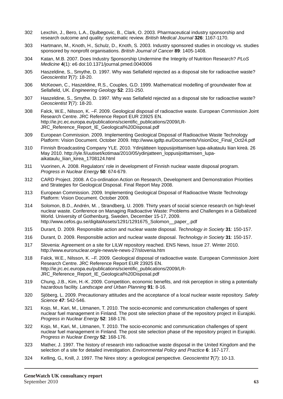- 302 Lexchin, J., Bero, L.A., Djulbegovic, B., Clark, O. 2003. Pharmaceutical industry sponsorship and research outcome and quality: systematic review. *British Medical Journal* **326**: 1167-1170.
- 303 Hartmann, M., Knoth, H., Schulz, D., Knoth, S. 2003. Industry sponsored studies in oncology vs. studies sponsored by nonprofit organisations. *British Journal of Cancer* **89**: 1405-1408.
- 304 Katan, M.B. 2007. Does Industry Sponsorship Undermine the Integrity of Nutrition Research? *PLoS Medicine* **4**(1): e6 doi:10.1371/journal.pmed.0040006
- 305 Haszeldine, S., Smythe, D. 1997. Why was Sellafield rejected as a disposal site for radioactive waste? *Geoscientist* **7**(7): 18-20.
- 306 McKeown, C., Haszeldine, R.S., Couples, G.D. 1999. Mathematical modelling of groundwater flow at Sellafield, UK. *Engineering Geology* **52**: 231-250.
- 307 Haszeldine, S., Smythe, D. 1997. Why was Sellafield rejected as a disposal site for radioactive waste? *Geoscientist* **7**(7): 18-20.
- 308 Falck, W.E., Nilsson, K. –F. 2009. Geological disposal of radioactive waste. European Commission Joint Research Centre. JRC Reference Report EUR 23925 EN. http://ie.jrc.ec.europa.eu/publications/scientific\_publications/2009/LR-JRC\_Reference\_Report\_IE\_Geological%20Disposal.pdf
- 309 European Commission. 2009. Implementing Geological Disposal of Radioactive Waste Technology Platform: Vision Document. October 2009. http://www.igdtp.eu/Documents/VisionDoc\_Final\_Oct24.pdf
- 310 Finnish Broadcasting Company YLE. 2010. Ydinjätteen loppusijoittamisen lupa-aikataulu liian kireä. 26 May 2010. http://yle.fi/uutiset/kotimaa/2010/05/ydinjatteen\_loppusijoittamisen\_lupaaikataulu\_liian\_kirea\_1708124.html
- 311 Vuorinen, A. 2008. Regulators' role in development of Finnish nuclear waste disposal program. *Progress in Nuclear Energy* **50**: 674-679.
- 312 CARD Project. 2008. A Co-ordination Action on Research, Development and Demonstration Priorities and Strategies for Geological Disposal. Final Report May 2008.
- 313 European Commission. 2009. Implementing Geological Disposal of Radioactive Waste Technology Platform: Vision Document. October 2009.
- 314 Solomon, B.D., Andrén, M. , Strandberg, U. 2009. Thirty years of social science research on high-level nuclear waste. Conference on Managing Radioactive Waste: Problems and Challenges in a Globalized World. University of Gothenburg, Sweden, December 15-17, 2009. http://www.cefos.gu.se/digitalAssets/1291/1291675\_Solomon\_\_paper\_.pdf
- 315 Durant, D. 2009. Responsible action and nuclear waste disposal. *Technology in Society* **31**: 150-157.
- 316 Durant, D. 2009. Responsible action and nuclear waste disposal. *Technology in Society* **31**: 150-157.
- 317 Slovenia: Agreement on a site for LILW repository reached. ENS News, Issue 27. Winter 2010. http://www.euronuclear.org/e-news/e-news-27/slovenia.htm
- 318 Falck, W.E., Nilsson, K. –F. 2009. Geological disposal of radioactive waste. European Commission Joint Research Centre. JRC Reference Report EUR 23925 EN. http://ie.jrc.ec.europa.eu/publications/scientific\_publications/2009/LR-JRC\_Reference\_Report\_IE\_Geological%20Disposal.pdf
- 319 Chung, J.B., Kim, H.-K. 2009. Competition, economic benefits, and risk perception in siting a potentially hazardous facility. *Landscape and Urban Planning* **91**: 8-16.
- 320 Sjöberg, L. 2009. Precautionary attitudes and the acceptance of a local nuclear waste repository. *Safety Science* **47**: 542-546.
- 321 Kojo, M., Kari, M., Litmanen, T. 2010. The socio-economic and communication challenges of spent nuclear fuel management in Finland. The post site selection phase of the repository project in Eurajoki. *Progress in Nuclear Energy* **52**: 168-176.
- 322 Kojo, M., Kari, M., Litmanen, T. 2010. The socio-economic and communication challenges of spent nuclear fuel management in Finland. The post site selection phase of the repository project in Eurajoki. *Progress in Nuclear Energy* **52**: 168-176.
- 323 Mather, J. 1997. The history of research into radioactive waste disposal in the United Kingdom and the selection of a site for detailed investigation. *Environmental Policy and Practice* **6**: 167-177.
- 324 Kelling, G., Knill, J. 1997. The Nirex story: a geological perspective. *Geoscientist* **7**(7): 10-13.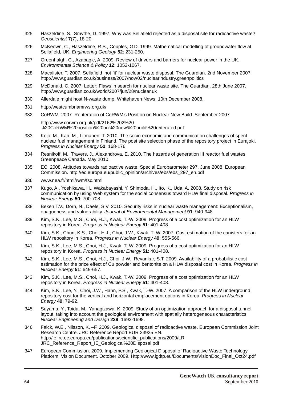- 325 Haszeldine, S., Smythe, D. 1997. Why was Sellafield rejected as a disposal site for radioactive waste? *Geoscientist* **7**(7), 18-20.
- 326 McKeown, C., Haszeldine, R.S., Couples, G.D. 1999. Mathematical modelling of groundwater flow at Sellafield, UK. *Engineering Geology* **52**: 231-250.
- 327 Greenhalgh, C., Azapagic, A. 2009. Review of drivers and barriers for nuclear power in the UK. *Environmental Science & Policy* **12**: 1052-1067.
- 328 Macalister, T. 2007. Sellafield 'not fit' for nuclear waste disposal. The Guardian. 2nd November 2007. http://www.guardian.co.uk/business/2007/nov/02/nuclearindustry.greenpolitics
- 329 McDonald, C. 2007. Letter: Flaws in search for nuclear waste site. The Guardian. 28th June 2007. http://www.guardian.co.uk/world/2007/jun/28/nuclear.uk
- 330 Allerdale might host N-waste dump. Whitehaven News. 10th December 2008.
- 331 http://westcumbriamrws.org.uk/
- 332 CoRWM. 2007. Re-iteration of CoRWM's Position on Nuclear New Build. September 2007 http://www.corwm.org.uk/pdf/2162%202%20-

%20CoRWM%20position%20on%20new%20build%20reiterated.pdf

- 333 Kojo, M., Kari, M., Litmanen, T. 2010. The socio-economic and communication challenges of spent nuclear fuel management in Finland. The post site selection phase of the repository project in Eurajoki. *Progress in Nuclear Energy* **52**: 168-176.
- 334 Resnikoff, M., Travers, J., Alexandrova, E. 2010. The hazards of generation III reactor fuel wastes. Greenpeace Canada. May 2010.
- 335 EC. 2008. Attitudes towards radioactive waste. Special Eurobarometer 297. June 2008. European Commission. http://ec.europa.eu/public\_opinion/archives/ebs/ebs\_297\_en.pdf
- 336 www.nea.fr/html/rwm/fsc.html
- 337 Kugo, A., Yoshikawa, H., Wakabayashi, Y. Shimoda, H., Ito, K., Uda, A. 2008. Study on risk communication by using Web system for the social consensus toward HLW final disposal. *Progress in Nuclear Energy* **50**: 700-708.
- 338 Beken T.V., Dorn, N., Daele, S.V. 2010. Security risks in nuclear waste management: Exceptionalism, opaqueness and vulnerability. *Journal of Environmental Management* **91**: 940-948.
- 339 Kim, S.K., Lee, M.S., Choi, H.J., Kwak, T.-W. 2009. Progress of a cost optimization for an HLW repository in Korea. *Progress in Nuclear Energy* **51**: 401-408.
- 340 Kim, S.K., Chun, K.S., Choi, H.J., Choi, J.W., Kwak, T.-W. 2007. Cost estimation of the canisters for an HLW repository in Korea. *Progress in Nuclear Energy* **49**: 555-566.
- 341 Kim, S.K., Lee, M.S., Choi, H.J., Kwak, T.-W. 2009. Progress of a cost optimization for an HLW repository in Korea. *Progress in Nuclear Energy* **51**: 401-408.
- 342 Kim, S.K., Lee, M.S., Choi, H.J., Choi, J.W., Revankar, S.T. 2009. Availability of a probabilistic cost estimation for the price effect of Cu powder and bentonite on a HLW disposal cost in Korea. *Progress in Nuclear Energy* **51**: 649-657.
- 343 Kim, S.K., Lee, M.S., Choi, H.J., Kwak, T.-W. 2009. Progress of a cost optimization for an HLW repository in Korea. *Progress in Nuclear Energy* **51**: 401-408.
- 344 Kim, S.K., Lee, Y., Choi, J.W., Hahn, P.S., Kwak, T.-W. 2007. A comparison of the HLW underground repository cost for the vertical and horizontal emplacement options in Korea. *Progress in Nuclear Energy* **49**: 79-92.
- 345 Suyama, Y., Toida, M., Yanagizawa, K. 2009. Study of an optimization approach for a disposal tunnel layout, taking into account the geological environment with spatially heterogeneous characteristics. *Nuclear Engineering and Design* **239**: 1693-1698.
- 346 Falck, W.E., Nilsson, K. –F. 2009. Geological disposal of radioactive waste. European Commission Joint Research Centre. JRC Reference Report EUR 23925 EN. http://ie.jrc.ec.europa.eu/publications/scientific\_publications/2009/LR-JRC\_Reference\_Report\_IE\_Geological%20Disposal.pdf
- 347 European Commission. 2009. Implementing Geological Disposal of Radioactive Waste Technology Platform: Vision Document. October 2009. Http://www.igdtp.eu/Documents/VisionDoc\_Final\_Oct24.pdf